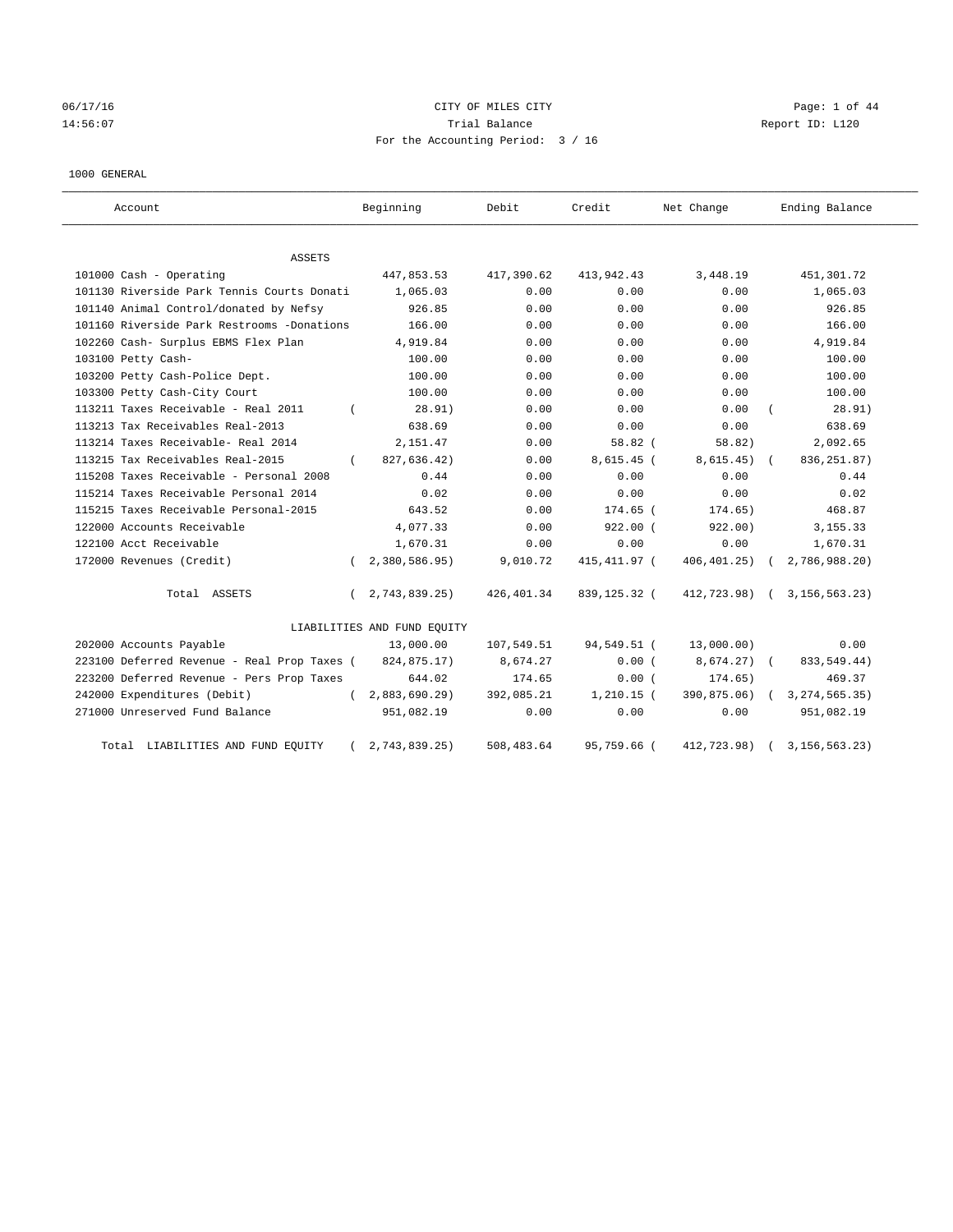# 06/17/16 **CITY OF MILES CITY CITY CITY CITY Page: 1 of 44** 14:56:07 Trial Balance Report ID: L120 For the Accounting Period: 3 / 16

## 1000 GENERAL

| Account                                     |          | Beginning                   | Debit       | Credit       | Net Change    | Ending Balance   |
|---------------------------------------------|----------|-----------------------------|-------------|--------------|---------------|------------------|
| ASSETS                                      |          |                             |             |              |               |                  |
| 101000 Cash - Operating                     |          | 447,853.53                  | 417,390.62  | 413,942.43   | 3,448.19      | 451,301.72       |
| 101130 Riverside Park Tennis Courts Donati  |          | 1,065.03                    | 0.00        | 0.00         | 0.00          | 1,065.03         |
| 101140 Animal Control/donated by Nefsy      |          | 926.85                      | 0.00        | 0.00         | 0.00          | 926.85           |
| 101160 Riverside Park Restrooms -Donations  |          | 166.00                      | 0.00        | 0.00         | 0.00          | 166.00           |
| 102260 Cash- Surplus EBMS Flex Plan         |          | 4,919.84                    | 0.00        | 0.00         | 0.00          | 4,919.84         |
| 103100 Petty Cash-                          |          | 100.00                      | 0.00        | 0.00         | 0.00          | 100.00           |
| 103200 Petty Cash-Police Dept.              |          | 100.00                      | 0.00        | 0.00         | 0.00          | 100.00           |
| 103300 Petty Cash-City Court                |          | 100.00                      | 0.00        | 0.00         | 0.00          | 100.00           |
| 113211 Taxes Receivable - Real 2011         |          | 28.91)                      | 0.00        | 0.00         | 0.00          | 28.91)           |
| 113213 Tax Receivables Real-2013            |          | 638.69                      | 0.00        | 0.00         | 0.00          | 638.69           |
| 113214 Taxes Receivable- Real 2014          |          | 2,151.47                    | 0.00        | 58.82(       | 58.82)        | 2,092.65         |
| 113215 Tax Receivables Real-2015            | $\left($ | 827,636.42)                 | 0.00        | $8,615.45$ ( | 8,615.45)     | 836, 251.87)     |
| 115208 Taxes Receivable - Personal 2008     |          | 0.44                        | 0.00        | 0.00         | 0.00          | 0.44             |
| 115214 Taxes Receivable Personal 2014       |          | 0.02                        | 0.00        | 0.00         | 0.00          | 0.02             |
| 115215 Taxes Receivable Personal-2015       |          | 643.52                      | 0.00        | 174.65 (     | 174.65)       | 468.87           |
| 122000 Accounts Receivable                  |          | 4,077.33                    | 0.00        | $922.00$ (   | 922.00)       | 3, 155. 33       |
| 122100 Acct Receivable                      |          | 1,670.31                    | 0.00        | 0.00         | 0.00          | 1,670.31         |
| 172000 Revenues (Credit)                    |          | 2,380,586.95)               | 9,010.72    | 415,411.97 ( | 406,401.25)   | 2,786,988.20)    |
| Total ASSETS                                | $\left($ | 2,743,839.25)               | 426,401.34  | 839,125.32 ( | 412,723.98) ( | 3, 156, 563. 23) |
|                                             |          | LIABILITIES AND FUND EQUITY |             |              |               |                  |
| 202000 Accounts Payable                     |          | 13,000.00                   | 107,549.51  | 94,549.51 (  | 13,000.00)    | 0.00             |
| 223100 Deferred Revenue - Real Prop Taxes ( |          | 824,875.17)                 | 8,674.27    | 0.00(        | 8,674.27) (   | 833, 549.44)     |
| 223200 Deferred Revenue - Pers Prop Taxes   |          | 644.02                      | 174.65      | 0.00(        | 174.65)       | 469.37           |
| 242000 Expenditures (Debit)                 |          | 2,883,690.29)               | 392,085.21  | $1,210.15$ ( | 390,875.06)   | 3, 274, 565. 35) |
| 271000 Unreserved Fund Balance              |          | 951,082.19                  | 0.00        | 0.00         | 0.00          | 951,082.19       |
| Total LIABILITIES AND FUND EQUITY           |          | 2,743,839.25)               | 508, 483.64 | 95,759.66 (  | 412,723.98)   | 3, 156, 563. 23) |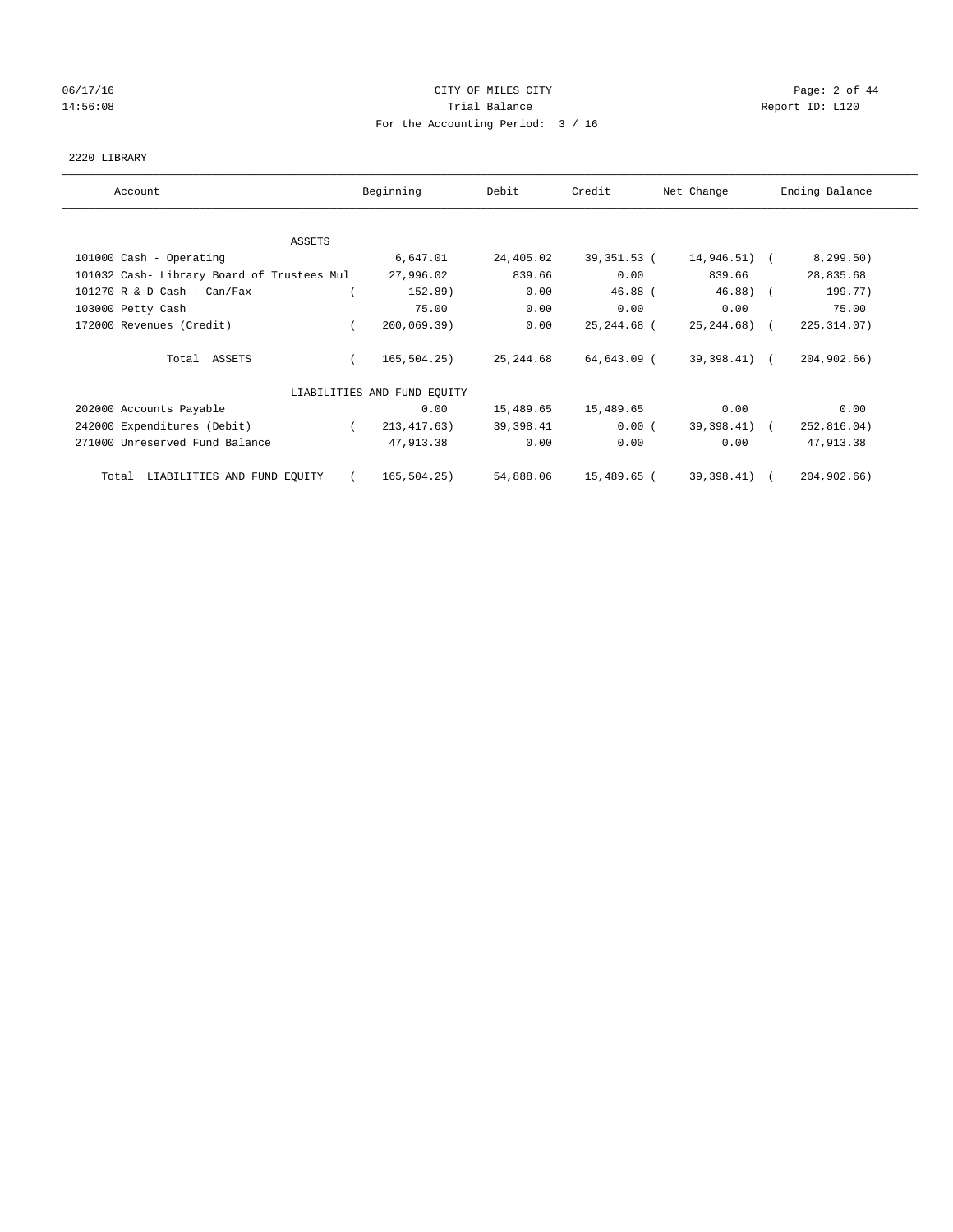## 06/17/16 CITY OF MILES CITY Page: 2 of 44 14:56:08 Report ID: L120 For the Accounting Period: 3 / 16

## 2220 LIBRARY

| Account                                    | Beginning                   | Debit      | Credit      | Net Change   | Ending Balance |
|--------------------------------------------|-----------------------------|------------|-------------|--------------|----------------|
|                                            |                             |            |             |              |                |
| ASSETS<br>101000 Cash - Operating          | 6,647.01                    | 24,405.02  | 39,351.53 ( | 14,946.51) ( | 8, 299.50)     |
| 101032 Cash- Library Board of Trustees Mul | 27,996.02                   | 839.66     | 0.00        | 839.66       | 28,835.68      |
| $101270$ R & D Cash - Can/Fax              | 152.89)                     | 0.00       | $46.88$ (   | $46.88$ (    | 199.77)        |
| 103000 Petty Cash                          | 75.00                       | 0.00       | 0.00        | 0.00         | 75.00          |
| 172000 Revenues (Credit)                   | 200,069.39)                 | 0.00       | 25,244.68 ( | 25,244.68) ( | 225, 314.07)   |
| Total ASSETS                               | 165, 504.25)                | 25, 244.68 | 64,643.09 ( | 39,398.41) ( | 204,902.66)    |
|                                            | LIABILITIES AND FUND EQUITY |            |             |              |                |
| 202000 Accounts Payable                    | 0.00                        | 15,489.65  | 15,489.65   | 0.00         | 0.00           |
| 242000 Expenditures (Debit)                | 213, 417. 63)               | 39,398.41  | $0.00$ (    | 39,398.41) ( | 252,816.04)    |
| 271000 Unreserved Fund Balance             | 47,913.38                   | 0.00       | 0.00        | 0.00         | 47,913.38      |
| LIABILITIES AND FUND EQUITY<br>Total       | 165, 504.25)                | 54,888.06  | 15,489.65 ( | 39,398.41)   | 204,902.66)    |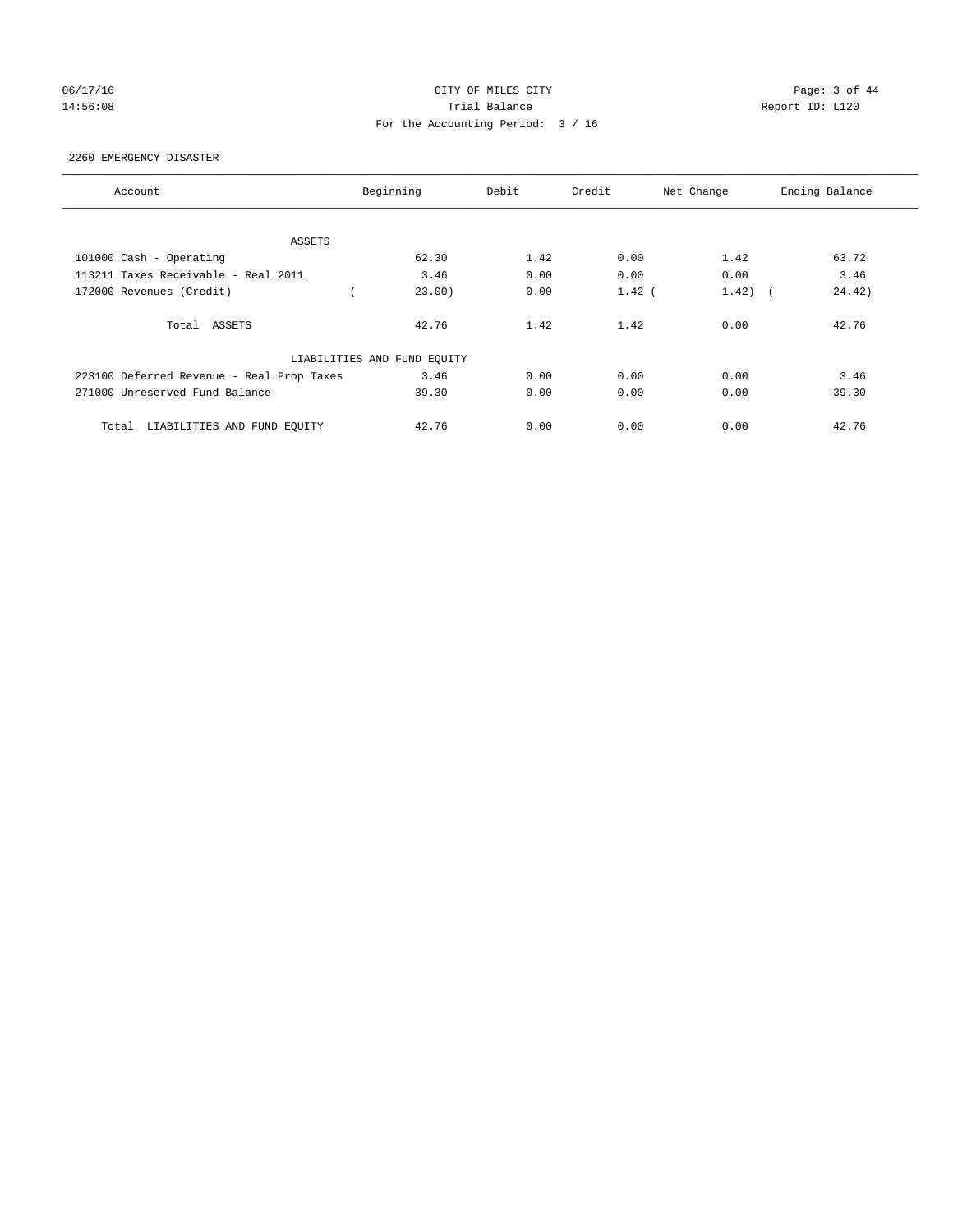## 06/17/16 CITY OF MILES CITY Page: 3 of 44 14:56:08 Report ID: L120 For the Accounting Period: 3 / 16

## 2260 EMERGENCY DISASTER

| Account                                   | Beginning                   | Debit | Credit   | Net Change                        | Ending Balance |
|-------------------------------------------|-----------------------------|-------|----------|-----------------------------------|----------------|
|                                           |                             |       |          |                                   |                |
| ASSETS                                    |                             |       |          |                                   |                |
| 101000 Cash - Operating                   | 62.30                       | 1.42  | 0.00     | 1.42                              | 63.72          |
| 113211 Taxes Receivable - Real 2011       | 3.46                        | 0.00  | 0.00     | 0.00                              | 3.46           |
| 172000 Revenues (Credit)                  | 23.00)                      | 0.00  | $1.42$ ( | 1.42)<br>$\overline{\phantom{a}}$ | 24.42)         |
| Total ASSETS                              | 42.76                       | 1.42  | 1.42     | 0.00                              | 42.76          |
|                                           | LIABILITIES AND FUND EQUITY |       |          |                                   |                |
| 223100 Deferred Revenue - Real Prop Taxes | 3.46                        | 0.00  | 0.00     | 0.00                              | 3.46           |
| 271000 Unreserved Fund Balance            | 39.30                       | 0.00  | 0.00     | 0.00                              | 39.30          |
| LIABILITIES AND FUND EQUITY<br>Total      | 42.76                       | 0.00  | 0.00     | 0.00                              | 42.76          |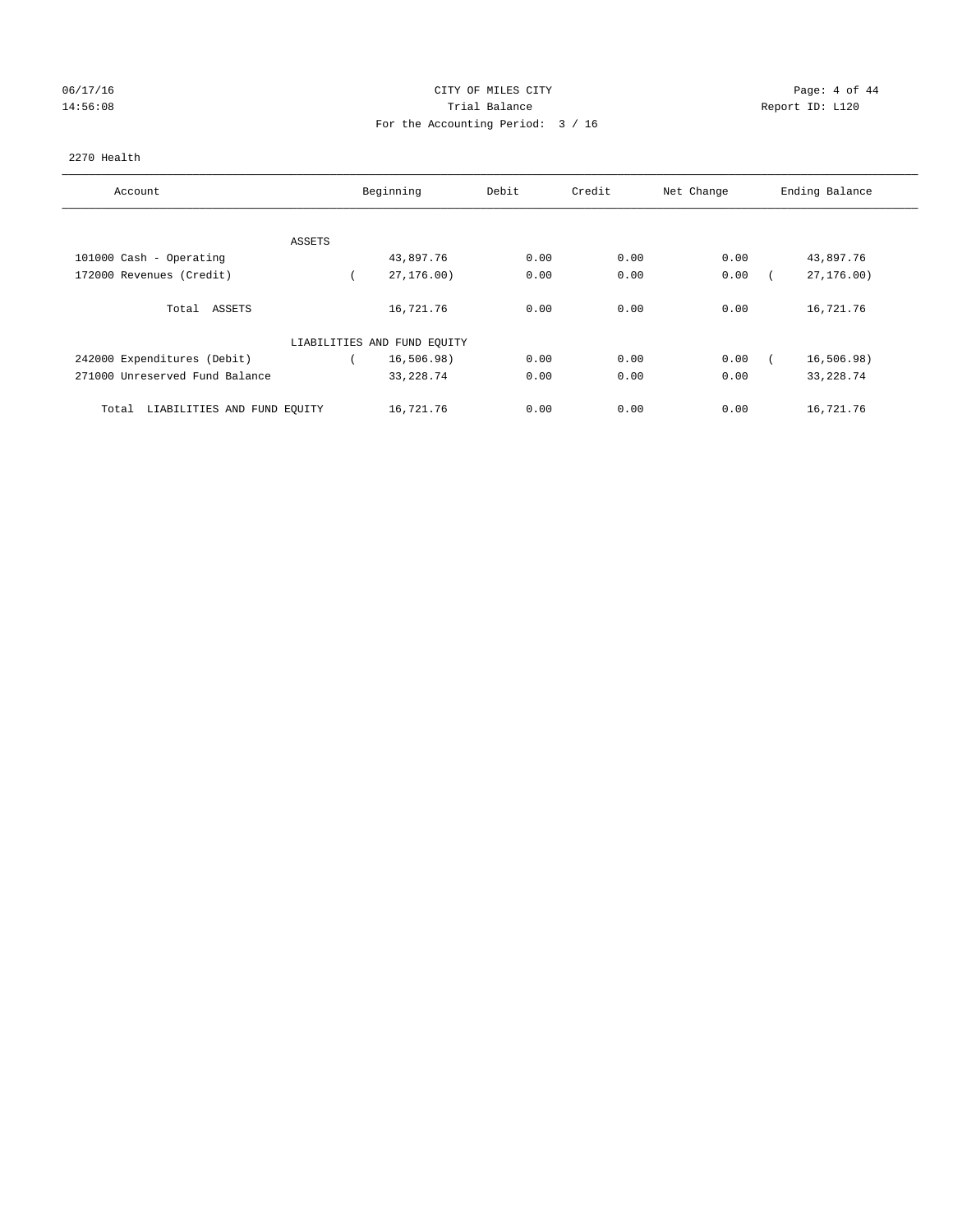## 06/17/16 CITY OF MILES CITY Page: 4 of 44 14:56:08 Trial Balance Report ID: L120 For the Accounting Period: 3 / 16

## 2270 Health

| Account                              |        | Beginning                   | Debit | Credit | Net Change | Ending Balance |
|--------------------------------------|--------|-----------------------------|-------|--------|------------|----------------|
|                                      |        |                             |       |        |            |                |
|                                      | ASSETS |                             |       |        |            |                |
| 101000 Cash - Operating              |        | 43,897.76                   | 0.00  | 0.00   | 0.00       | 43,897.76      |
| 172000 Revenues (Credit)             |        | 27, 176, 00)                | 0.00  | 0.00   | 0.00       | 27, 176.00     |
| Total ASSETS                         |        | 16,721.76                   | 0.00  | 0.00   | 0.00       | 16,721.76      |
|                                      |        | LIABILITIES AND FUND EQUITY |       |        |            |                |
| 242000 Expenditures (Debit)          |        | 16, 506.98)                 | 0.00  | 0.00   | 0.00       | 16,506.98)     |
| 271000 Unreserved Fund Balance       |        | 33, 228.74                  | 0.00  | 0.00   | 0.00       | 33, 228.74     |
| LIABILITIES AND FUND EQUITY<br>Total |        | 16,721.76                   | 0.00  | 0.00   | 0.00       | 16,721.76      |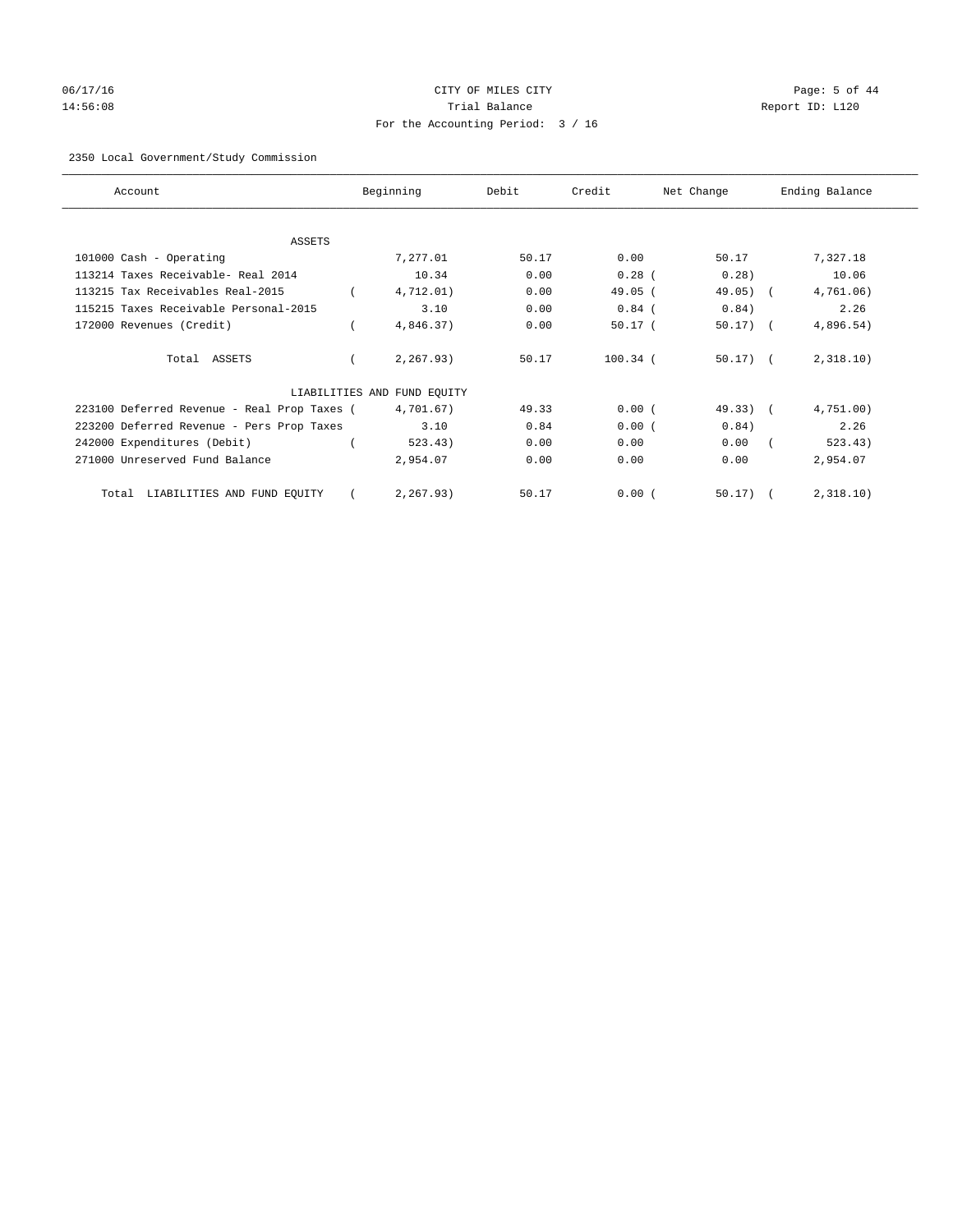# 06/17/16 Page: 5 of 44 14:56:08 Trial Balance Report ID: L120 For the Accounting Period: 3 / 16

## 2350 Local Government/Study Commission

| Account                                     | Beginning                   | Debit | Credit     | Net Change    | Ending Balance |
|---------------------------------------------|-----------------------------|-------|------------|---------------|----------------|
| ASSETS                                      |                             |       |            |               |                |
| 101000 Cash - Operating                     | 7,277.01                    | 50.17 | 0.00       | 50.17         | 7,327.18       |
| 113214 Taxes Receivable- Real 2014          | 10.34                       | 0.00  | $0.28$ (   | 0.28)         | 10.06          |
| 113215 Tax Receivables Real-2015            | 4,712.01)                   | 0.00  | $49.05$ (  | $49.05)$ (    | 4,761.06)      |
| 115215 Taxes Receivable Personal-2015       | 3.10                        | 0.00  | $0.84$ (   | 0.84)         | 2.26           |
| 172000 Revenues (Credit)                    | 4,846.37)                   | 0.00  | $50.17$ (  | $50.17)$ (    | 4,896.54)      |
| Total ASSETS                                | 2,267.93)                   | 50.17 | $100.34$ ( | $50.17$ ) $($ | 2,318.10)      |
|                                             | LIABILITIES AND FUND EQUITY |       |            |               |                |
| 223100 Deferred Revenue - Real Prop Taxes ( | 4,701.67)                   | 49.33 | 0.00(      | $49.33)$ (    | 4,751.00)      |
| 223200 Deferred Revenue - Pers Prop Taxes   | 3.10                        | 0.84  | 0.00(      | 0.84)         | 2.26           |
| 242000 Expenditures (Debit)                 | 523.43)                     | 0.00  | 0.00       | 0.00          | 523.43)        |
| 271000 Unreserved Fund Balance              | 2,954.07                    | 0.00  | 0.00       | 0.00          | 2,954.07       |
| LIABILITIES AND FUND EQUITY<br>Total        | 2,267.93)                   | 50.17 | 0.00(      | 50.17)        | 2,318.10)      |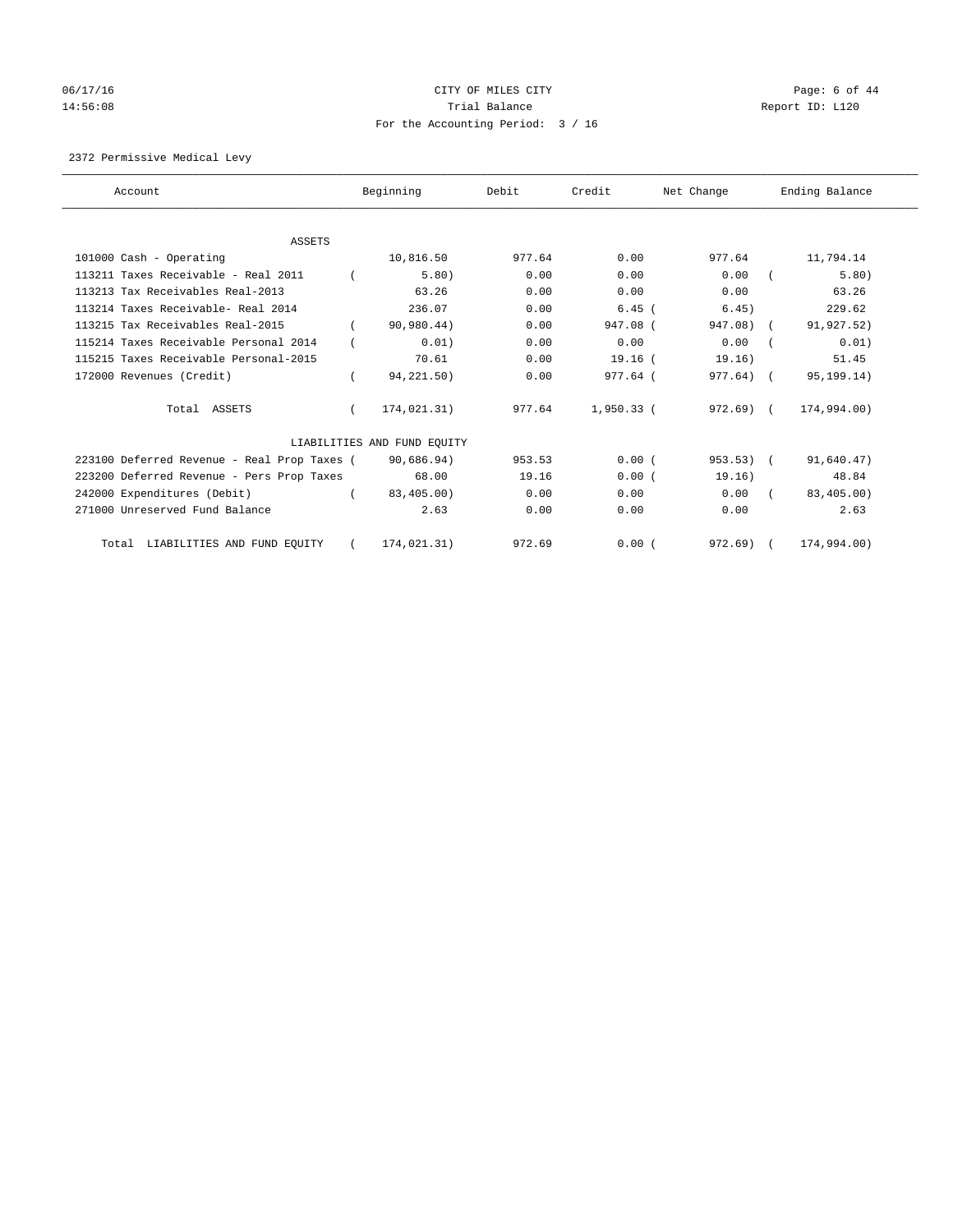# 06/17/16 CITY OF MILES CITY Page: 6 of 44 14:56:08 Report ID: L120 For the Accounting Period: 3 / 16

2372 Permissive Medical Levy

| Account                                     | Beginning                   | Debit  | Credit     | Net Change   | Ending Balance |
|---------------------------------------------|-----------------------------|--------|------------|--------------|----------------|
| ASSETS                                      |                             |        |            |              |                |
| 101000 Cash - Operating                     | 10,816.50                   | 977.64 | 0.00       | 977.64       | 11,794.14      |
| 113211 Taxes Receivable - Real 2011         | 5.80)                       | 0.00   | 0.00       | 0.00         | 5.80)          |
| 113213 Tax Receivables Real-2013            | 63.26                       | 0.00   | 0.00       | 0.00         | 63.26          |
| 113214 Taxes Receivable- Real 2014          | 236.07                      | 0.00   | $6.45$ (   | 6.45)        | 229.62         |
| 113215 Tax Receivables Real-2015            | 90,980.44)                  | 0.00   | 947.08 (   | 947.08) (    | 91,927.52)     |
| 115214 Taxes Receivable Personal 2014       | 0.01)                       | 0.00   | 0.00       | 0.00         | 0.01)          |
| 115215 Taxes Receivable Personal-2015       | 70.61                       | 0.00   | $19.16$ (  | 19.16)       | 51.45          |
| 172000 Revenues (Credit)                    | 94,221.50)                  | 0.00   | 977.64 (   | $977.64$ ) ( | 95, 199. 14)   |
| Total ASSETS                                | 174,021.31)                 | 977.64 | 1,950.33 ( | 972.69) (    | 174,994.00)    |
|                                             | LIABILITIES AND FUND EQUITY |        |            |              |                |
| 223100 Deferred Revenue - Real Prop Taxes ( | 90,686.94)                  | 953.53 | 0.00(      | $953.53$ ) ( | 91,640.47)     |
| 223200 Deferred Revenue - Pers Prop Taxes   | 68.00                       | 19.16  | 0.00(      | 19.16)       | 48.84          |
| 242000 Expenditures (Debit)                 | 83,405.00)                  | 0.00   | 0.00       | 0.00         | 83,405.00)     |
| 271000 Unreserved Fund Balance              | 2.63                        | 0.00   | 0.00       | 0.00         | 2.63           |
| Total LIABILITIES AND FUND EQUITY           | 174.021.31)                 | 972.69 | 0.00(      | 972.69)      | 174,994,00)    |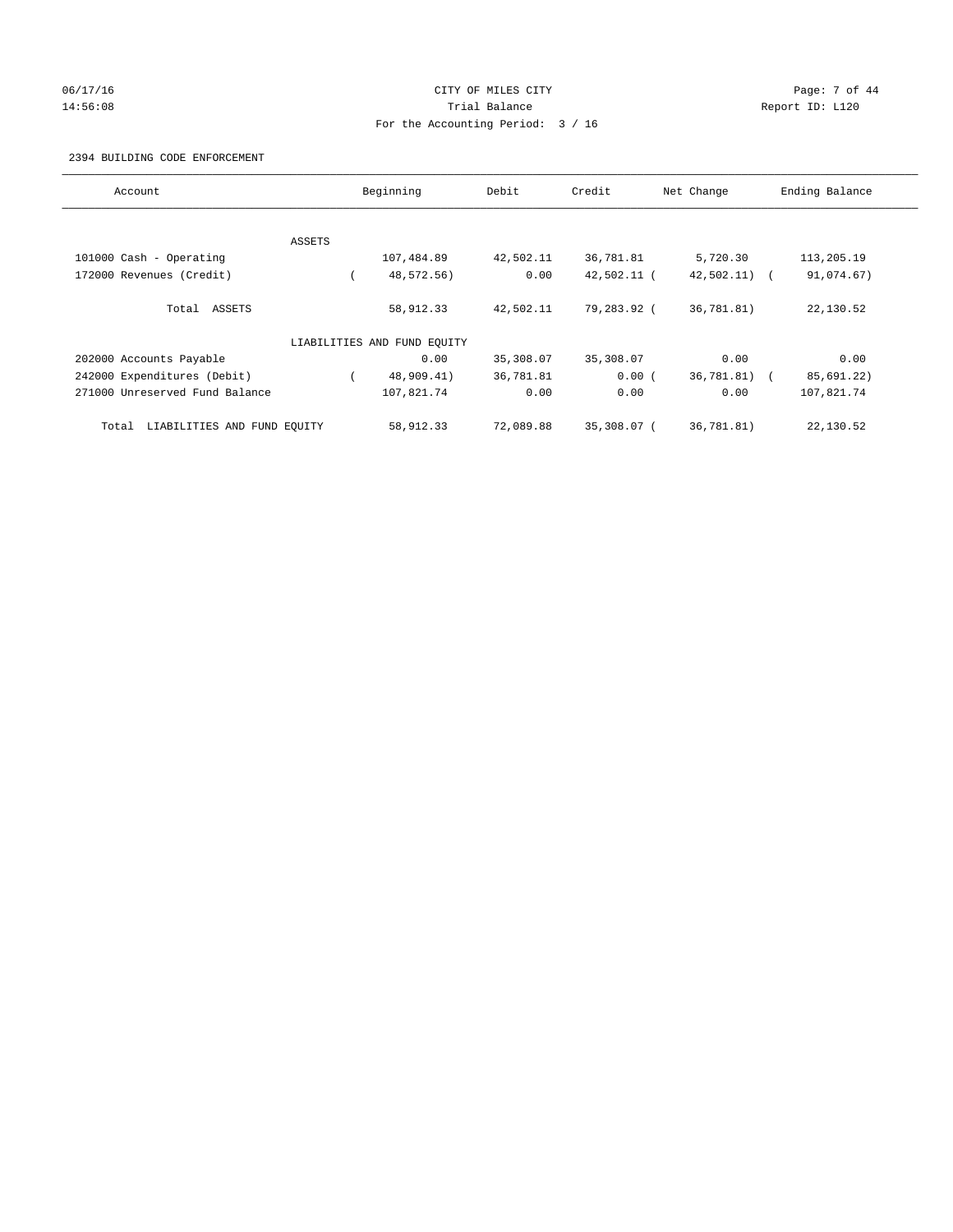## 06/17/16 Page: 7 of 44 14:56:08 Report ID: L120 For the Accounting Period: 3 / 16

## 2394 BUILDING CODE ENFORCEMENT

| Account                              |        | Beginning                   | Debit     | Credit      | Net Change    | Ending Balance |
|--------------------------------------|--------|-----------------------------|-----------|-------------|---------------|----------------|
|                                      |        |                             |           |             |               |                |
|                                      | ASSETS |                             |           |             |               |                |
| 101000 Cash - Operating              |        | 107,484.89                  | 42,502.11 | 36,781.81   | 5,720.30      | 113,205.19     |
| 172000 Revenues (Credit)             |        | 48,572.56)                  | 0.00      | 42,502.11 ( | $42,502.11$ ( | 91,074.67)     |
| Total ASSETS                         |        | 58,912.33                   | 42,502.11 | 79,283.92 ( | 36,781.81)    | 22,130.52      |
|                                      |        | LIABILITIES AND FUND EQUITY |           |             |               |                |
| 202000 Accounts Payable              |        | 0.00                        | 35,308.07 | 35,308.07   | 0.00          | 0.00           |
| 242000 Expenditures (Debit)          |        | 48,909.41)                  | 36,781.81 | 0.00(       | 36,781.81) (  | 85,691.22)     |
| 271000 Unreserved Fund Balance       |        | 107,821.74                  | 0.00      | 0.00        | 0.00          | 107,821.74     |
| LIABILITIES AND FUND EQUITY<br>Total |        | 58,912.33                   | 72,089.88 | 35,308.07 ( | 36,781.81)    | 22,130.52      |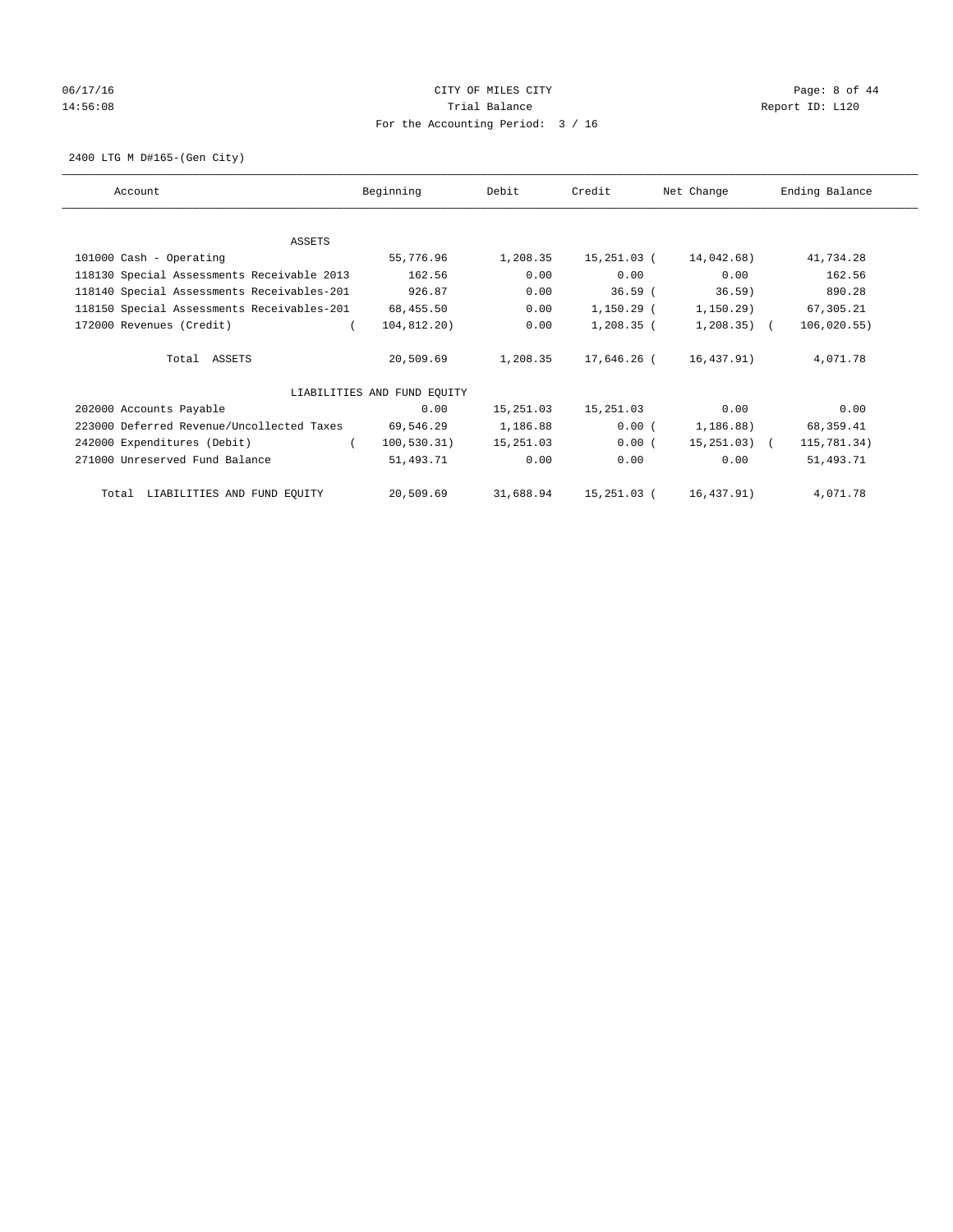# 06/17/16 CITY OF MILES CITY Page: 8 of 44 14:56:08 Report ID: L120 For the Accounting Period: 3 / 16

2400 LTG M D#165-(Gen City)

| Account                                    | Beginning                   | Debit     | Credit       | Net Change      | Ending Balance |
|--------------------------------------------|-----------------------------|-----------|--------------|-----------------|----------------|
|                                            |                             |           |              |                 |                |
| ASSETS                                     |                             |           |              |                 |                |
| 101000 Cash - Operating                    | 55,776.96                   | 1,208.35  | 15,251.03 (  | 14,042.68)      | 41,734.28      |
| 118130 Special Assessments Receivable 2013 | 162.56                      | 0.00      | 0.00         | 0.00            | 162.56         |
| 118140 Special Assessments Receivables-201 | 926.87                      | 0.00      | $36.59$ (    | $36.59$ )       | 890.28         |
| 118150 Special Assessments Receivables-201 | 68,455.50                   | 0.00      | 1,150.29 (   | 1,150.29)       | 67,305.21      |
| 172000 Revenues (Credit)                   | 104,812.20)                 | 0.00      | $1,208.35$ ( | $1,208.35$ (    | 106,020.55)    |
| Total ASSETS                               | 20,509.69                   | 1,208.35  | 17,646.26 (  | 16,437.91)      | 4,071.78       |
|                                            | LIABILITIES AND FUND EQUITY |           |              |                 |                |
| 202000 Accounts Payable                    | 0.00                        | 15,251.03 | 15,251.03    | 0.00            | 0.00           |
| 223000 Deferred Revenue/Uncollected Taxes  | 69,546.29                   | 1,186.88  | 0.00(        | 1,186.88)       | 68,359.41      |
| 242000 Expenditures (Debit)                | 100, 530.31)                | 15,251.03 | $0.00$ (     | $15, 251, 03$ ( | 115,781.34)    |
| 271000 Unreserved Fund Balance             | 51,493.71                   | 0.00      | 0.00         | 0.00            | 51,493.71      |
| Total LIABILITIES AND FUND EQUITY          | 20,509.69                   | 31,688.94 | 15,251.03 (  | 16,437.91)      | 4,071.78       |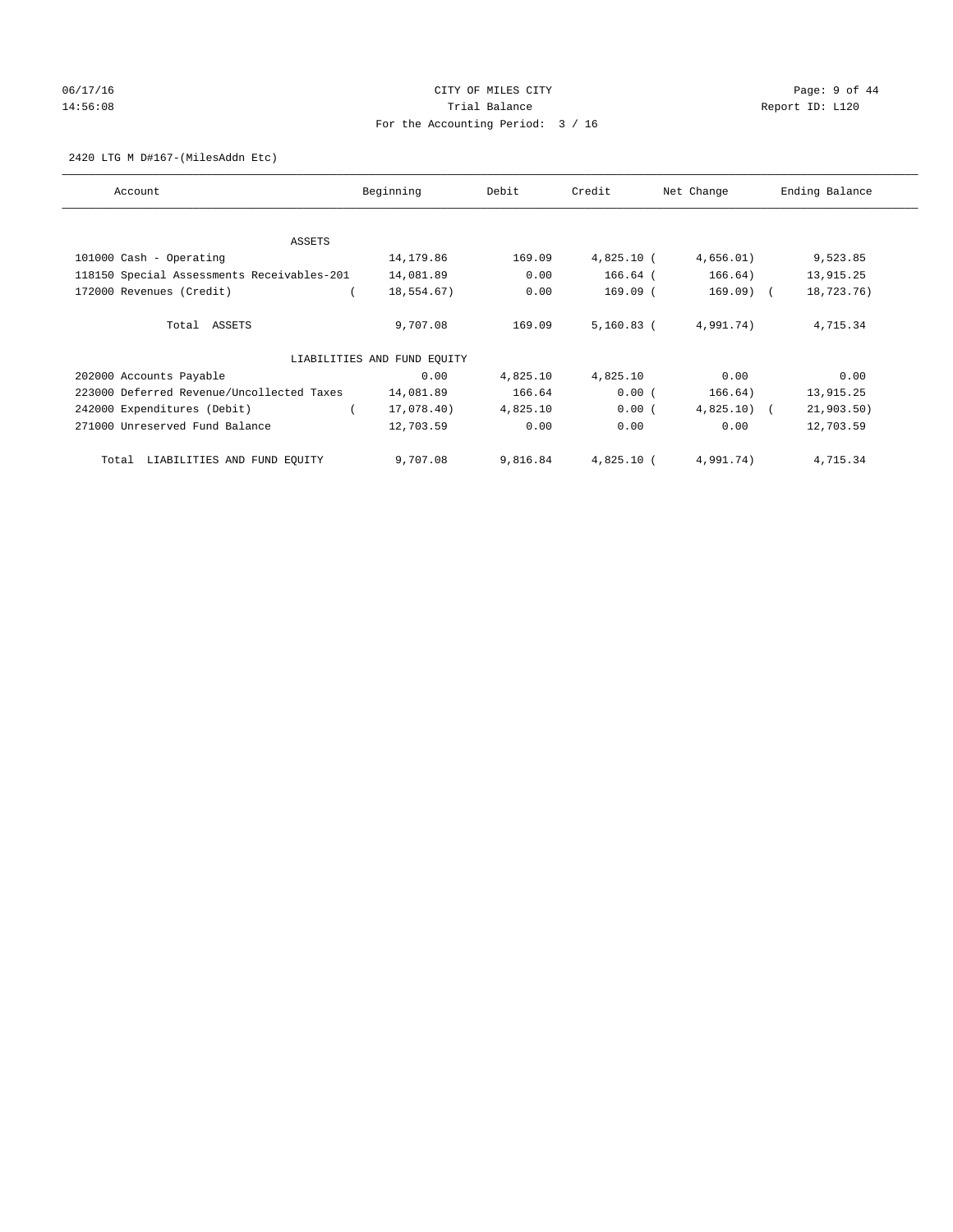## 06/17/16 CITY OF MILES CITY Page: 9 of 44 14:56:08 Report ID: L120 For the Accounting Period: 3 / 16

## 2420 LTG M D#167-(MilesAddn Etc)

| Account                                    | Beginning                   | Debit    | Credit       | Net Change   | Ending Balance |
|--------------------------------------------|-----------------------------|----------|--------------|--------------|----------------|
|                                            |                             |          |              |              |                |
| ASSETS                                     |                             |          |              |              |                |
| 101000 Cash - Operating                    | 14,179.86                   | 169.09   | $4,825.10$ ( | 4,656.01)    | 9,523.85       |
| 118150 Special Assessments Receivables-201 | 14,081.89                   | 0.00     | $166.64$ (   | 166.64)      | 13,915.25      |
| 172000 Revenues (Credit)                   | 18,554.67)                  | 0.00     | $169.09$ (   | 169.09) (    | 18,723.76)     |
| Total ASSETS                               | 9,707.08                    | 169.09   | $5,160.83$ ( | 4,991.74)    | 4,715.34       |
|                                            | LIABILITIES AND FUND EQUITY |          |              |              |                |
| 202000 Accounts Payable                    | 0.00                        | 4,825.10 | 4,825.10     | 0.00         | 0.00           |
| 223000 Deferred Revenue/Uncollected Taxes  | 14,081.89                   | 166.64   | 0.00(        | 166.64)      | 13,915.25      |
| 242000 Expenditures (Debit)                | 17,078.40)                  | 4,825.10 | $0.00$ (     | $4,825.10$ ( | 21,903.50)     |
| 271000 Unreserved Fund Balance             | 12,703.59                   | 0.00     | 0.00         | 0.00         | 12,703.59      |
| Total LIABILITIES AND FUND EQUITY          | 9,707.08                    | 9,816.84 | 4,825.10 (   | 4,991.74)    | 4,715.34       |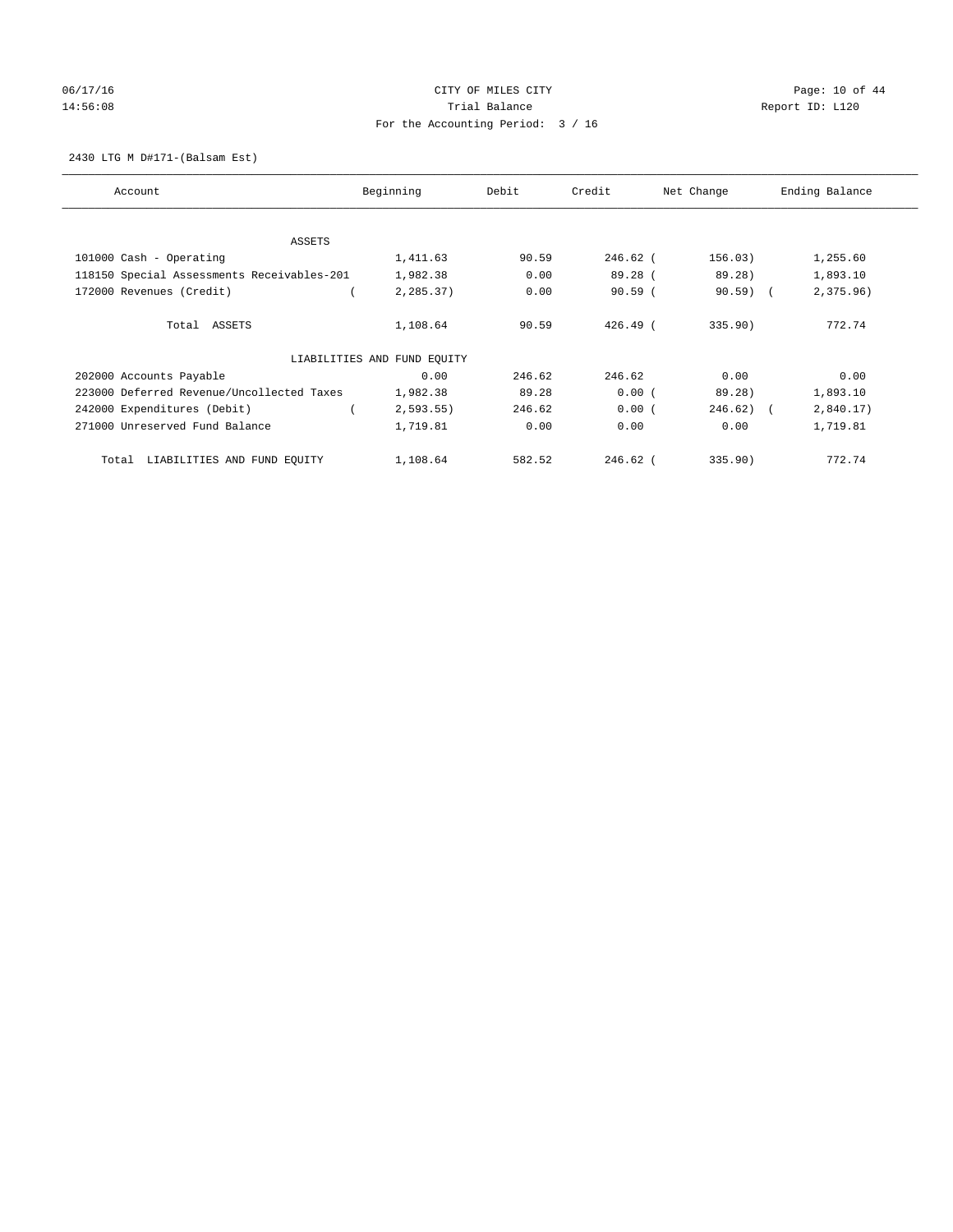## 06/17/16 Page: 10 of 44 14:56:08 Report ID: L120 For the Accounting Period: 3 / 16

2430 LTG M D#171-(Balsam Est)

| Account                                    | Beginning                   | Debit  | Credit     | Net Change   | Ending Balance |
|--------------------------------------------|-----------------------------|--------|------------|--------------|----------------|
| ASSETS                                     |                             |        |            |              |                |
| 101000 Cash - Operating                    | 1,411.63                    | 90.59  | $246.62$ ( | 156.03)      | 1,255.60       |
| 118150 Special Assessments Receivables-201 | 1,982.38                    | 0.00   | 89.28 (    | 89.28)       | 1,893.10       |
| 172000 Revenues (Credit)                   | 2,285.37)                   | 0.00   | 90.59(     | $90.59$ (    | 2,375.96)      |
| Total ASSETS                               | 1,108.64                    | 90.59  | $426.49$ ( | 335.90)      | 772.74         |
|                                            | LIABILITIES AND FUND EQUITY |        |            |              |                |
| 202000 Accounts Payable                    | 0.00                        | 246.62 | 246.62     | 0.00         | 0.00           |
| 223000 Deferred Revenue/Uncollected Taxes  | 1,982.38                    | 89.28  | 0.00(      | 89.28)       | 1,893.10       |
| 242000 Expenditures (Debit)                | 2,593.55                    | 246.62 | 0.00(      | $246.62$ ) ( | 2,840.17)      |
| 271000 Unreserved Fund Balance             | 1,719.81                    | 0.00   | 0.00       | 0.00         | 1,719.81       |
| LIABILITIES AND FUND EQUITY<br>Total       | 1,108.64                    | 582.52 | $246.62$ ( | 335.90       | 772.74         |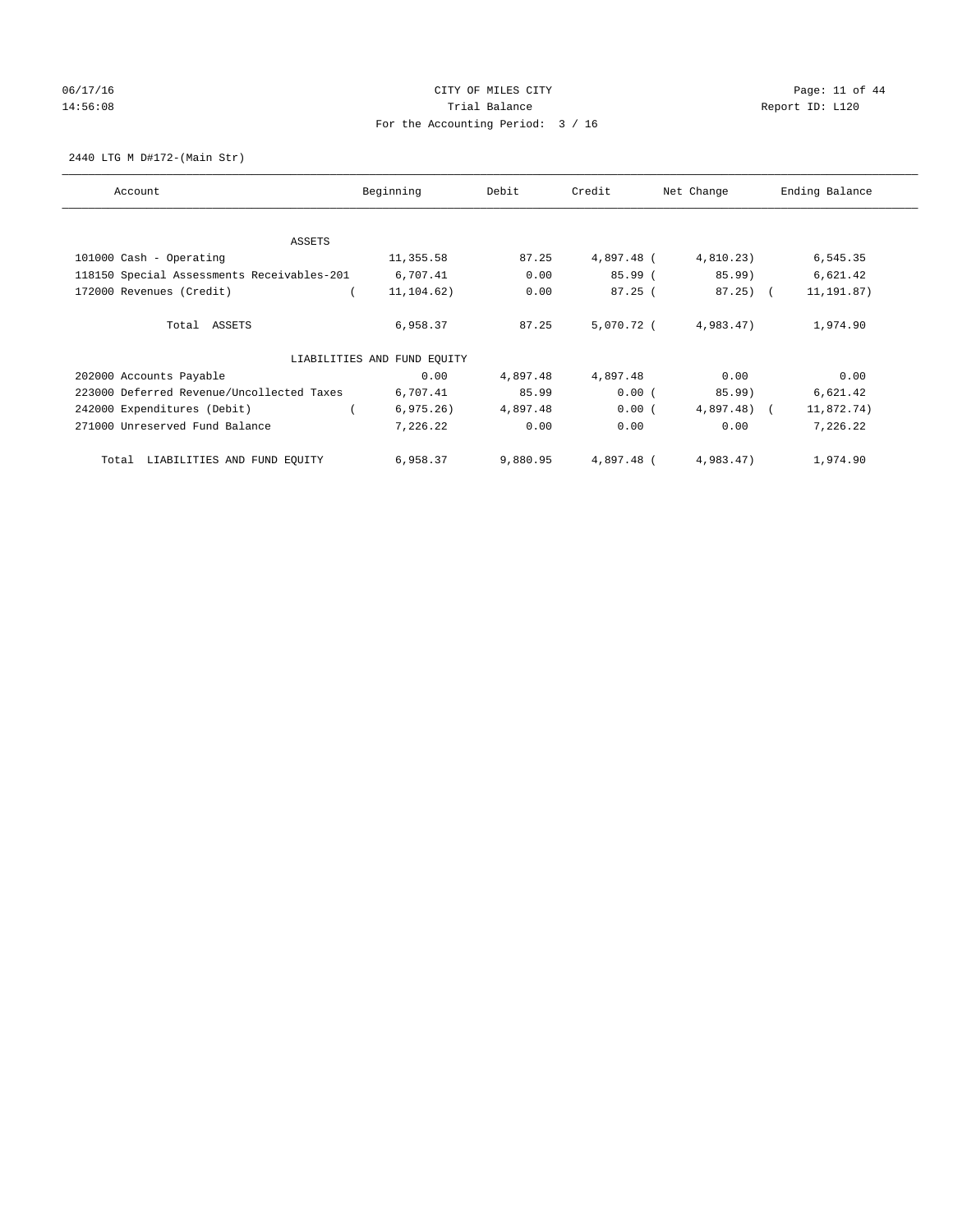# 06/17/16 Page: 11 of 44 14:56:08 Report ID: L120 For the Accounting Period: 3 / 16

2440 LTG M D#172-(Main Str)

| Account                                    | Beginning                   | Debit    | Credit     | Net Change   | Ending Balance |
|--------------------------------------------|-----------------------------|----------|------------|--------------|----------------|
| ASSETS                                     |                             |          |            |              |                |
| 101000 Cash - Operating                    | 11,355.58                   | 87.25    | 4,897.48 ( | 4,810.23)    | 6,545.35       |
| 118150 Special Assessments Receivables-201 | 6,707.41                    | 0.00     | 85.99 (    | 85.99)       | 6,621.42       |
| 172000 Revenues (Credit)                   | 11,104.62)                  | 0.00     | 87.25(     | $87.25$ ) (  | 11, 191.87)    |
| Total ASSETS                               | 6,958.37                    | 87.25    | 5,070.72 ( | 4,983.47)    | 1,974.90       |
|                                            | LIABILITIES AND FUND EQUITY |          |            |              |                |
| 202000 Accounts Payable                    | 0.00                        | 4,897.48 | 4,897.48   | 0.00         | 0.00           |
| 223000 Deferred Revenue/Uncollected Taxes  | 6,707.41                    | 85.99    | 0.00(      | 85.99)       | 6,621.42       |
| 242000 Expenditures (Debit)                | 6, 975.26)                  | 4,897.48 | 0.00(      | $4,897.48$ ( | 11,872.74)     |
| 271000 Unreserved Fund Balance             | 7,226.22                    | 0.00     | 0.00       | 0.00         | 7,226.22       |
| Total LIABILITIES AND FUND EQUITY          | 6,958.37                    | 9,880.95 | 4,897.48 ( | 4,983.47)    | 1,974.90       |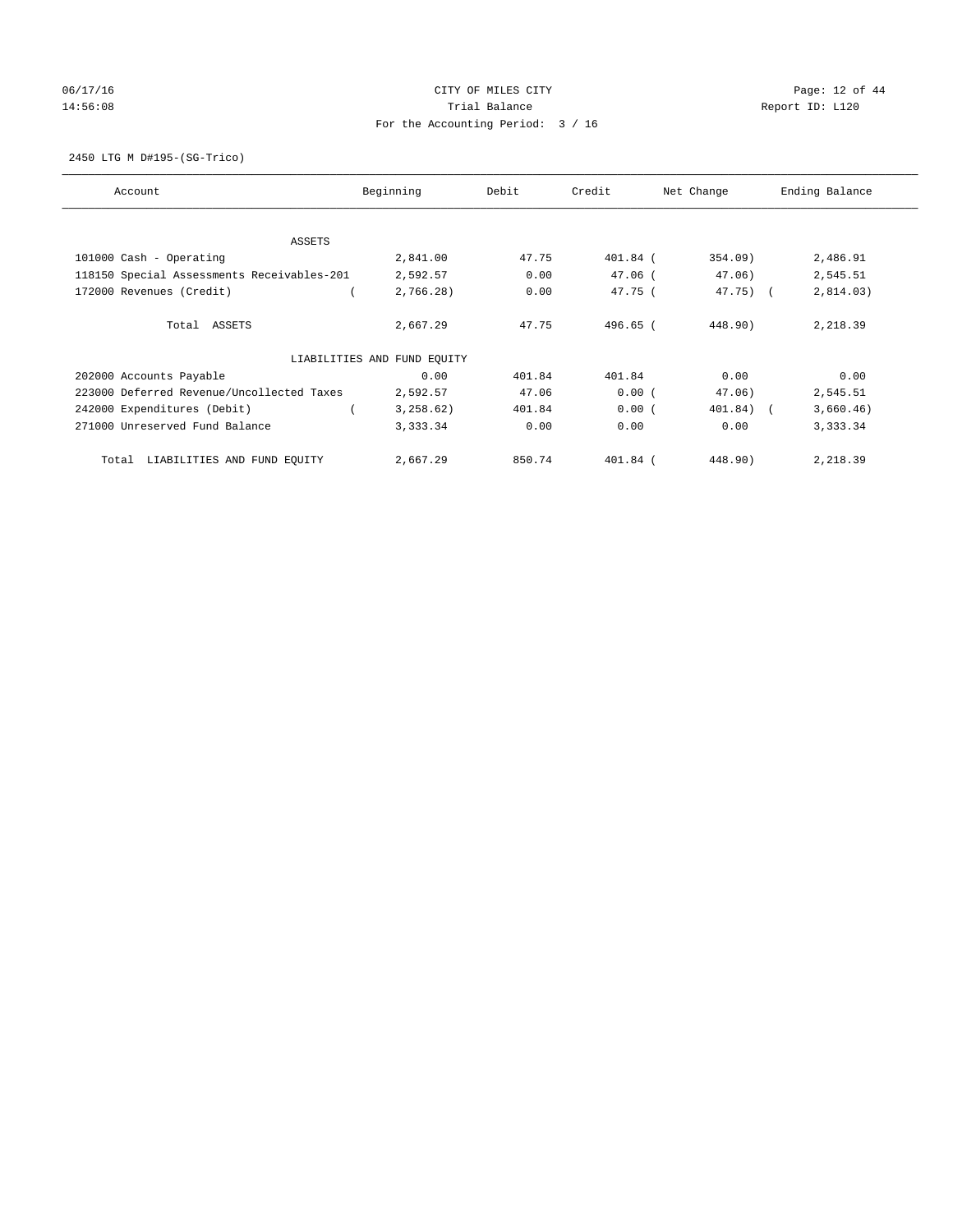# 06/17/16 Page: 12 of 44 14:56:08 Report ID: L120 For the Accounting Period: 3 / 16

2450 LTG M D#195-(SG-Trico)

| Account                                    | Beginning                   | Debit  | Credit     | Net Change | Ending Balance |
|--------------------------------------------|-----------------------------|--------|------------|------------|----------------|
| ASSETS                                     |                             |        |            |            |                |
| 101000 Cash - Operating                    | 2,841.00                    | 47.75  | $401.84$ ( | 354.09)    | 2,486.91       |
| 118150 Special Assessments Receivables-201 | 2,592.57                    | 0.00   | $47.06$ (  | 47.06)     | 2,545.51       |
| 172000 Revenues (Credit)                   | 2,766.28)                   | 0.00   | 47.75(     | 47.75) (   | 2,814.03)      |
| Total ASSETS                               | 2,667.29                    | 47.75  | 496.65 (   | 448.90)    | 2,218.39       |
|                                            | LIABILITIES AND FUND EQUITY |        |            |            |                |
| 202000 Accounts Payable                    | 0.00                        | 401.84 | 401.84     | 0.00       | 0.00           |
| 223000 Deferred Revenue/Uncollected Taxes  | 2,592.57                    | 47.06  | 0.00(      | 47.06)     | 2,545.51       |
| 242000 Expenditures (Debit)                | 3,258.62)                   | 401.84 | 0.00(      | 401.84) (  | 3,660.46)      |
| 271000 Unreserved Fund Balance             | 3,333.34                    | 0.00   | 0.00       | 0.00       | 3,333.34       |
| LIABILITIES AND FUND EQUITY<br>Total       | 2,667.29                    | 850.74 | $401.84$ ( | 448.90)    | 2,218.39       |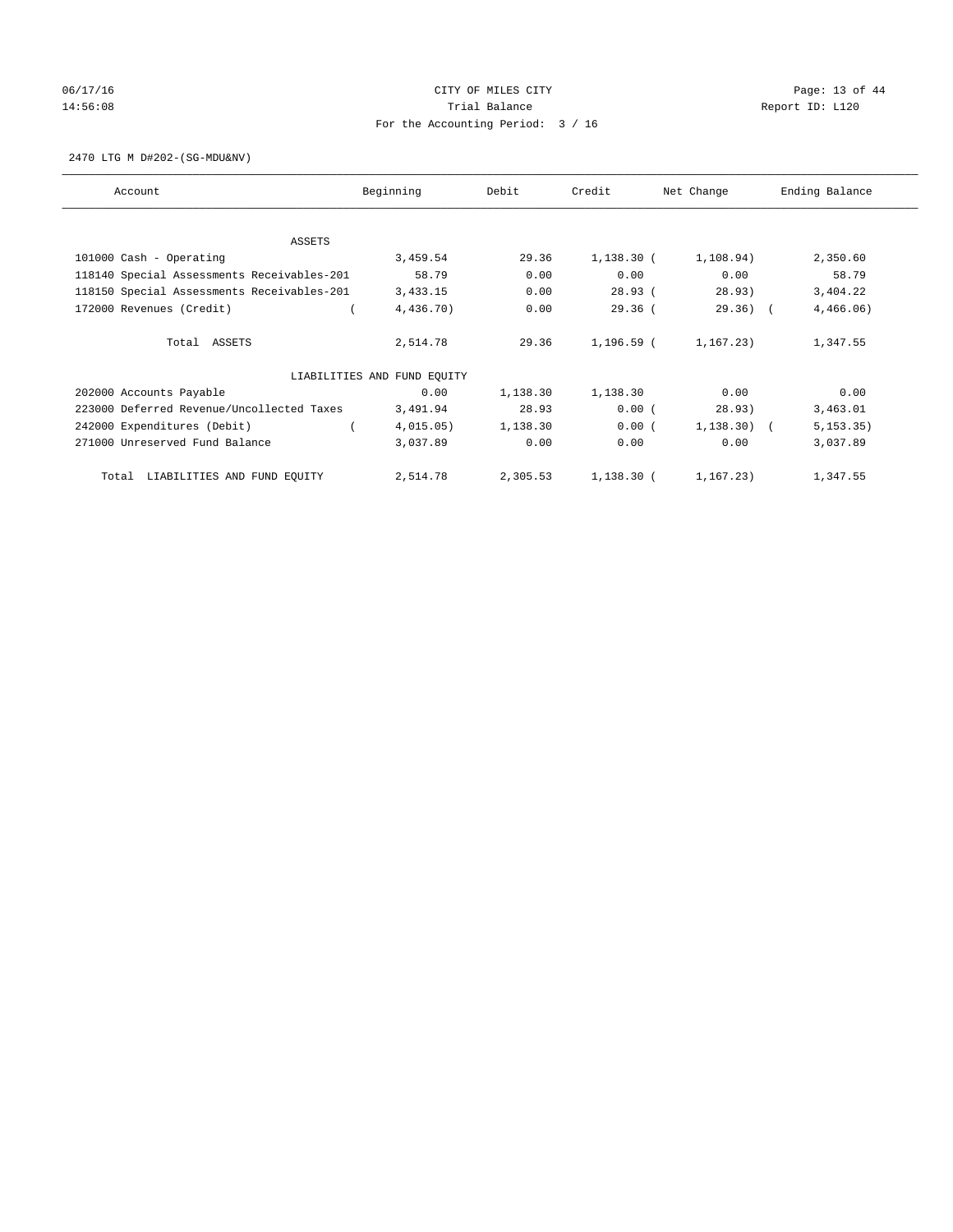## 06/17/16 Page: 13 of 44 14:56:08 Report ID: L120 For the Accounting Period: 3 / 16

2470 LTG M D#202-(SG-MDU&NV)

| Account                                    | Beginning                   | Debit    | Credit       | Net Change   | Ending Balance |
|--------------------------------------------|-----------------------------|----------|--------------|--------------|----------------|
| ASSETS                                     |                             |          |              |              |                |
| 101000 Cash - Operating                    | 3,459.54                    | 29.36    | $1,138.30$ ( | 1,108.94)    | 2,350.60       |
| 118140 Special Assessments Receivables-201 | 58.79                       | 0.00     | 0.00         | 0.00         | 58.79          |
| 118150 Special Assessments Receivables-201 | 3,433.15                    | 0.00     | 28.93(       | 28.93)       | 3,404.22       |
| 172000 Revenues (Credit)                   | 4,436.70)                   | 0.00     | $29.36$ (    | $29.36)$ (   | 4,466.06)      |
|                                            |                             |          |              |              |                |
| Total ASSETS                               | 2,514.78                    | 29.36    | 1,196.59 (   | 1.167.23     | 1,347.55       |
|                                            | LIABILITIES AND FUND EQUITY |          |              |              |                |
| 202000 Accounts Payable                    | 0.00                        | 1,138.30 | 1,138.30     | 0.00         | 0.00           |
| 223000 Deferred Revenue/Uncollected Taxes  | 3,491.94                    | 28.93    | 0.00(        | 28.93)       | 3,463.01       |
| 242000 Expenditures (Debit)                | 4,015.05)                   | 1,138.30 | 0.00(        | $1,138.30$ ( | 5, 153.35)     |
| 271000 Unreserved Fund Balance             | 3,037.89                    | 0.00     | 0.00         | 0.00         | 3,037.89       |
| LIABILITIES AND FUND EQUITY<br>Total       | 2,514.78                    | 2,305.53 | 1,138.30 (   | 1,167.23)    | 1,347.55       |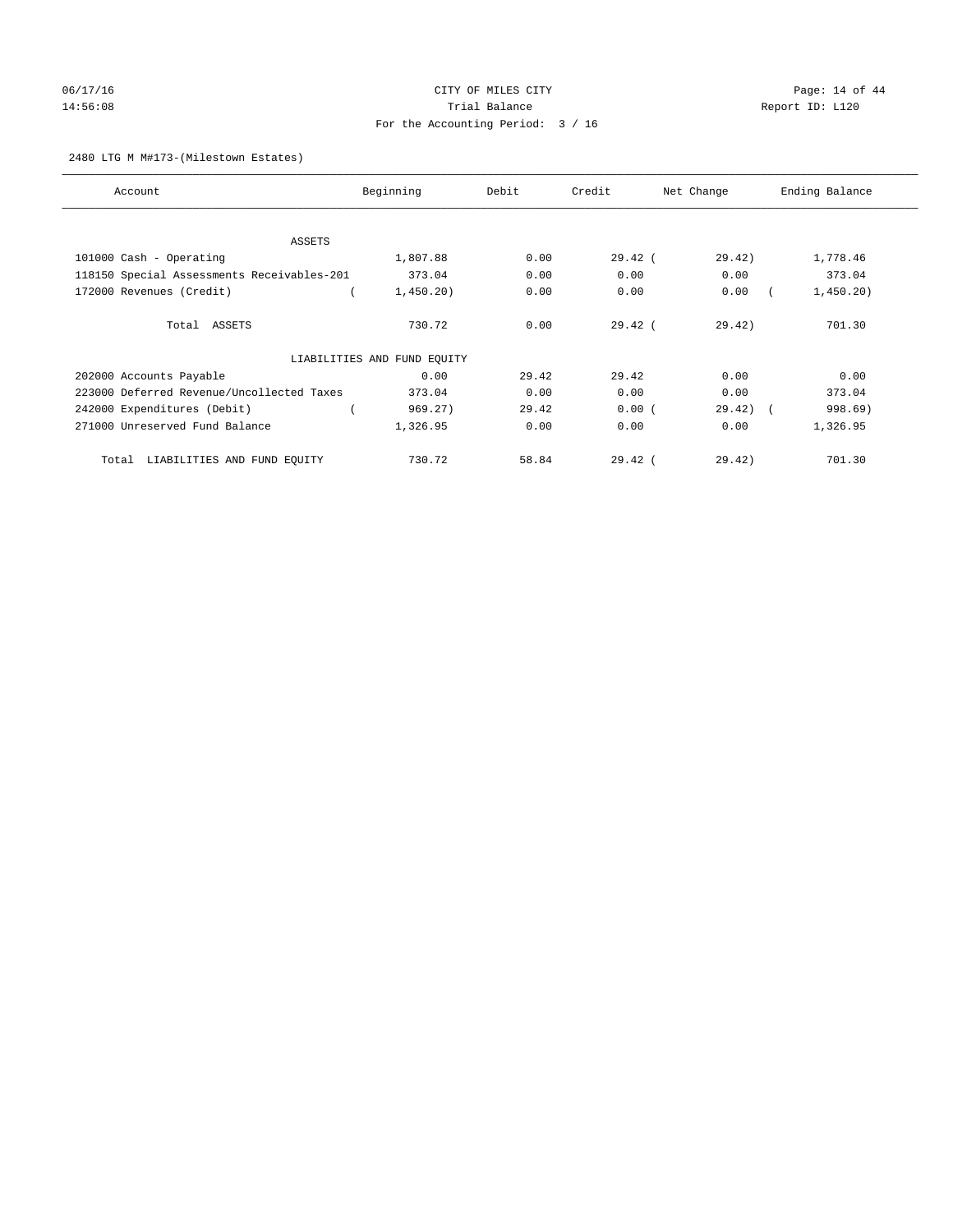# 06/17/16 Page: 14 of 44 14:56:08 Report ID: L120 For the Accounting Period: 3 / 16

## 2480 LTG M M#173-(Milestown Estates)

| Account                                    | Beginning                   | Debit | Credit    | Net Change | Ending Balance |
|--------------------------------------------|-----------------------------|-------|-----------|------------|----------------|
|                                            |                             |       |           |            |                |
| ASSETS                                     |                             |       |           |            |                |
| 101000 Cash - Operating                    | 1,807.88                    | 0.00  | $29.42$ ( | 29.42)     | 1,778.46       |
| 118150 Special Assessments Receivables-201 | 373.04                      | 0.00  | 0.00      | 0.00       | 373.04         |
| 172000 Revenues (Credit)                   | 1,450.20)                   | 0.00  | 0.00      | 0.00       | 1,450.20)      |
| Total ASSETS                               | 730.72                      | 0.00  | $29.42$ ( | 29.42)     | 701.30         |
|                                            | LIABILITIES AND FUND EQUITY |       |           |            |                |
| 202000 Accounts Payable                    | 0.00                        | 29.42 | 29.42     | 0.00       | 0.00           |
| 223000 Deferred Revenue/Uncollected Taxes  | 373.04                      | 0.00  | 0.00      | 0.00       | 373.04         |
| 242000 Expenditures (Debit)                | 969.27)                     | 29.42 | 0.00(     | 29.42)     | 998.69)        |
| 271000 Unreserved Fund Balance             | 1,326.95                    | 0.00  | 0.00      | 0.00       | 1,326.95       |
| LIABILITIES AND FUND EQUITY<br>Total       | 730.72                      | 58.84 | $29.42$ ( | 29.42)     | 701.30         |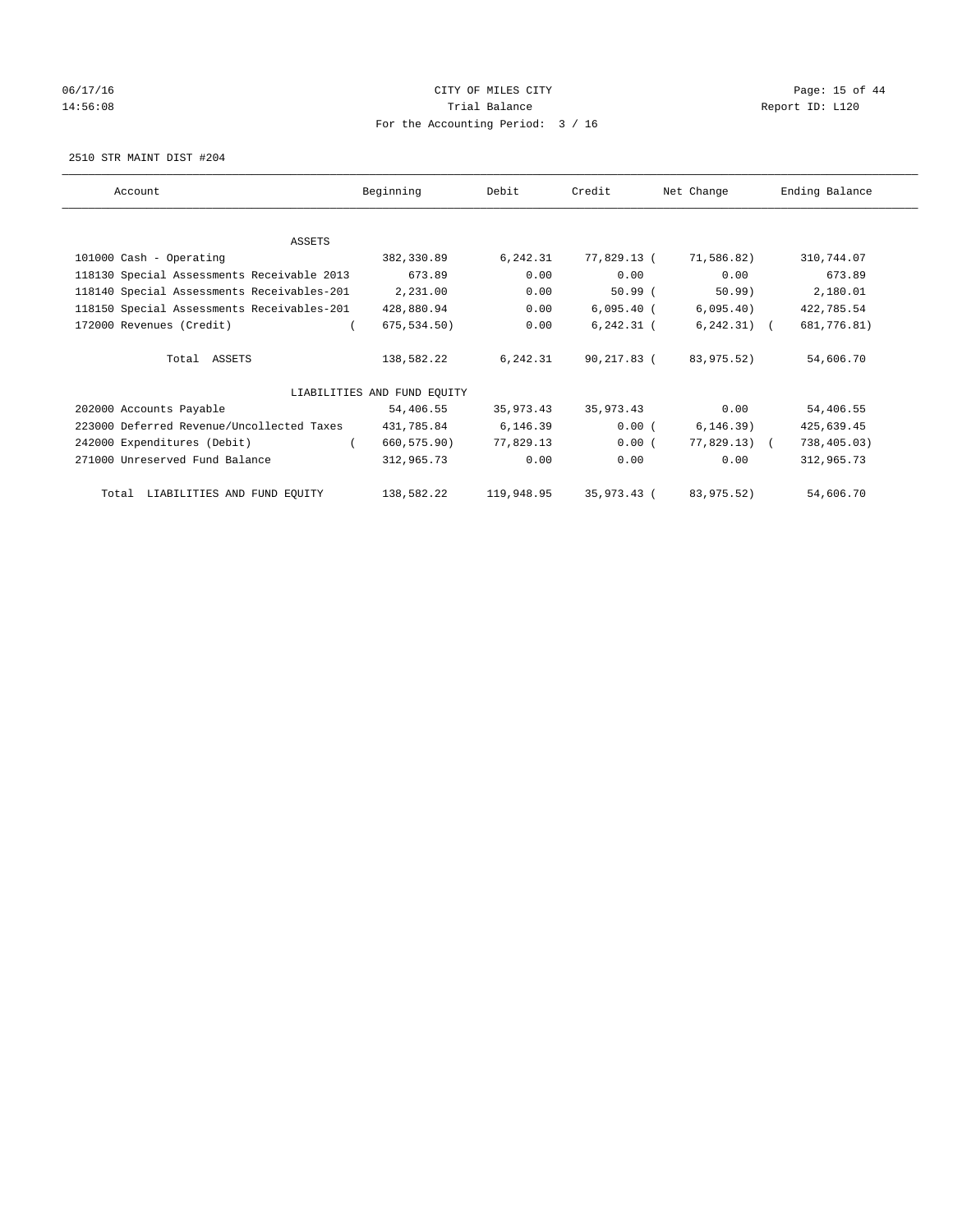# 06/17/16 Page: 15 of 44 14:56:08 Report ID: L120 For the Accounting Period: 3 / 16

2510 STR MAINT DIST #204

| Account                                    | Beginning                   | Debit      | Credit       | Net Change     | Ending Balance |
|--------------------------------------------|-----------------------------|------------|--------------|----------------|----------------|
| ASSETS                                     |                             |            |              |                |                |
| 101000 Cash - Operating                    | 382,330.89                  | 6,242.31   | 77,829.13 (  | 71,586.82)     | 310,744.07     |
| 118130 Special Assessments Receivable 2013 | 673.89                      | 0.00       | 0.00         | 0.00           | 673.89         |
| 118140 Special Assessments Receivables-201 | 2,231.00                    | 0.00       | 50.99(       | $50.99$ )      | 2,180.01       |
| 118150 Special Assessments Receivables-201 | 428,880.94                  | 0.00       | $6,095.40$ ( | 6,095.40)      | 422,785.54     |
| 172000 Revenues (Credit)                   | 675, 534.50)                | 0.00       | $6,242.31$ ( | $6, 242.31)$ ( | 681,776.81)    |
| Total ASSETS                               | 138,582.22                  | 6,242.31   | 90,217.83 (  | 83,975.52)     | 54,606.70      |
|                                            | LIABILITIES AND FUND EQUITY |            |              |                |                |
| 202000 Accounts Payable                    | 54,406.55                   | 35,973.43  | 35,973.43    | 0.00           | 54,406.55      |
| 223000 Deferred Revenue/Uncollected Taxes  | 431,785.84                  | 6,146.39   | $0.00$ (     | 6, 146.39)     | 425,639.45     |
| 242000 Expenditures (Debit)<br>$\left($    | 660,575.90)                 | 77,829.13  | 0.00(        | $77,829.13$ (  | 738,405.03)    |
| 271000 Unreserved Fund Balance             | 312,965.73                  | 0.00       | 0.00         | 0.00           | 312,965.73     |
| Total LIABILITIES AND FUND EQUITY          | 138,582.22                  | 119,948.95 | 35,973.43 (  | 83,975.52)     | 54,606.70      |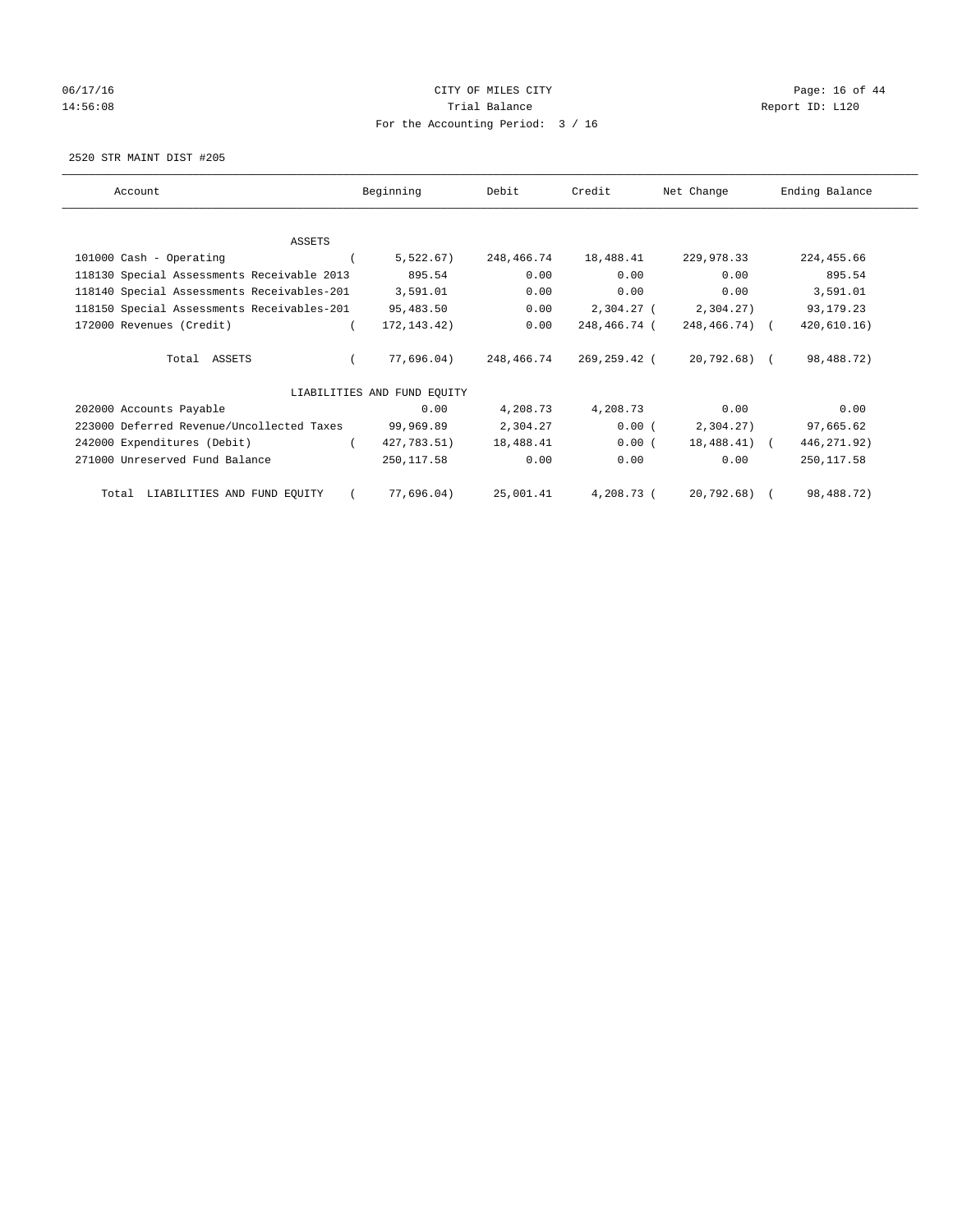# 06/17/16 Page: 16 of 44 14:56:08 Report ID: L120 For the Accounting Period: 3 / 16

2520 STR MAINT DIST #205

| Account                                    | Beginning                   | Debit      | Credit       | Net Change    | Ending Balance |
|--------------------------------------------|-----------------------------|------------|--------------|---------------|----------------|
| <b>ASSETS</b>                              |                             |            |              |               |                |
| 101000 Cash - Operating                    | 5,522.67)                   | 248,466.74 | 18,488.41    | 229,978.33    | 224, 455.66    |
| 118130 Special Assessments Receivable 2013 | 895.54                      | 0.00       | 0.00         | 0.00          | 895.54         |
| 118140 Special Assessments Receivables-201 | 3,591.01                    | 0.00       | 0.00         | 0.00          | 3,591.01       |
| 118150 Special Assessments Receivables-201 | 95,483.50                   | 0.00       | 2,304.27 (   | 2,304.27)     | 93, 179. 23    |
| 172000 Revenues (Credit)                   | 172, 143. 42)               | 0.00       | 248,466.74 ( | 248,466.74) ( | 420, 610.16)   |
| Total ASSETS                               | 77,696.04)                  | 248,466.74 | 269,259.42 ( | 20,792.68) (  | 98,488.72)     |
|                                            | LIABILITIES AND FUND EQUITY |            |              |               |                |
| 202000 Accounts Payable                    | 0.00                        | 4,208.73   | 4,208.73     | 0.00          | 0.00           |
| 223000 Deferred Revenue/Uncollected Taxes  | 99,969.89                   | 2,304.27   | 0.00(        | 2,304.27)     | 97,665.62      |
| 242000 Expenditures (Debit)                | 427,783.51)                 | 18,488.41  | 0.00(        | 18,488.41) (  | 446, 271.92)   |
| 271000 Unreserved Fund Balance             | 250,117.58                  | 0.00       | 0.00         | 0.00          | 250, 117.58    |
| LIABILITIES AND FUND EQUITY<br>Total       | 77,696.04)                  | 25,001.41  | 4,208.73 (   | 20,792.68) (  | 98,488.72)     |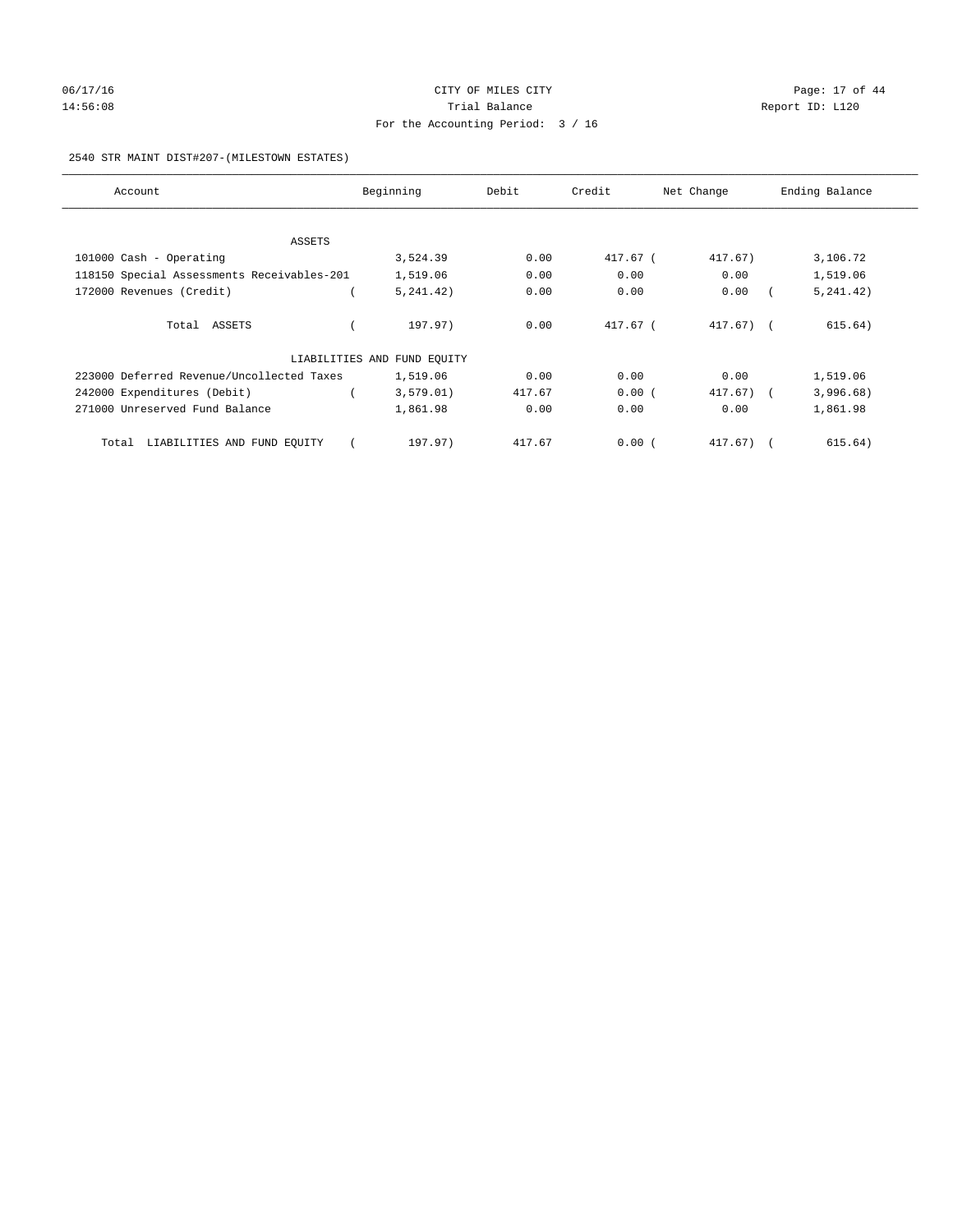# 06/17/16 Page: 17 of 44 14:56:08 Report ID: L120 For the Accounting Period: 3 / 16

## 2540 STR MAINT DIST#207-(MILESTOWN ESTATES)

| Account                                    | Beginning                   | Debit  | Credit   | Net Change   | Ending Balance |
|--------------------------------------------|-----------------------------|--------|----------|--------------|----------------|
|                                            |                             |        |          |              |                |
| ASSETS                                     |                             |        |          |              |                |
| 101000 Cash - Operating                    | 3,524.39                    | 0.00   | 417.67 ( | 417.67)      | 3,106.72       |
| 118150 Special Assessments Receivables-201 | 1,519.06                    | 0.00   | 0.00     | 0.00         | 1,519.06       |
| 172000 Revenues (Credit)                   | 5, 241, 42)                 | 0.00   | 0.00     | 0.00         | 5, 241.42)     |
| Total ASSETS                               | 197.97)                     | 0.00   | 417.67 ( | $417.67$ ) ( | 615.64)        |
|                                            | LIABILITIES AND FUND EQUITY |        |          |              |                |
| 223000 Deferred Revenue/Uncollected Taxes  | 1,519.06                    | 0.00   | 0.00     | 0.00         | 1,519.06       |
| 242000 Expenditures (Debit)                | 3,579.01)                   | 417.67 | 0.00(    | $417.67$ ) ( | 3,996.68)      |
| 271000 Unreserved Fund Balance             | 1,861.98                    | 0.00   | 0.00     | 0.00         | 1,861.98       |
| Total LIABILITIES AND FUND EQUITY          | 197.97)                     | 417.67 | 0.00(    | $417.67$ ) ( | 615.64)        |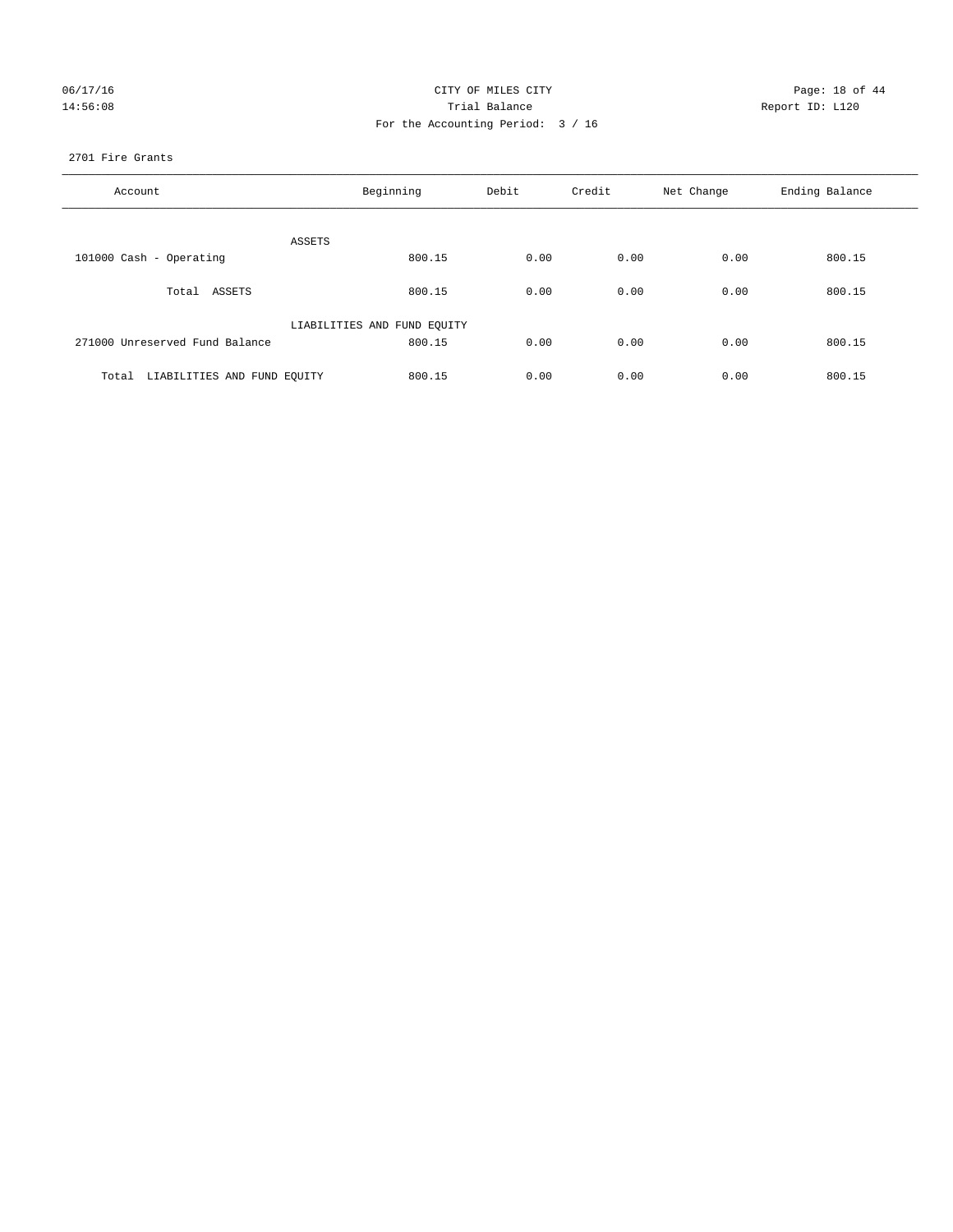|  | 06/17/16 |
|--|----------|
|  | 14:56:08 |

## CITY OF MILES CITY Page: 18 of 44<br>Trial Balance Report ID: L120 14:56:08 Report ID: L120 For the Accounting Period: 3 / 16

## 2701 Fire Grants

| Account                              | Beginning                   | Debit | Credit | Net Change | Ending Balance |
|--------------------------------------|-----------------------------|-------|--------|------------|----------------|
| ASSETS                               |                             |       |        |            |                |
| 101000 Cash - Operating              | 800.15                      | 0.00  | 0.00   | 0.00       | 800.15         |
| Total ASSETS                         | 800.15                      | 0.00  | 0.00   | 0.00       | 800.15         |
|                                      | LIABILITIES AND FUND EQUITY |       |        |            |                |
| 271000 Unreserved Fund Balance       | 800.15                      | 0.00  | 0.00   | 0.00       | 800.15         |
| LIABILITIES AND FUND EQUITY<br>Total | 800.15                      | 0.00  | 0.00   | 0.00       | 800.15         |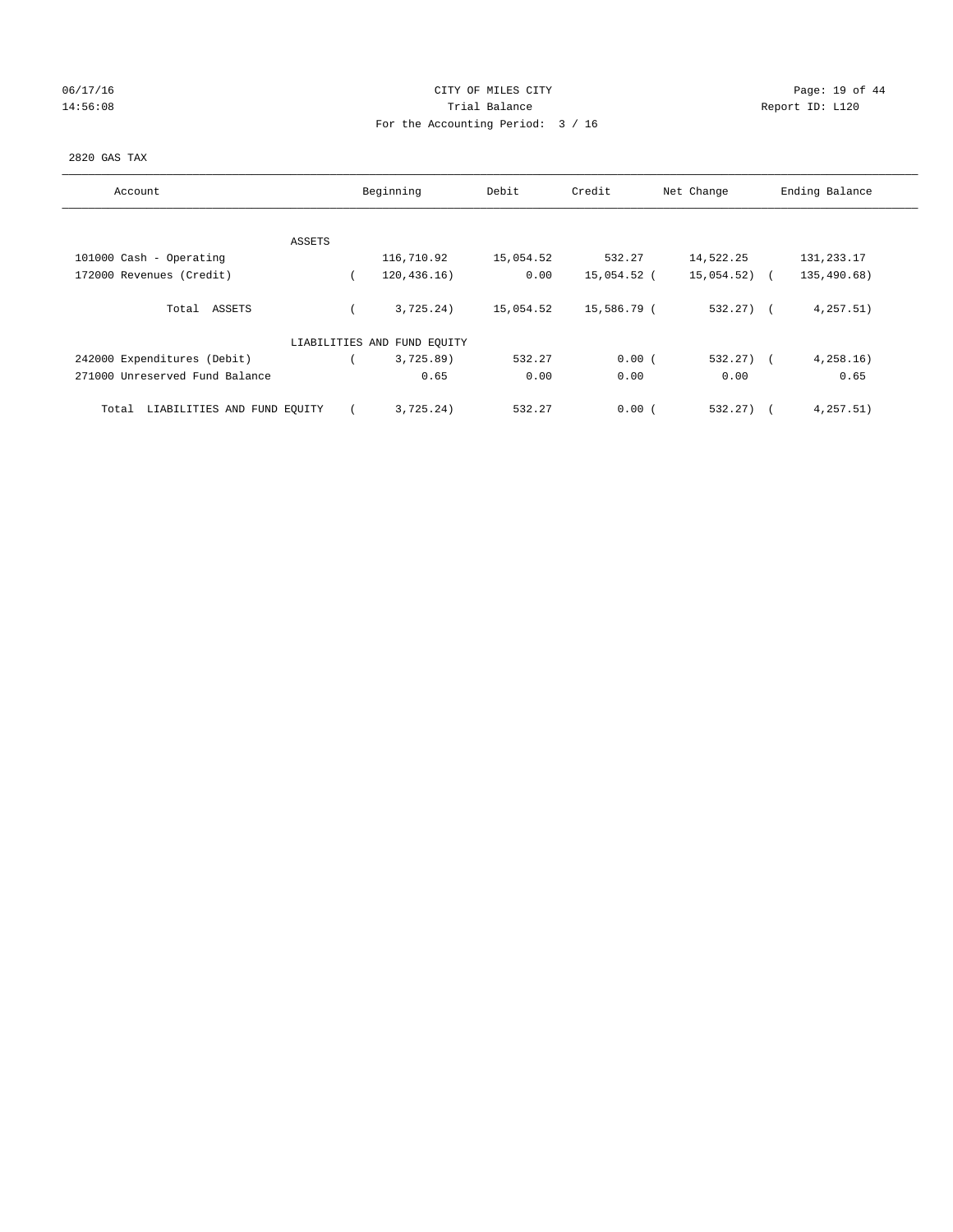## 06/17/16 Page: 19 of 44 14:56:08 Report ID: L120 For the Accounting Period: 3 / 16

## 2820 GAS TAX

| Account                              |        | Beginning                   | Debit     | Credit      | Net Change | Ending Balance |
|--------------------------------------|--------|-----------------------------|-----------|-------------|------------|----------------|
|                                      |        |                             |           |             |            |                |
|                                      | ASSETS |                             |           |             |            |                |
| 101000 Cash - Operating              |        | 116,710.92                  | 15,054.52 | 532.27      | 14,522.25  | 131,233.17     |
| 172000 Revenues (Credit)             |        | 120, 436, 16)               | 0.00      | 15,054.52 ( | 15,054.52) | 135,490.68)    |
| Total ASSETS                         |        | 3,725.24)                   | 15,054.52 | 15,586.79 ( | $532.27$ ( | 4, 257.51)     |
|                                      |        | LIABILITIES AND FUND EQUITY |           |             |            |                |
| 242000 Expenditures (Debit)          |        | 3,725.89                    | 532.27    | 0.00(       | 532.27)    | 4,258.16       |
| 271000 Unreserved Fund Balance       |        | 0.65                        | 0.00      | 0.00        | 0.00       | 0.65           |
| LIABILITIES AND FUND EQUITY<br>Total |        | 3,725.24)                   | 532.27    | 0.00(       | 532.27)    | 4,257.51)      |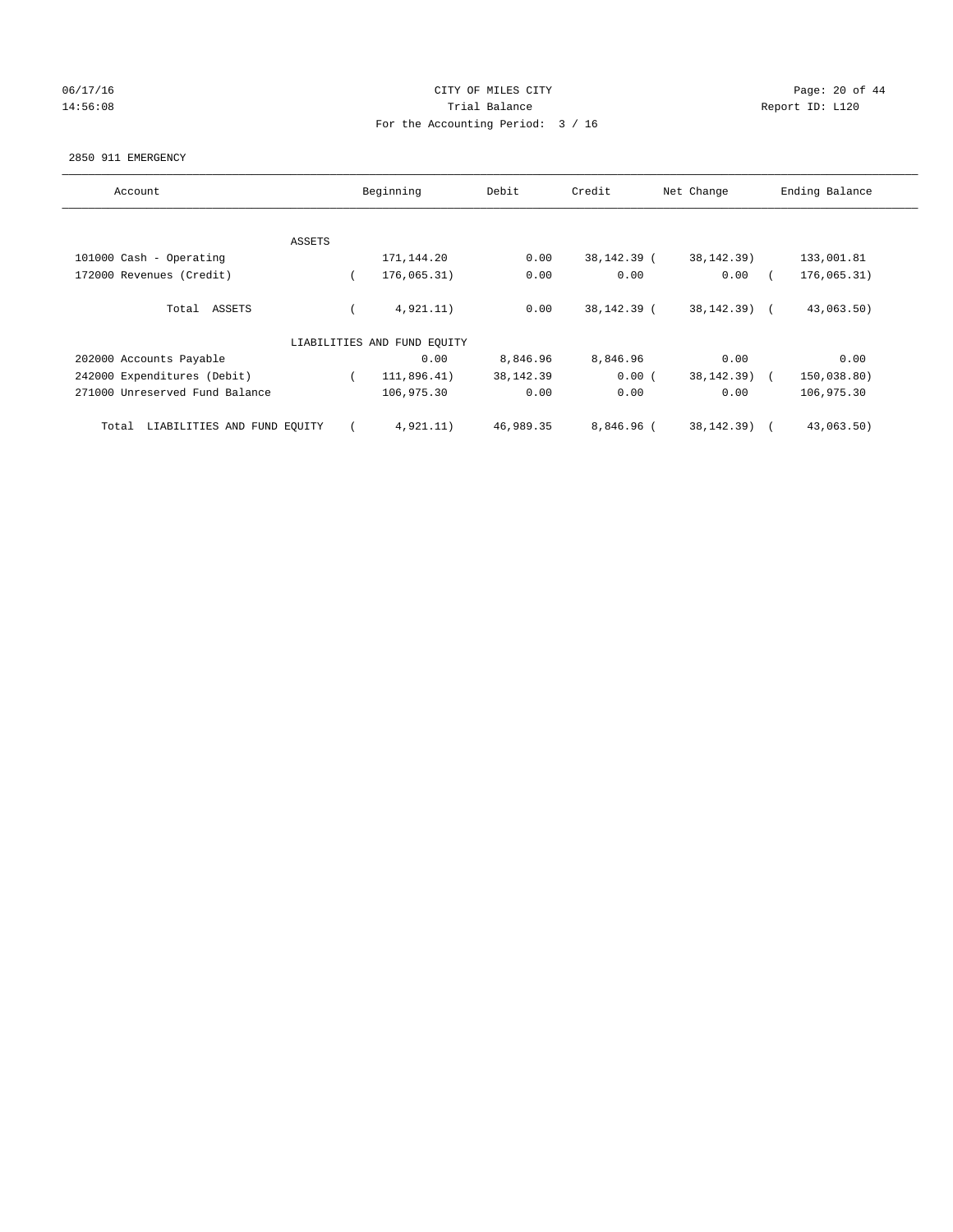## 06/17/16 Page: 20 of 44 14:56:08 Report ID: L120 For the Accounting Period: 3 / 16

#### 2850 911 EMERGENCY

| Account                              |        | Beginning                   | Debit       | Credit       | Net Change      | Ending Balance |
|--------------------------------------|--------|-----------------------------|-------------|--------------|-----------------|----------------|
|                                      |        |                             |             |              |                 |                |
|                                      | ASSETS |                             |             |              |                 |                |
| 101000 Cash - Operating              |        | 171,144.20                  | 0.00        | 38,142.39 (  | 38, 142. 39)    | 133,001.81     |
| 172000 Revenues (Credit)             |        | 176,065.31)                 | 0.00        | 0.00         | 0.00            | 176,065.31)    |
| Total ASSETS                         |        | 4,921.11)                   | 0.00        | 38,142.39 (  | $38, 142, 39$ ( | 43,063.50)     |
|                                      |        | LIABILITIES AND FUND EQUITY |             |              |                 |                |
| 202000 Accounts Payable              |        | 0.00                        | 8,846.96    | 8,846.96     | 0.00            | 0.00           |
| 242000 Expenditures (Debit)          |        | 111,896.41)                 | 38, 142. 39 | 0.00(        | 38, 142. 39)    | 150,038.80)    |
| 271000 Unreserved Fund Balance       |        | 106,975.30                  | 0.00        | 0.00         | 0.00            | 106,975.30     |
| LIABILITIES AND FUND EQUITY<br>Total |        | 4,921.11)                   | 46,989.35   | $8.846.96$ ( | 38, 142, 39)    | 43,063.50)     |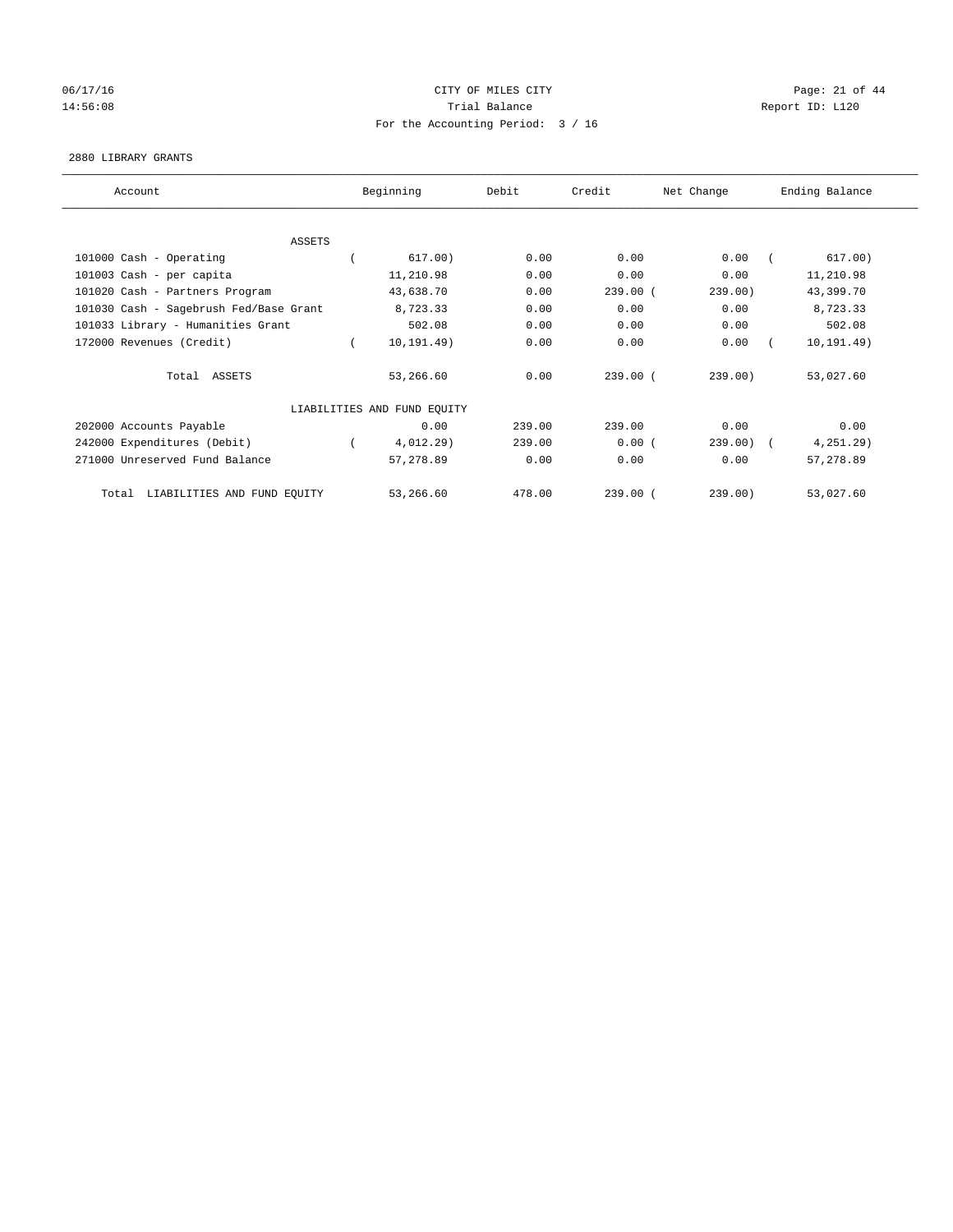## 06/17/16 Page: 21 of 44 14:56:08 Report ID: L120 For the Accounting Period: 3 / 16

#### 2880 LIBRARY GRANTS

| Account                                | Beginning                   | Debit  | Credit     | Net Change | Ending Balance |
|----------------------------------------|-----------------------------|--------|------------|------------|----------------|
|                                        |                             |        |            |            |                |
| ASSETS                                 |                             |        |            |            |                |
| 101000 Cash - Operating                | 617.00)                     | 0.00   | 0.00       | 0.00       | 617.00)        |
| 101003 Cash - per capita               | 11,210.98                   | 0.00   | 0.00       | 0.00       | 11,210.98      |
| 101020 Cash - Partners Program         | 43,638.70                   | 0.00   | $239.00$ ( | 239.00)    | 43,399.70      |
| 101030 Cash - Sagebrush Fed/Base Grant | 8,723.33                    | 0.00   | 0.00       | 0.00       | 8,723.33       |
| 101033 Library - Humanities Grant      | 502.08                      | 0.00   | 0.00       | 0.00       | 502.08         |
| 172000 Revenues (Credit)               | 10, 191.49)                 | 0.00   | 0.00       | 0.00       | 10, 191.49)    |
| Total ASSETS                           | 53,266.60                   | 0.00   | 239.00(    | 239.00)    | 53,027.60      |
|                                        | LIABILITIES AND FUND EQUITY |        |            |            |                |
| 202000 Accounts Payable                | 0.00                        | 239.00 | 239.00     | 0.00       | 0.00           |
| 242000 Expenditures (Debit)            | 4,012.29)                   | 239.00 | 0.00(      | 239.00     | $4, 251.29$ )  |
| 271000 Unreserved Fund Balance         | 57,278.89                   | 0.00   | 0.00       | 0.00       | 57,278.89      |
| LIABILITIES AND FUND EQUITY<br>Total   | 53,266.60                   | 478.00 | $239.00$ ( | 239.00)    | 53,027.60      |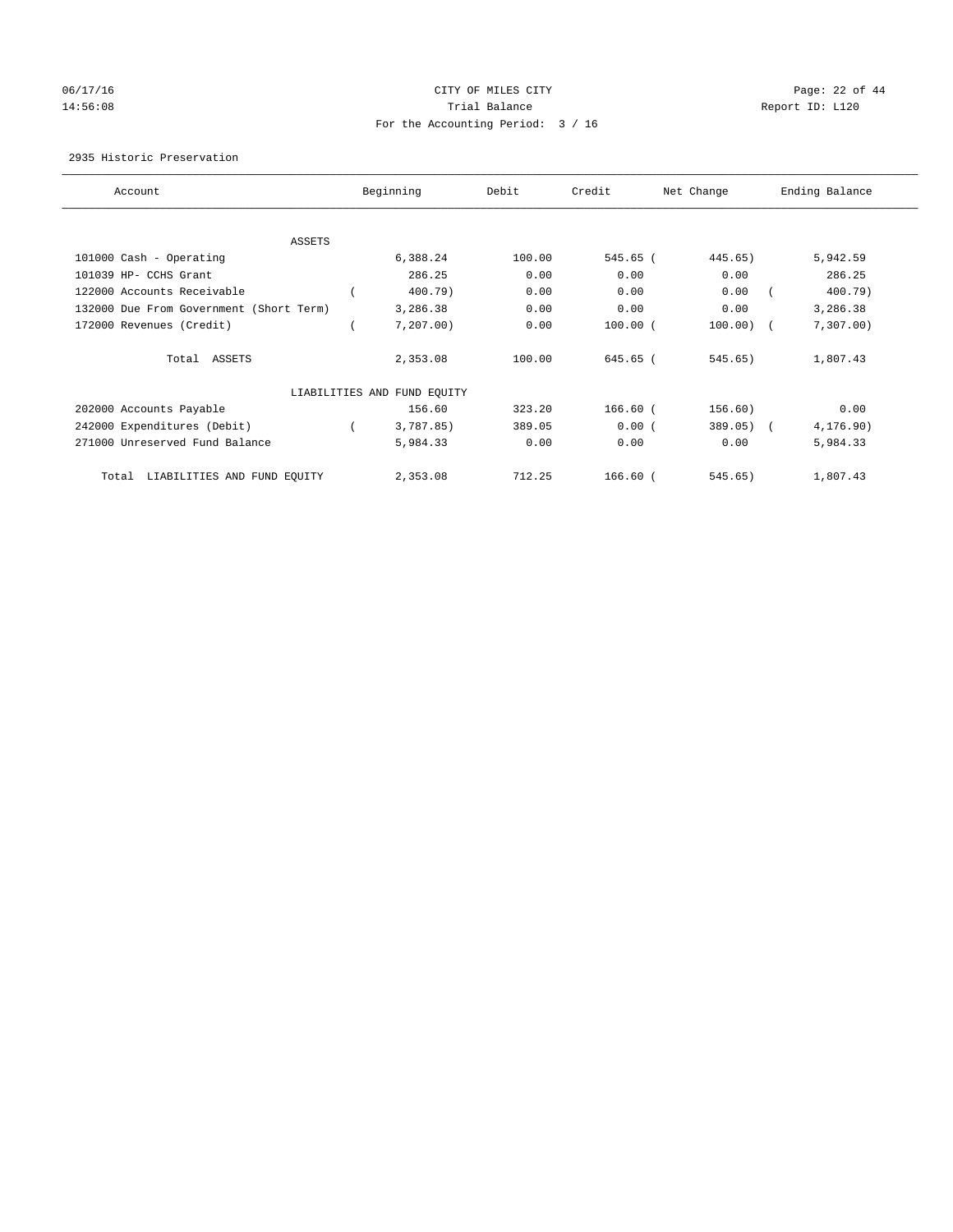## 06/17/16 Page: 22 of 44 14:56:08 Report ID: L120 For the Accounting Period: 3 / 16

## 2935 Historic Preservation

| Account                                 | Beginning                   | Debit  | Credit     | Net Change  | Ending Balance |
|-----------------------------------------|-----------------------------|--------|------------|-------------|----------------|
|                                         |                             |        |            |             |                |
| ASSETS                                  |                             |        |            |             |                |
| 101000 Cash - Operating                 | 6,388.24                    | 100.00 | 545.65 (   | 445.65)     | 5,942.59       |
| 101039 HP- CCHS Grant                   | 286.25                      | 0.00   | 0.00       | 0.00        | 286.25         |
| 122000 Accounts Receivable              | 400.79)                     | 0.00   | 0.00       | 0.00        | 400.79)        |
| 132000 Due From Government (Short Term) | 3,286.38                    | 0.00   | 0.00       | 0.00        | 3,286.38       |
| 172000 Revenues (Credit)                | 7,207.00                    | 0.00   | $100.00$ ( | $100.00)$ ( | 7,307.00       |
| Total ASSETS                            | 2,353.08                    | 100.00 | 645.65 (   | 545.65)     | 1,807.43       |
|                                         | LIABILITIES AND FUND EQUITY |        |            |             |                |
| 202000 Accounts Payable                 | 156.60                      | 323.20 | $166.60$ ( | 156.60)     | 0.00           |
| 242000 Expenditures (Debit)             | 3,787.85)                   | 389.05 | 0.00(      | $389.05)$ ( | 4, 176.90)     |
| 271000 Unreserved Fund Balance          | 5,984.33                    | 0.00   | 0.00       | 0.00        | 5,984.33       |
| Total LIABILITIES AND FUND EQUITY       | 2,353.08                    | 712.25 | $166.60$ ( | 545.65)     | 1,807.43       |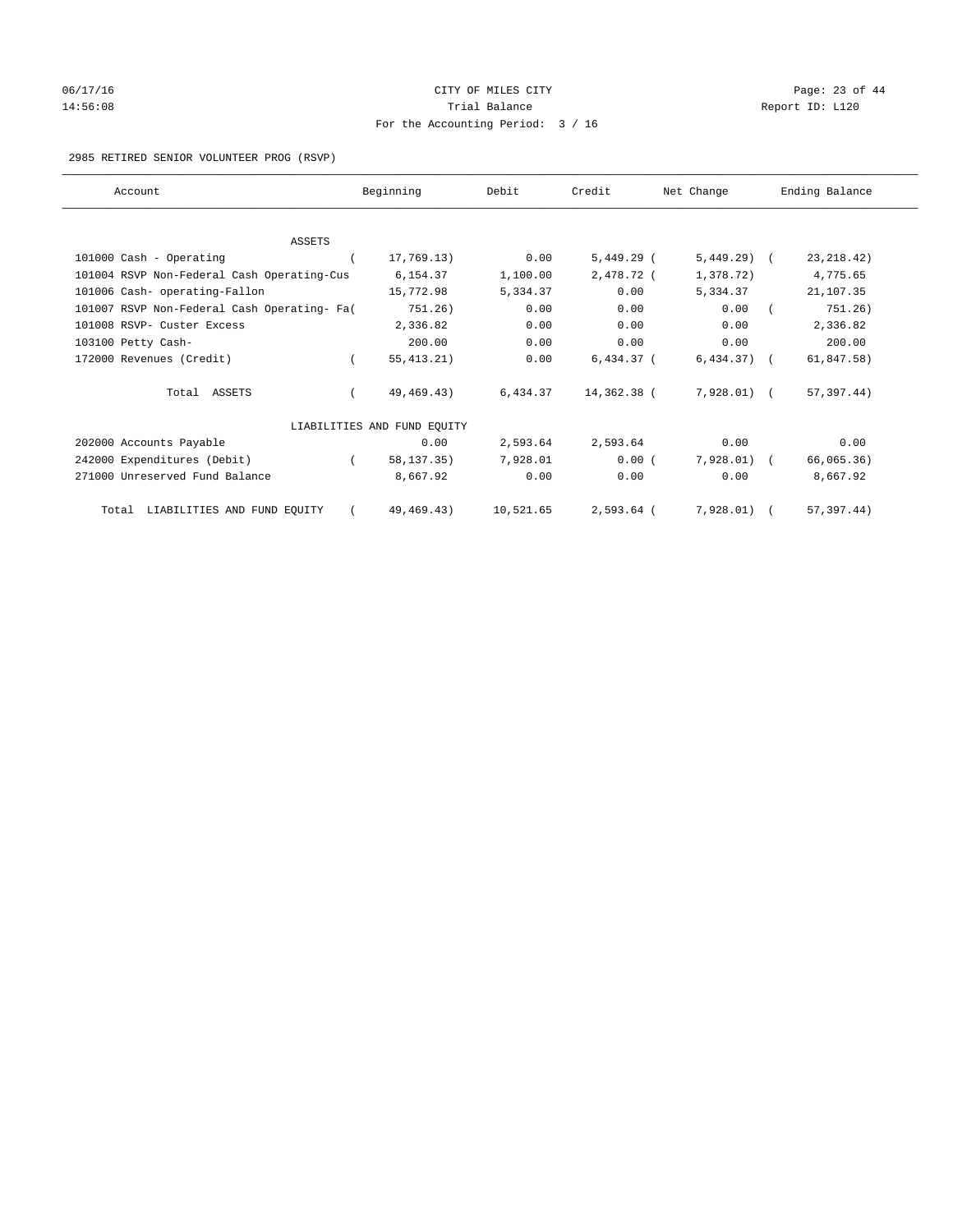# 06/17/16 Page: 23 of 44 14:56:08 Report ID: L120 For the Accounting Period: 3 / 16

## 2985 RETIRED SENIOR VOLUNTEER PROG (RSVP)

| Account                                     |          | Beginning                   | Debit     | Credit       | Net Change    | Ending Balance |
|---------------------------------------------|----------|-----------------------------|-----------|--------------|---------------|----------------|
|                                             |          |                             |           |              |               |                |
| <b>ASSETS</b>                               |          |                             |           |              |               |                |
| 101000 Cash - Operating                     |          | 17,769.13)                  | 0.00      | 5,449.29 (   | $5,449.29$ (  | 23, 218.42)    |
| 101004 RSVP Non-Federal Cash Operating-Cus  |          | 6,154.37                    | 1,100.00  | 2,478.72 (   | 1,378.72)     | 4,775.65       |
| 101006 Cash- operating-Fallon               |          | 15,772.98                   | 5,334.37  | 0.00         | 5,334.37      | 21,107.35      |
| 101007 RSVP Non-Federal Cash Operating- Fa( |          | 751.26)                     | 0.00      | 0.00         | 0.00          | 751.26)        |
| 101008 RSVP- Custer Excess                  |          | 2,336.82                    | 0.00      | 0.00         | 0.00          | 2,336.82       |
| 103100 Petty Cash-                          |          | 200.00                      | 0.00      | 0.00         | 0.00          | 200.00         |
| 172000 Revenues (Credit)                    | $\left($ | 55, 413.21)                 | 0.00      | $6,434.37$ ( | $6,434.37$ (  | 61,847.58)     |
| Total ASSETS                                |          | 49,469.43)                  | 6,434.37  | 14,362.38 (  | 7,928.01) (   | 57,397.44)     |
|                                             |          | LIABILITIES AND FUND EQUITY |           |              |               |                |
| 202000 Accounts Payable                     |          | 0.00                        | 2,593.64  | 2,593.64     | 0.00          | 0.00           |
| 242000 Expenditures (Debit)                 |          | 58,137.35)                  | 7,928.01  | 0.00(        | $7,928.01)$ ( | 66,065.36)     |
| 271000 Unreserved Fund Balance              |          | 8,667.92                    | 0.00      | 0.00         | 0.00          | 8,667.92       |
| Total LIABILITIES AND FUND EQUITY           |          | 49, 469. 43)                | 10,521.65 | $2,593.64$ ( | 7,928.01)     | 57, 397.44)    |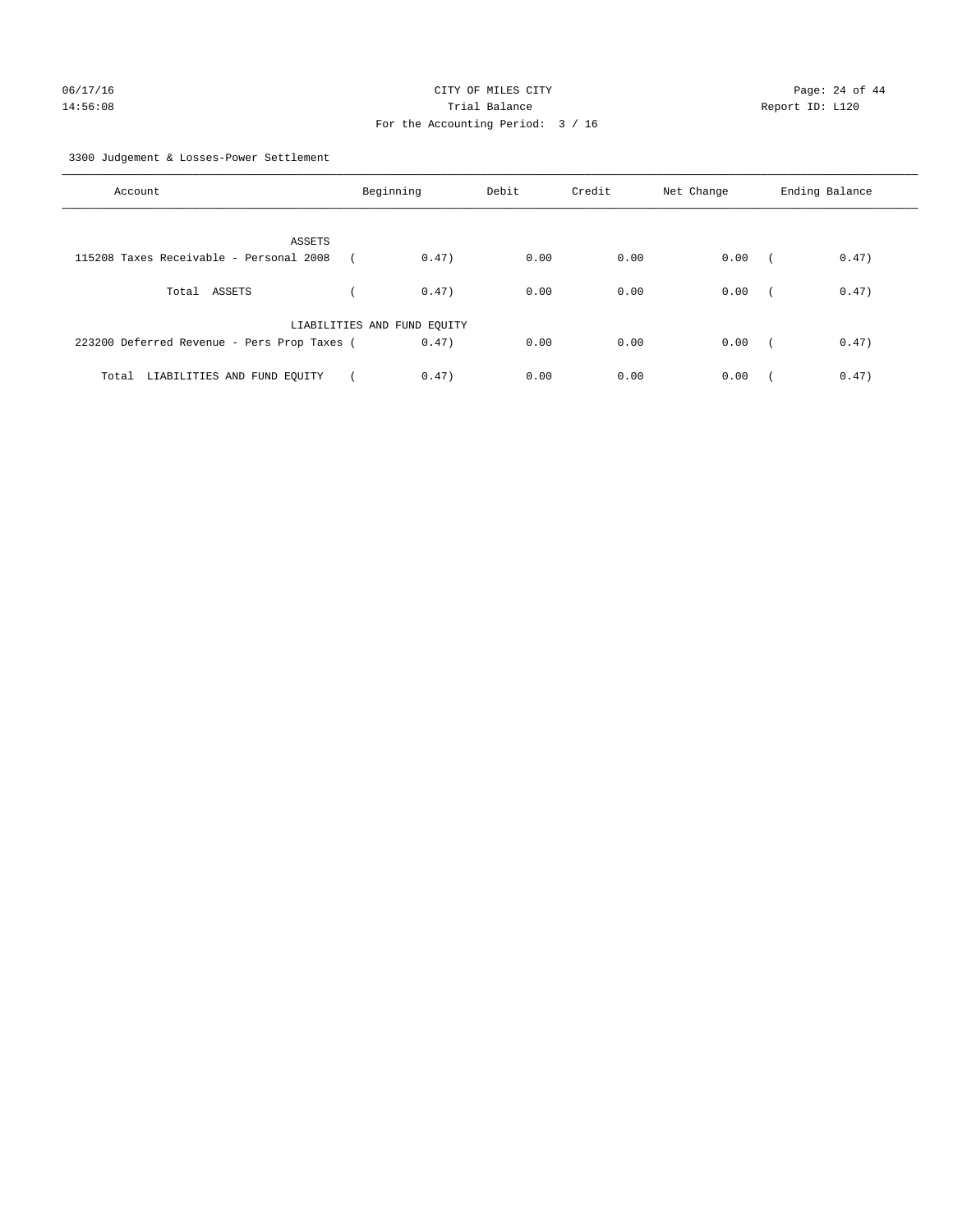3300 Judgement & Losses-Power Settlement

| Account                                     | Beginning                   |       | Debit | Credit | Net Change | Ending Balance |       |
|---------------------------------------------|-----------------------------|-------|-------|--------|------------|----------------|-------|
| ASSETS                                      |                             |       |       |        |            |                |       |
| 115208 Taxes Receivable - Personal 2008     |                             | 0.47) | 0.00  | 0.00   | 0.00       | $\sqrt{2}$     | 0.47) |
| Total ASSETS                                |                             | 0.47) | 0.00  | 0.00   | 0.00       | $\sqrt{2}$     | 0.47) |
|                                             | LIABILITIES AND FUND EQUITY |       |       |        |            |                |       |
| 223200 Deferred Revenue - Pers Prop Taxes ( |                             | 0.47) | 0.00  | 0.00   | 0.00       | $\sim$         | 0.47) |
| LIABILITIES AND FUND EQUITY<br>Total        |                             | 0.47) | 0.00  | 0.00   | 0.00       |                | 0.47) |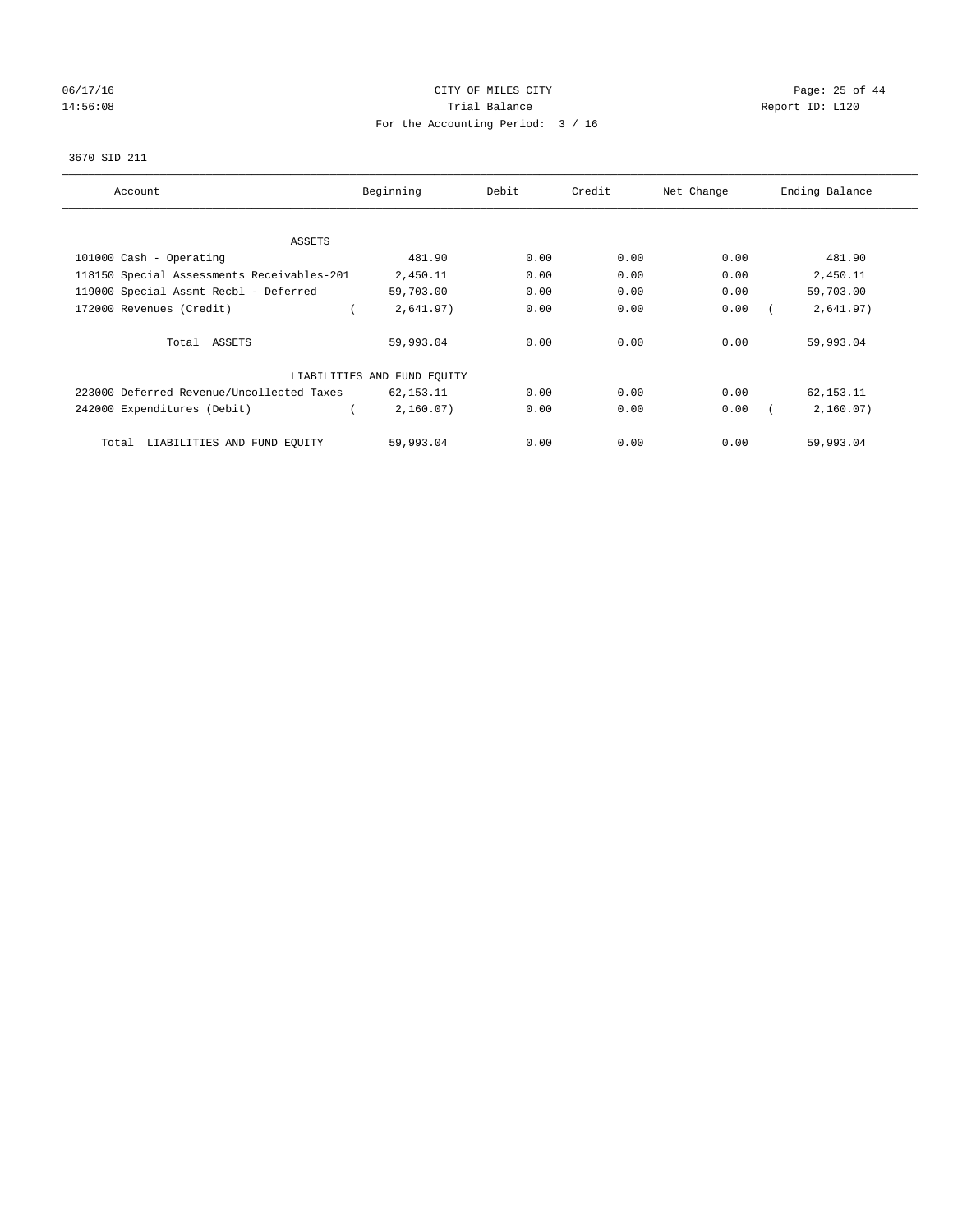# 06/17/16 Page: 25 of 44 14:56:08 Report ID: L120 For the Accounting Period: 3 / 16

## 3670 SID 211

| Account                                    | Beginning                   | Debit | Credit | Net Change | Ending Balance |
|--------------------------------------------|-----------------------------|-------|--------|------------|----------------|
|                                            |                             |       |        |            |                |
| ASSETS                                     |                             |       |        |            |                |
| 101000 Cash - Operating                    | 481.90                      | 0.00  | 0.00   | 0.00       | 481.90         |
| 118150 Special Assessments Receivables-201 | 2,450.11                    | 0.00  | 0.00   | 0.00       | 2,450.11       |
| 119000 Special Assmt Recbl - Deferred      | 59,703.00                   | 0.00  | 0.00   | 0.00       | 59,703.00      |
| 172000 Revenues (Credit)                   | 2,641.97)                   | 0.00  | 0.00   | 0.00       | 2,641.97)      |
| Total ASSETS                               | 59,993.04                   | 0.00  | 0.00   | 0.00       | 59,993.04      |
|                                            | LIABILITIES AND FUND EQUITY |       |        |            |                |
| 223000 Deferred Revenue/Uncollected Taxes  | 62,153.11                   | 0.00  | 0.00   | 0.00       | 62,153.11      |
| 242000 Expenditures (Debit)                | 2,160.07)                   | 0.00  | 0.00   | 0.00       | 2,160.07)      |
| LIABILITIES AND FUND EQUITY<br>Total       | 59,993.04                   | 0.00  | 0.00   | 0.00       | 59,993.04      |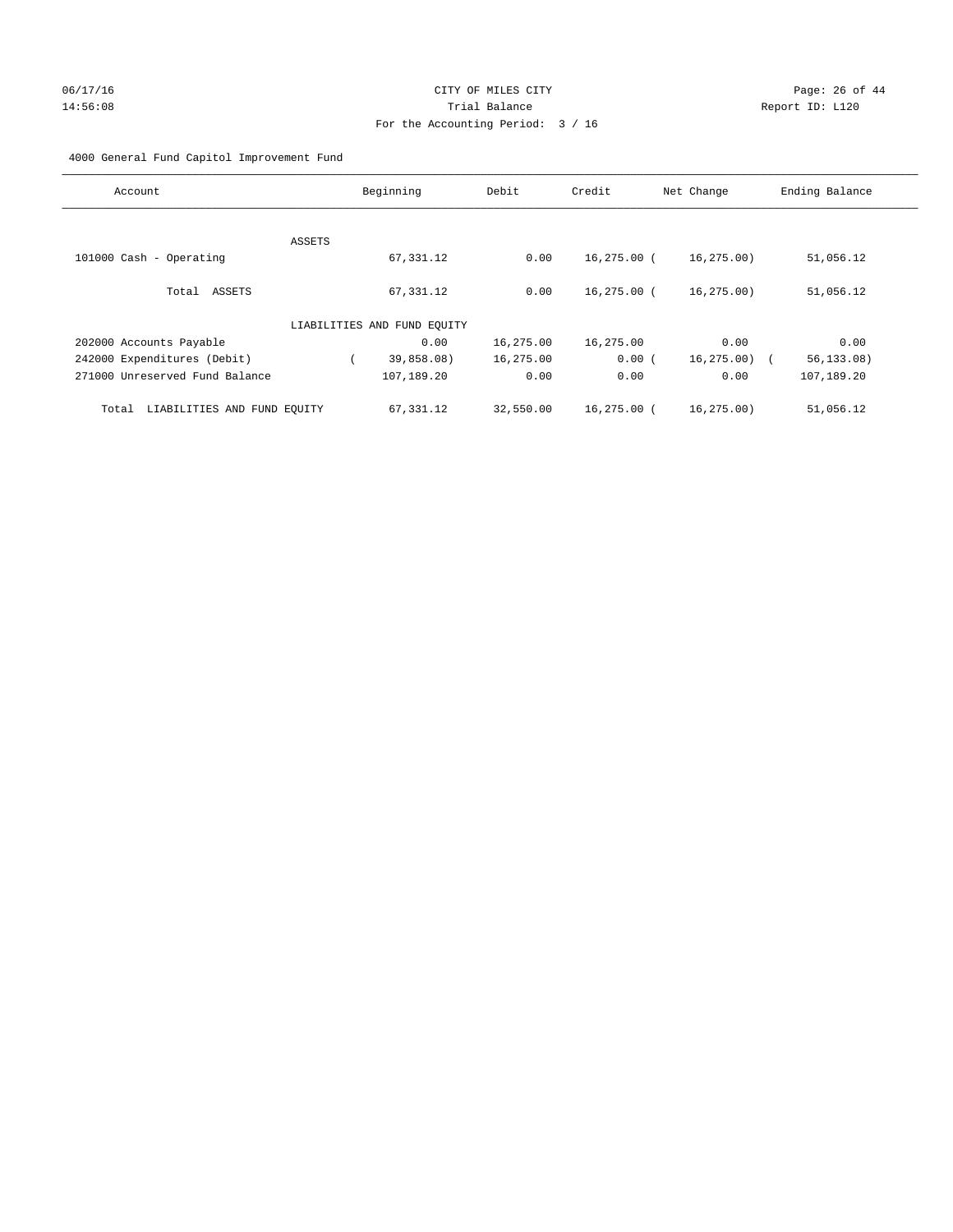# 06/17/16 Page: 26 of 44 14:56:08 Trial Balance Report ID: L120 For the Accounting Period: 3 / 16

## 4000 General Fund Capitol Improvement Fund

| Account                              | Beginning                   | Debit     | Credit      | Net Change  | Ending Balance |
|--------------------------------------|-----------------------------|-----------|-------------|-------------|----------------|
| ASSETS                               |                             |           |             |             |                |
| 101000 Cash - Operating              | 67,331.12                   | 0.00      | 16,275.00 ( | 16,275.00)  | 51,056.12      |
| Total ASSETS                         | 67,331.12                   | 0.00      | 16,275.00 ( | 16,275.00)  | 51,056.12      |
|                                      | LIABILITIES AND FUND EQUITY |           |             |             |                |
| 202000 Accounts Payable              | 0.00                        | 16,275.00 | 16,275.00   | 0.00        | 0.00           |
| 242000 Expenditures (Debit)          | 39,858.08)                  | 16,275.00 | 0.00(       | 16, 275.00) | 56, 133.08)    |
| 271000 Unreserved Fund Balance       | 107,189.20                  | 0.00      | 0.00        | 0.00        | 107,189.20     |
| LIABILITIES AND FUND EQUITY<br>Total | 67,331.12                   | 32,550.00 | 16,275.00 ( | 16.275.00   | 51,056.12      |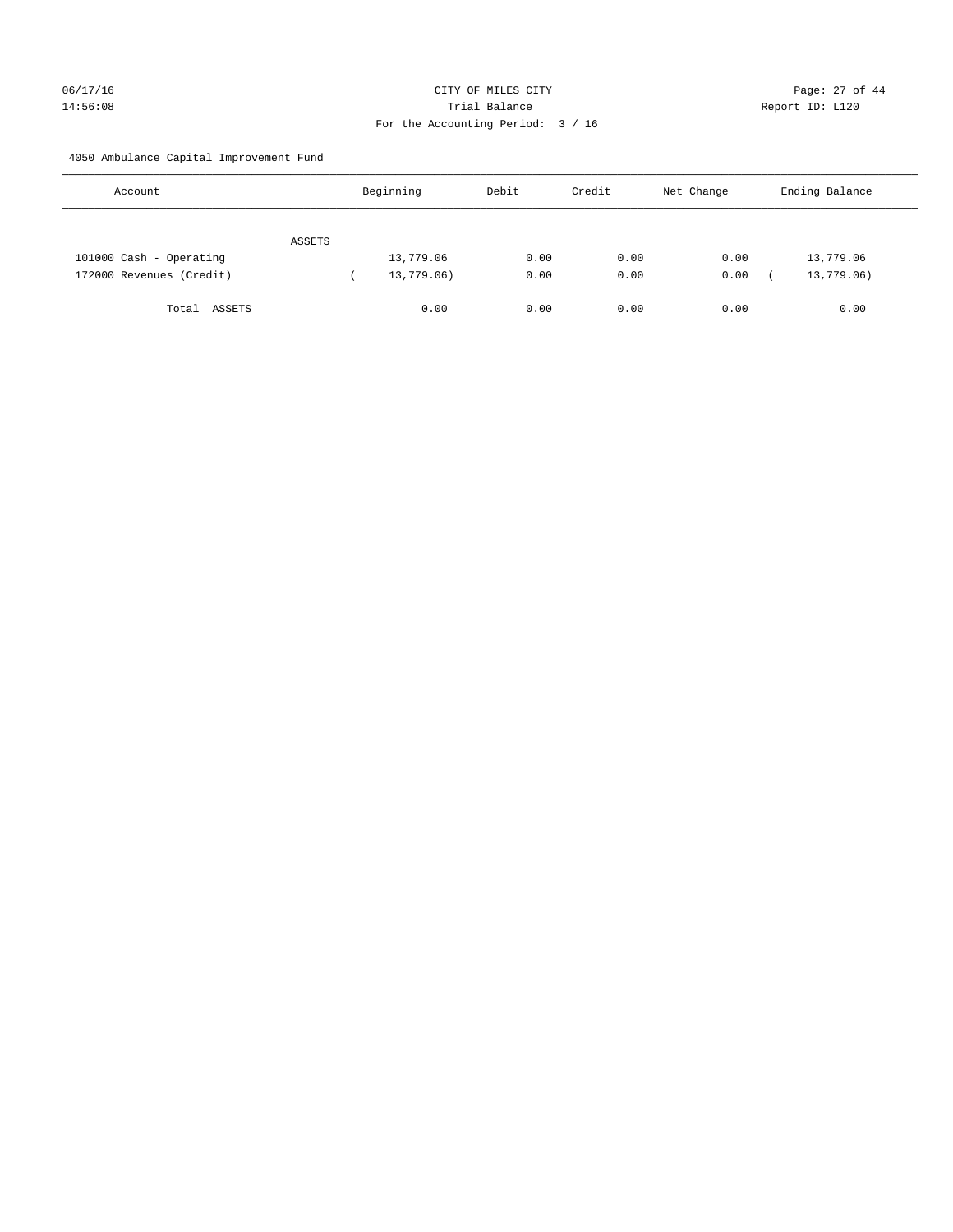# 06/17/16 Page: 27 of 44 14:56:08 Trial Balance Report ID: L120 For the Accounting Period: 3 / 16

4050 Ambulance Capital Improvement Fund

| Account                  |        | Beginning  | Debit | Credit | Net Change | Ending Balance |
|--------------------------|--------|------------|-------|--------|------------|----------------|
|                          | ASSETS |            |       |        |            |                |
| 101000 Cash - Operating  |        | 13,779.06  | 0.00  | 0.00   | 0.00       | 13,779.06      |
| 172000 Revenues (Credit) |        | 13,779.06) | 0.00  | 0.00   | 0.00       | 13,779.06)     |
| Total ASSETS             |        | 0.00       | 0.00  | 0.00   | 0.00       | 0.00           |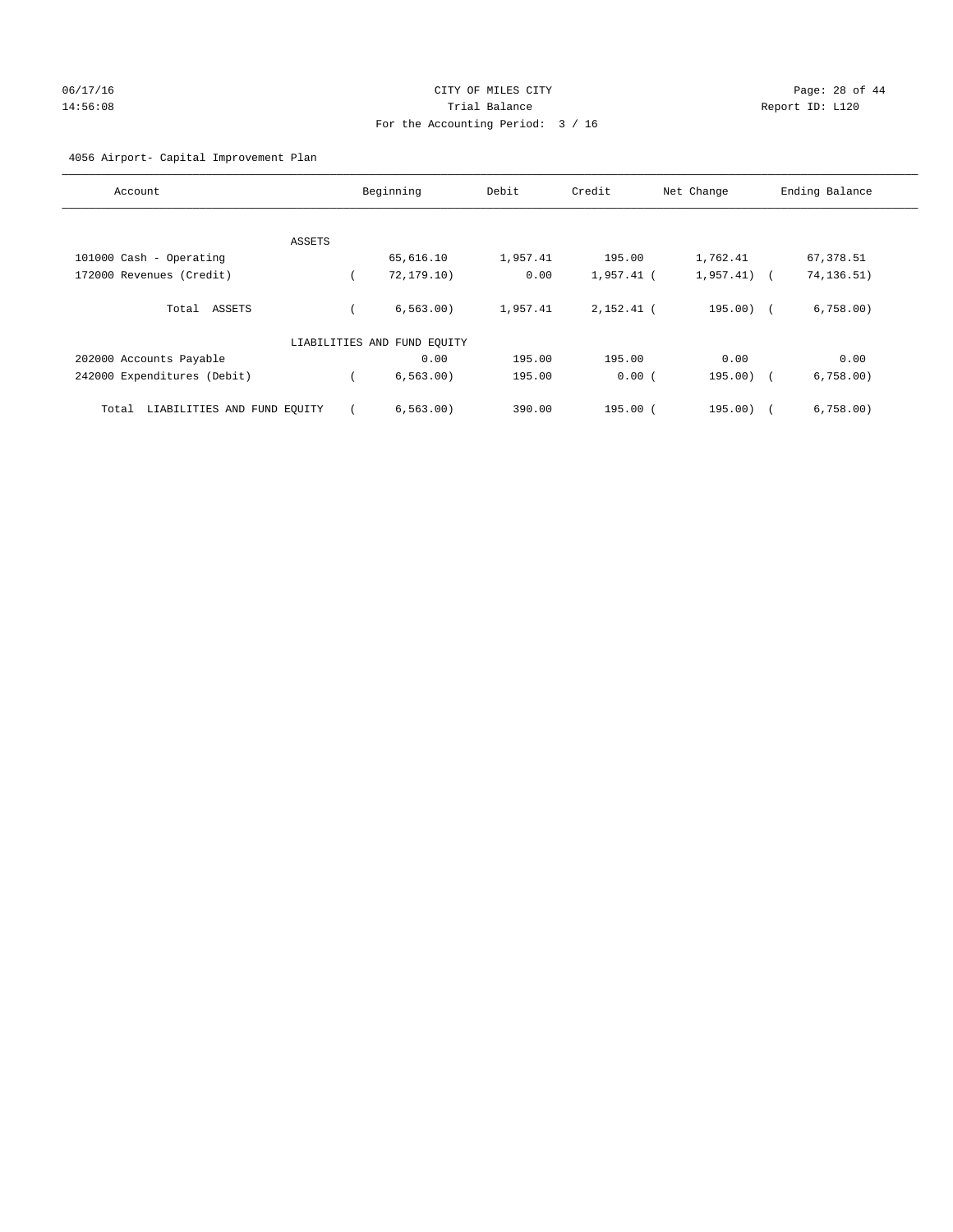## 06/17/16 Page: 28 of 44 14:56:08 Trial Balance Report ID: L120 For the Accounting Period: 3 / 16

## 4056 Airport- Capital Improvement Plan

| Account                              | Beginning                   | Debit    | Credit       | Net Change   | Ending Balance     |
|--------------------------------------|-----------------------------|----------|--------------|--------------|--------------------|
|                                      |                             |          |              |              |                    |
| ASSETS                               |                             |          |              |              |                    |
| 101000 Cash - Operating              | 65,616.10                   | 1,957.41 | 195.00       | 1,762.41     | 67,378.51          |
| 172000 Revenues (Credit)             | 72, 179.10)                 | 0.00     | $1,957.41$ ( | $1,957.41$ ( | 74, 136.51)        |
| Total ASSETS                         | 6.563.00                    | 1,957.41 | $2.152.41$ ( | $195.00$ (   | 6,758.00           |
|                                      | LIABILITIES AND FUND EQUITY |          |              |              |                    |
| 202000 Accounts Payable              | 0.00                        | 195.00   | 195.00       | 0.00         | 0.00               |
| 242000 Expenditures (Debit)          | 6, 563.00)                  | 195.00   | 0.00(        | 195.00)      | 6,758.00<br>$\sim$ |
| LIABILITIES AND FUND EQUITY<br>Total | 6, 563, 00)                 | 390.00   | $195.00$ $($ | 195.00)      | 6,758.00           |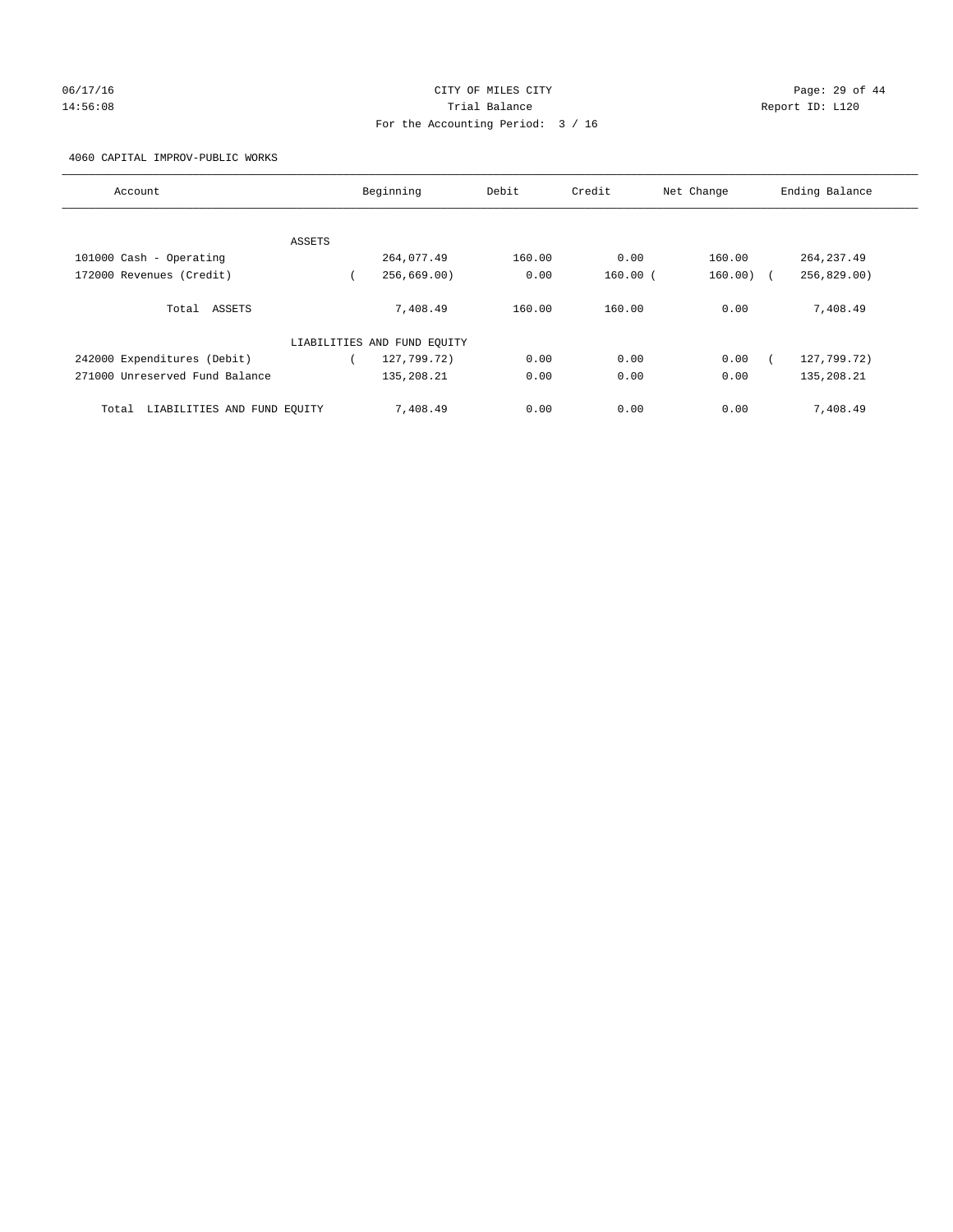# 06/17/16 Page: 29 of 44 14:56:08 Trial Balance Report ID: L120 For the Accounting Period: 3 / 16

## 4060 CAPITAL IMPROV-PUBLIC WORKS

| Account                              |        | Beginning                   | Debit  | Credit       | Net Change | Ending Balance |
|--------------------------------------|--------|-----------------------------|--------|--------------|------------|----------------|
|                                      |        |                             |        |              |            |                |
|                                      | ASSETS |                             |        |              |            |                |
| 101000 Cash - Operating              |        | 264,077.49                  | 160.00 | 0.00         | 160.00     | 264, 237.49    |
| 172000 Revenues (Credit)             |        | 256,669.00                  | 0.00   | $160.00$ $($ | $160.00$ ) | 256,829.00     |
| Total ASSETS                         |        | 7,408.49                    | 160.00 | 160.00       | 0.00       | 7,408.49       |
|                                      |        | LIABILITIES AND FUND EQUITY |        |              |            |                |
| 242000 Expenditures (Debit)          |        | 127,799.72)                 | 0.00   | 0.00         | 0.00       | 127,799.72)    |
| 271000 Unreserved Fund Balance       |        | 135,208.21                  | 0.00   | 0.00         | 0.00       | 135,208.21     |
| LIABILITIES AND FUND EQUITY<br>Total |        | 7,408.49                    | 0.00   | 0.00         | 0.00       | 7,408.49       |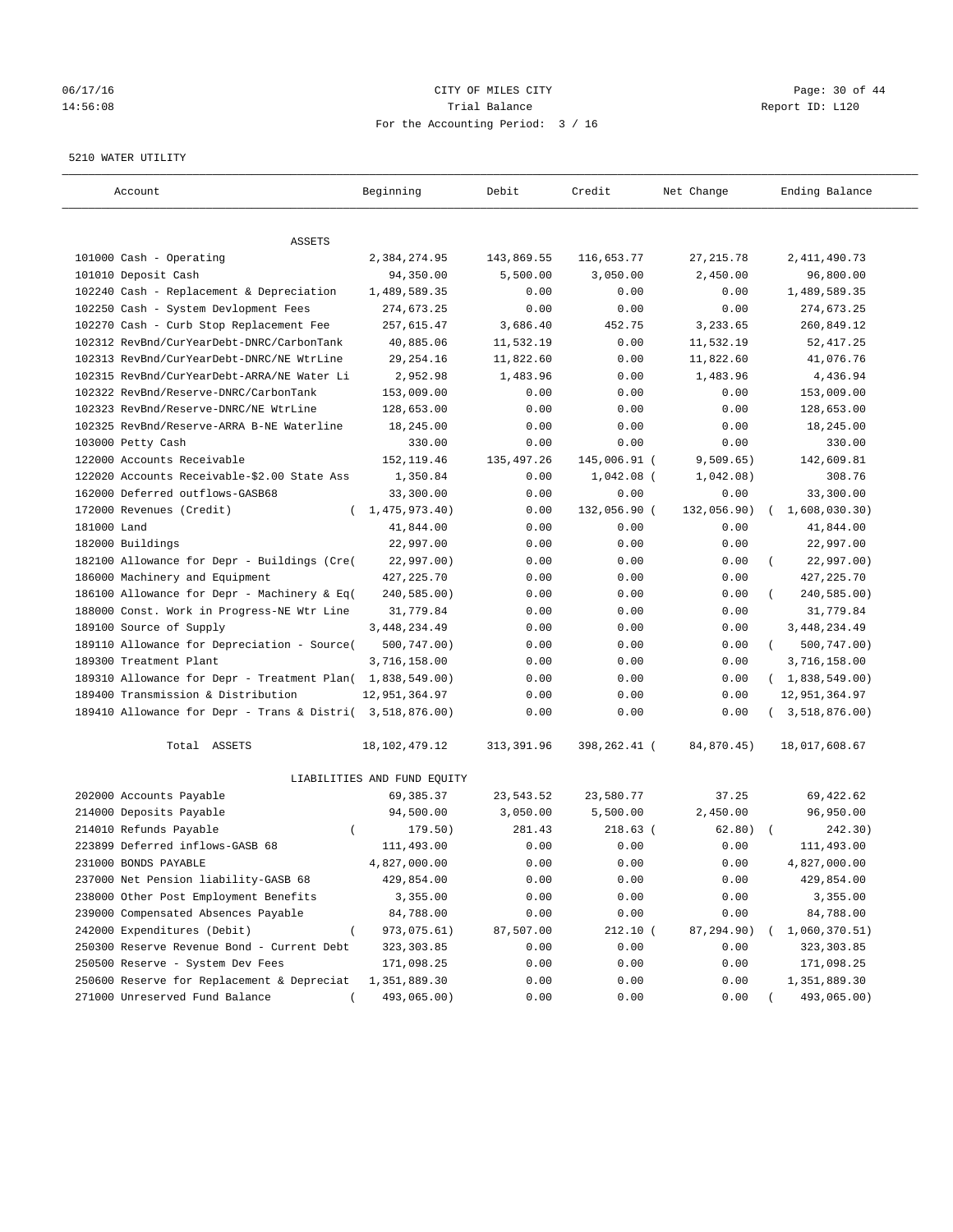## 06/17/16 Page: 30 of 44 14:56:08 Trial Balance Report ID: L120 For the Accounting Period: 3 / 16

#### 5210 WATER UTILITY

| Account                                                   | Beginning                   | Debit       | Credit       | Net Change  | Ending Balance          |
|-----------------------------------------------------------|-----------------------------|-------------|--------------|-------------|-------------------------|
| ASSETS                                                    |                             |             |              |             |                         |
| 101000 Cash - Operating                                   | 2,384,274.95                | 143,869.55  | 116,653.77   | 27,215.78   | 2, 411, 490.73          |
| 101010 Deposit Cash                                       | 94,350.00                   | 5,500.00    | 3,050.00     | 2,450.00    | 96,800.00               |
| 102240 Cash - Replacement & Depreciation                  | 1,489,589.35                | 0.00        | 0.00         | 0.00        | 1,489,589.35            |
| 102250 Cash - System Devlopment Fees                      | 274,673.25                  | 0.00        | 0.00         | 0.00        | 274,673.25              |
| 102270 Cash - Curb Stop Replacement Fee                   | 257,615.47                  | 3,686.40    | 452.75       | 3,233.65    | 260,849.12              |
| 102312 RevBnd/CurYearDebt-DNRC/CarbonTank                 | 40,885.06                   | 11,532.19   | 0.00         | 11,532.19   | 52, 417.25              |
| 102313 RevBnd/CurYearDebt-DNRC/NE WtrLine                 | 29, 254. 16                 | 11,822.60   | 0.00         | 11,822.60   | 41,076.76               |
| 102315 RevBnd/CurYearDebt-ARRA/NE Water Li                | 2,952.98                    | 1,483.96    | 0.00         | 1,483.96    | 4,436.94                |
| 102322 RevBnd/Reserve-DNRC/CarbonTank                     | 153,009.00                  | 0.00        | 0.00         | 0.00        | 153,009.00              |
| 102323 RevBnd/Reserve-DNRC/NE WtrLine                     | 128,653.00                  | 0.00        | 0.00         | 0.00        | 128,653.00              |
| 102325 RevBnd/Reserve-ARRA B-NE Waterline                 | 18,245.00                   | 0.00        | 0.00         | 0.00        | 18,245.00               |
| 103000 Petty Cash                                         | 330.00                      | 0.00        | 0.00         | 0.00        | 330.00                  |
| 122000 Accounts Receivable                                | 152, 119.46                 | 135, 497.26 | 145,006.91 ( | 9,509.65)   | 142,609.81              |
| 122020 Accounts Receivable-\$2.00 State Ass               | 1,350.84                    | 0.00        | $1,042.08$ ( | 1,042.08)   | 308.76                  |
| 162000 Deferred outflows-GASB68                           | 33,300.00                   | 0.00        | 0.00         | 0.00        | 33,300.00               |
| 172000 Revenues (Credit)                                  | (1, 475, 973.40)            | 0.00        | 132,056.90 ( | 132,056.90) | 1,608,030.30)           |
| 181000 Land                                               | 41,844.00                   | 0.00        | 0.00         | 0.00        | 41,844.00               |
| 182000 Buildings                                          | 22,997.00                   | 0.00        | 0.00         | 0.00        | 22,997.00               |
| 182100 Allowance for Depr - Buildings (Cre(               | 22,997.00)                  | 0.00        | 0.00         | 0.00        | 22,997.00)              |
| 186000 Machinery and Equipment                            | 427, 225. 70                | 0.00        | 0.00         | 0.00        | 427, 225.70             |
| 186100 Allowance for Depr - Machinery & Eq(               | 240,585.00)                 | 0.00        | 0.00         | 0.00        | 240,585.00)             |
| 188000 Const. Work in Progress-NE Wtr Line                | 31,779.84                   | 0.00        | 0.00         | 0.00        | 31,779.84               |
| 189100 Source of Supply                                   | 3, 448, 234.49              | 0.00        | 0.00         | 0.00        | 3, 448, 234.49          |
| 189110 Allowance for Depreciation - Source(               | 500,747.00)                 | 0.00        | 0.00         | 0.00        | 500,747.00)<br>$\left($ |
| 189300 Treatment Plant                                    | 3,716,158.00                | 0.00        | 0.00         | 0.00        | 3,716,158.00            |
| 189310 Allowance for Depr - Treatment Plan( 1,838,549.00) |                             | 0.00        | 0.00         | 0.00        | (1,838,549.00)          |
| 189400 Transmission & Distribution                        | 12,951,364.97               | 0.00        | 0.00         | 0.00        | 12,951,364.97           |
| 189410 Allowance for Depr - Trans & Distri( 3,518,876.00) |                             | 0.00        | 0.00         | 0.00        | 3,518,876.00)           |
| Total ASSETS                                              | 18, 102, 479. 12            | 313,391.96  | 398,262.41 ( | 84,870.45)  | 18,017,608.67           |
|                                                           | LIABILITIES AND FUND EQUITY |             |              |             |                         |
| 202000 Accounts Payable                                   | 69,385.37                   | 23,543.52   | 23,580.77    | 37.25       | 69,422.62               |
| 214000 Deposits Payable                                   | 94,500.00                   | 3,050.00    | 5,500.00     | 2,450.00    | 96,950.00               |
| 214010 Refunds Payable<br>$\left($                        | 179.50)                     | 281.43      | $218.63$ (   | 62.80)      | 242.30)                 |
| 223899 Deferred inflows-GASB 68                           | 111,493.00                  | 0.00        | 0.00         | 0.00        | 111,493.00              |
| 231000 BONDS PAYABLE                                      | 4,827,000.00                | 0.00        | 0.00         | 0.00        | 4,827,000.00            |
| 237000 Net Pension liability-GASB 68                      | 429,854.00                  | 0.00        | 0.00         | 0.00        | 429,854.00              |
| 238000 Other Post Employment Benefits                     | 3,355.00                    | 0.00        | 0.00         | 0.00        | 3,355.00                |
| 239000 Compensated Absences Payable                       | 84,788.00                   | 0.00        | 0.00         | 0.00        | 84,788.00               |
| 242000 Expenditures (Debit)                               | 973,075.61)                 | 87,507.00   | $212.10$ (   | 87,294.90)  | 1,060,370.51)           |
| 250300 Reserve Revenue Bond - Current Debt                | 323, 303.85                 | 0.00        | 0.00         | 0.00        | 323, 303.85             |
| 250500 Reserve - System Dev Fees                          | 171,098.25                  | 0.00        | 0.00         | 0.00        | 171,098.25              |
| 250600 Reserve for Replacement & Depreciat                | 1,351,889.30                | 0.00        | 0.00         | 0.00        | 1,351,889.30            |
| 271000 Unreserved Fund Balance                            | 493,065.00)                 | 0.00        | 0.00         | 0.00        | 493,065.00)             |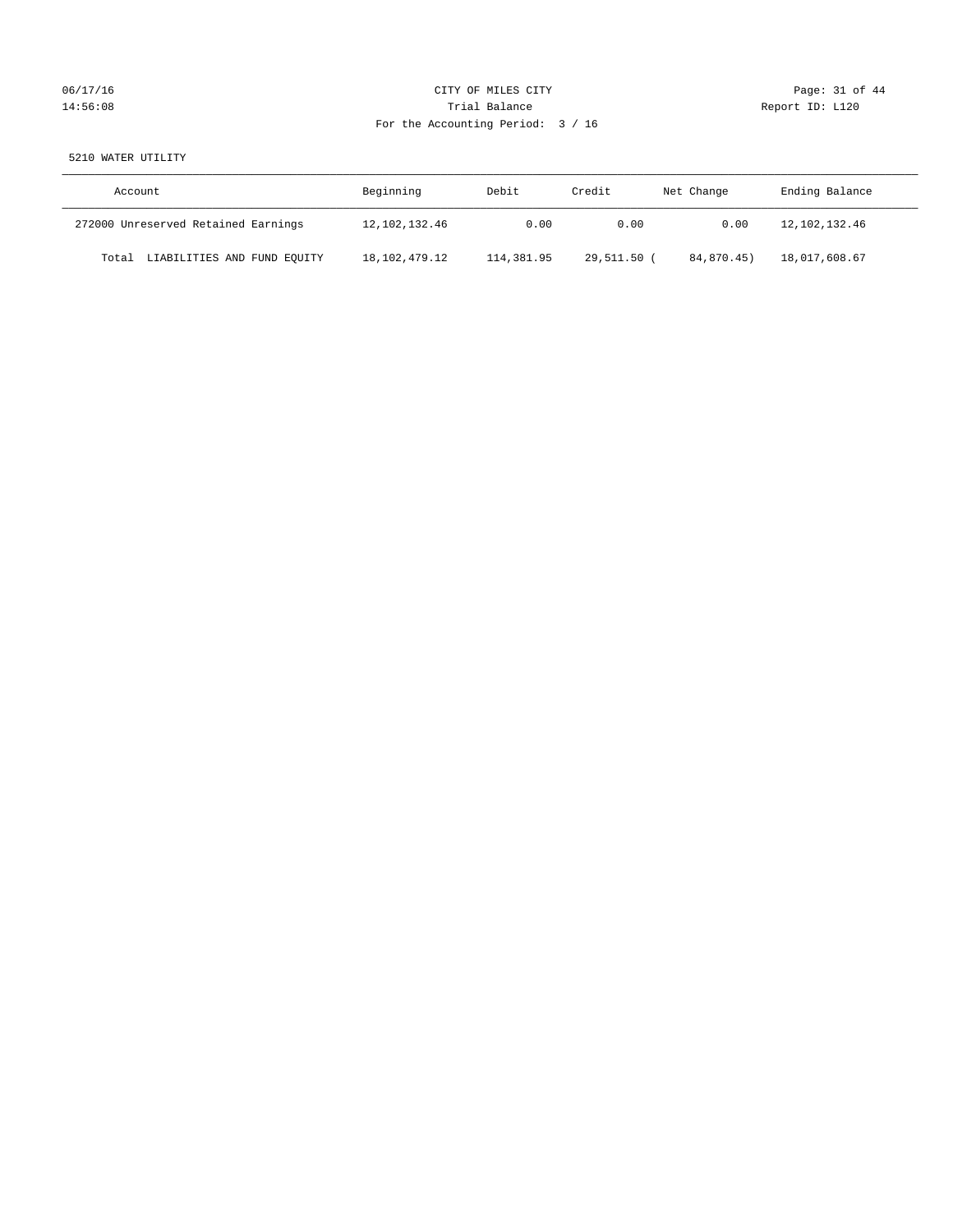# 06/17/16 Page: 31 of 44 14:56:08 Report ID: L120 For the Accounting Period: 3 / 16

## 5210 WATER UTILITY

| Account                              | Beginning     | Debit      | Credit      | Net Change | Ending Balance |
|--------------------------------------|---------------|------------|-------------|------------|----------------|
| 272000 Unreserved Retained Earnings  | 12,102,132.46 | 0.00       | 0.00        | 0.00       | 12,102,132.46  |
| LIABILITIES AND FUND EQUITY<br>Total | 18,102,479.12 | 114,381.95 | 29,511.50 ( | 84,870.45) | 18,017,608.67  |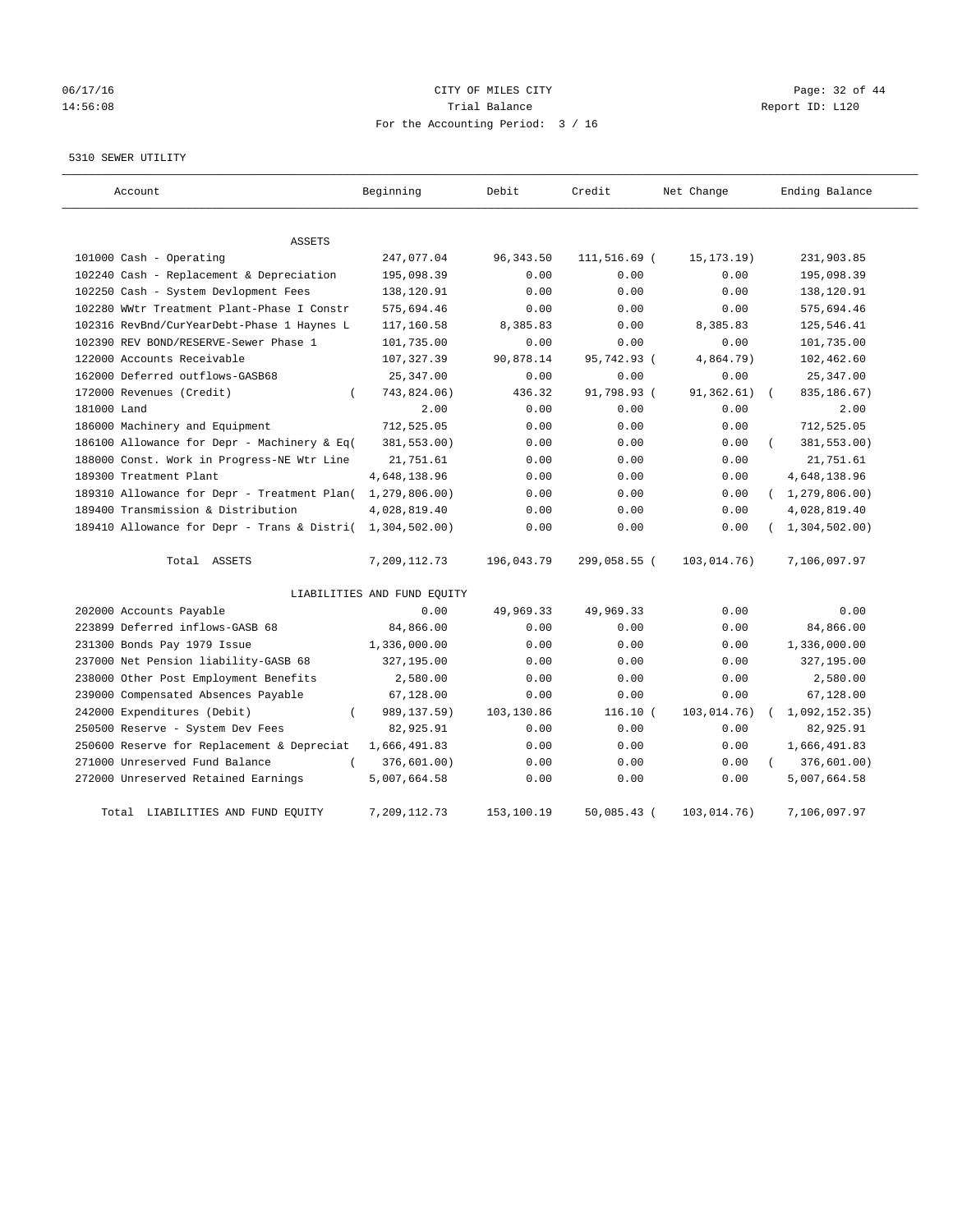## 06/17/16 Page: 32 of 44 14:56:08 Trial Balance Report ID: L120 For the Accounting Period: 3 / 16

#### 5310 SEWER UTILITY

| Account                                                   | Beginning                   | Debit      | Credit        | Net Change   | Ending Balance   |
|-----------------------------------------------------------|-----------------------------|------------|---------------|--------------|------------------|
| ASSETS                                                    |                             |            |               |              |                  |
| 101000 Cash - Operating                                   | 247,077.04                  | 96, 343.50 | 111,516.69 (  | 15, 173. 19) | 231,903.85       |
| 102240 Cash - Replacement & Depreciation                  | 195,098.39                  | 0.00       | 0.00          | 0.00         | 195,098.39       |
| 102250 Cash - System Devlopment Fees                      | 138,120.91                  | 0.00       | 0.00          | 0.00         | 138,120.91       |
| 102280 WWtr Treatment Plant-Phase I Constr                | 575,694.46                  | 0.00       | 0.00          | 0.00         | 575,694.46       |
| 102316 RevBnd/CurYearDebt-Phase 1 Haynes L                | 117,160.58                  | 8,385.83   | 0.00          | 8,385.83     | 125,546.41       |
| 102390 REV BOND/RESERVE-Sewer Phase 1                     | 101,735.00                  | 0.00       | 0.00          | 0.00         | 101,735.00       |
| 122000 Accounts Receivable                                | 107, 327.39                 | 90,878.14  | 95,742.93 (   | 4,864.79)    | 102,462.60       |
| 162000 Deferred outflows-GASB68                           | 25, 347.00                  | 0.00       | 0.00          | 0.00         | 25, 347.00       |
| 172000 Revenues (Credit)                                  | 743,824.06)                 | 436.32     | 91,798.93 (   | 91,362.61)   | 835,186.67)      |
| 181000 Land                                               | 2.00                        | 0.00       | 0.00          | 0.00         | 2.00             |
| 186000 Machinery and Equipment                            | 712,525.05                  | 0.00       | 0.00          | 0.00         | 712,525.05       |
| 186100 Allowance for Depr - Machinery & Eq(               | 381,553.00)                 | 0.00       | 0.00          | 0.00         | 381,553.00)      |
| 188000 Const. Work in Progress-NE Wtr Line                | 21,751.61                   | 0.00       | 0.00          | 0.00         | 21,751.61        |
| 189300 Treatment Plant                                    | 4,648,138.96                | 0.00       | 0.00          | 0.00         | 4,648,138.96     |
| 189310 Allowance for Depr - Treatment Plan(               | 1, 279, 806.00)             | 0.00       | 0.00          | 0.00         | (1, 279, 806.00) |
| 189400 Transmission & Distribution                        | 4,028,819.40                | 0.00       | 0.00          | 0.00         | 4,028,819.40     |
| 189410 Allowance for Depr - Trans & Distri( 1,304,502.00) |                             | 0.00       | 0.00          | 0.00         | (1, 304, 502.00) |
| Total ASSETS                                              | 7,209,112.73                | 196,043.79 | 299,058.55 (  | 103,014.76)  | 7,106,097.97     |
|                                                           | LIABILITIES AND FUND EQUITY |            |               |              |                  |
| 202000 Accounts Payable                                   | 0.00                        | 49,969.33  | 49,969.33     | 0.00         | 0.00             |
| 223899 Deferred inflows-GASB 68                           | 84,866.00                   | 0.00       | 0.00          | 0.00         | 84,866.00        |
| 231300 Bonds Pay 1979 Issue                               | 1,336,000.00                | 0.00       | 0.00          | 0.00         | 1,336,000.00     |
| 237000 Net Pension liability-GASB 68                      | 327,195.00                  | 0.00       | 0.00          | 0.00         | 327,195.00       |
| 238000 Other Post Employment Benefits                     | 2,580.00                    | 0.00       | 0.00          | 0.00         | 2,580.00         |
| 239000 Compensated Absences Payable                       | 67,128.00                   | 0.00       | 0.00          | 0.00         | 67,128.00        |
| 242000 Expenditures (Debit)<br>$\left($                   | 989,137.59)                 | 103,130.86 | 116.10(       | 103,014.76)  | 1,092,152.35)    |
| 250500 Reserve - System Dev Fees                          | 82,925.91                   | 0.00       | 0.00          | 0.00         | 82,925.91        |
| 250600 Reserve for Replacement & Depreciat                | 1,666,491.83                | 0.00       | 0.00          | 0.00         | 1,666,491.83     |
| 271000 Unreserved Fund Balance<br>$\left($                | 376,601.00)                 | 0.00       | 0.00          | 0.00         | 376,601.00)      |
| 272000 Unreserved Retained Earnings                       | 5,007,664.58                | 0.00       | 0.00          | 0.00         | 5,007,664.58     |
| Total LIABILITIES AND FUND EQUITY                         | 7,209,112.73                | 153,100.19 | $50,085.43$ ( | 103,014.76)  | 7,106,097.97     |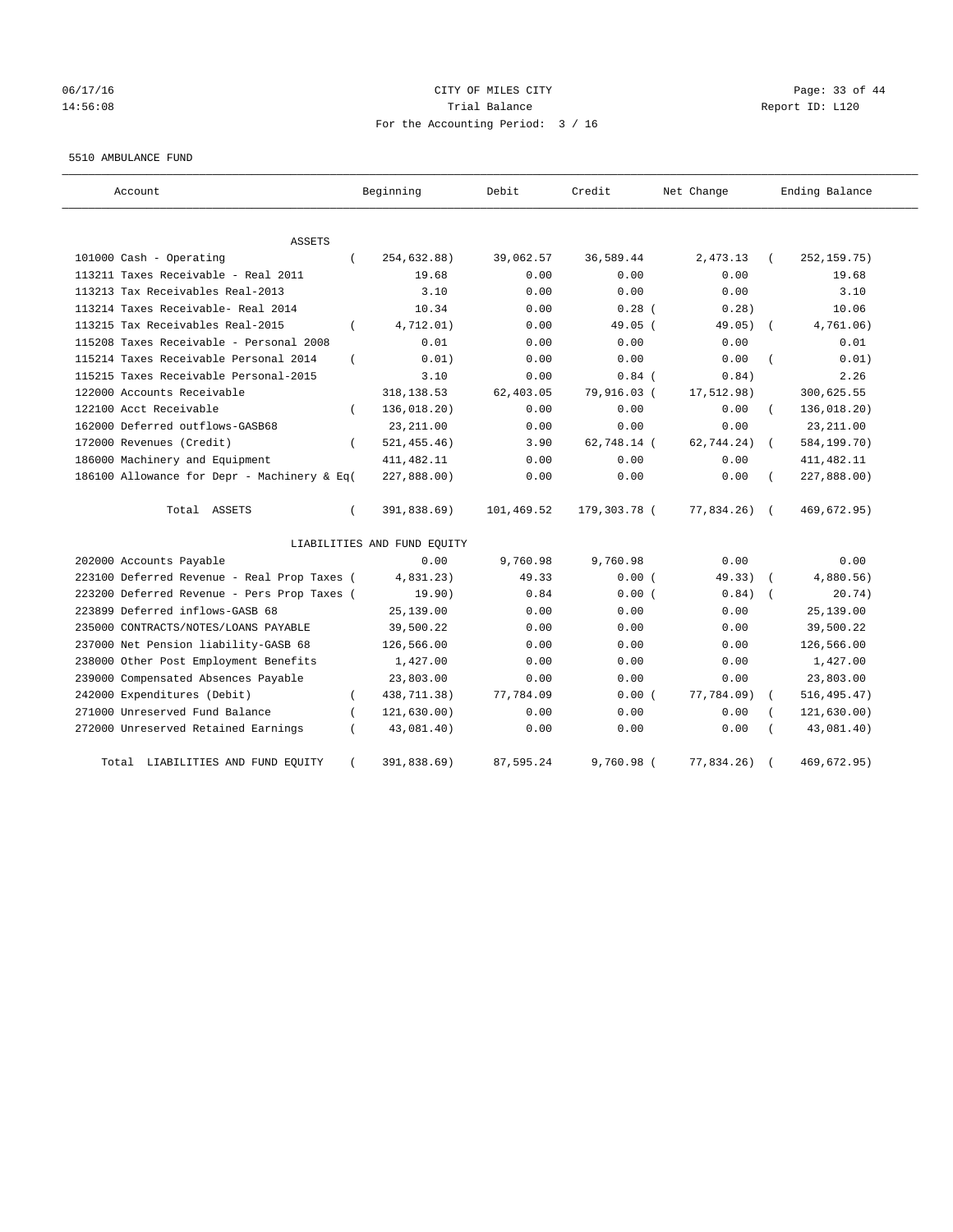## 06/17/16 Page: 33 of 44 14:56:08 Trial Balance Report ID: L120 For the Accounting Period: 3 / 16

#### 5510 AMBULANCE FUND

| Account                                           | Beginning                   | Debit      | Credit       | Net Change | Ending Balance            |
|---------------------------------------------------|-----------------------------|------------|--------------|------------|---------------------------|
| ASSETS                                            |                             |            |              |            |                           |
| 101000 Cash - Operating<br>$\left($               | 254,632.88)                 | 39,062.57  | 36,589.44    | 2,473.13   | 252, 159.75)              |
| 113211 Taxes Receivable - Real 2011               | 19.68                       | 0.00       | 0.00         | 0.00       | 19.68                     |
| 113213 Tax Receivables Real-2013                  | 3.10                        | 0.00       | 0.00         | 0.00       | 3.10                      |
| 113214 Taxes Receivable- Real 2014                | 10.34                       | 0.00       | $0.28$ (     | 0.28)      | 10.06                     |
| 113215 Tax Receivables Real-2015<br>$\left($      | 4,712.01)                   | 0.00       | 49.05 (      | 49.05)     | 4,761.06)                 |
| 115208 Taxes Receivable - Personal 2008           | 0.01                        | 0.00       | 0.00         | 0.00       | 0.01                      |
| 115214 Taxes Receivable Personal 2014<br>$\left($ | 0.01)                       | 0.00       | 0.00         | 0.00       | 0.01)                     |
| 115215 Taxes Receivable Personal-2015             | 3.10                        | 0.00       | $0.84$ (     | 0.84)      | 2.26                      |
| 122000 Accounts Receivable                        | 318, 138.53                 | 62,403.05  | 79,916.03 (  | 17,512.98) | 300,625.55                |
| 122100 Acct Receivable                            | 136,018.20)                 | 0.00       | 0.00         | 0.00       | 136,018.20)               |
| 162000 Deferred outflows-GASB68                   | 23, 211.00                  | 0.00       | 0.00         | 0.00       | 23, 211.00                |
| 172000 Revenues (Credit)<br>$\left($              | 521, 455.46)                | 3.90       | 62,748.14 (  | 62,744.24) | 584,199.70)<br>$\sqrt{2}$ |
| 186000 Machinery and Equipment                    | 411, 482.11                 | 0.00       | 0.00         | 0.00       | 411, 482.11               |
| 186100 Allowance for Depr - Machinery & Eq(       | 227,888.00)                 | 0.00       | 0.00         | 0.00       | 227,888.00)               |
| Total ASSETS<br>$\left($                          | 391,838.69)                 | 101,469.52 | 179,303.78 ( | 77,834.26) | 469,672.95)               |
|                                                   | LIABILITIES AND FUND EQUITY |            |              |            |                           |
| 202000 Accounts Payable                           | 0.00                        | 9,760.98   | 9,760.98     | 0.00       | 0.00                      |
| 223100 Deferred Revenue - Real Prop Taxes (       | 4,831.23)                   | 49.33      | 0.00(        | 49.33)     | 4,880.56)                 |
| 223200 Deferred Revenue - Pers Prop Taxes (       | 19.90)                      | 0.84       | 0.00(        | 0.84)      | 20.74)                    |
| 223899 Deferred inflows-GASB 68                   | 25,139.00                   | 0.00       | 0.00         | 0.00       | 25,139.00                 |
| 235000 CONTRACTS/NOTES/LOANS PAYABLE              | 39,500.22                   | 0.00       | 0.00         | 0.00       | 39,500.22                 |
| 237000 Net Pension liability-GASB 68              | 126,566.00                  | 0.00       | 0.00         | 0.00       | 126,566.00                |
| 238000 Other Post Employment Benefits             | 1,427.00                    | 0.00       | 0.00         | 0.00       | 1,427.00                  |
| 239000 Compensated Absences Payable               | 23,803.00                   | 0.00       | 0.00         | 0.00       | 23,803.00                 |
| 242000 Expenditures (Debit)<br>$\left($           | 438,711.38)                 | 77,784.09  | 0.00(        | 77,784.09) | 516, 495.47)              |
| 271000 Unreserved Fund Balance                    | 121, 630.00)                | 0.00       | 0.00         | 0.00       | 121, 630.00)              |
| 272000 Unreserved Retained Earnings               | 43,081.40)                  | 0.00       | 0.00         | 0.00       | 43,081.40)                |
| LIABILITIES AND FUND EQUITY<br>Total              | 391,838.69)                 | 87,595.24  | 9,760.98 (   | 77,834.26) | 469,672.95)               |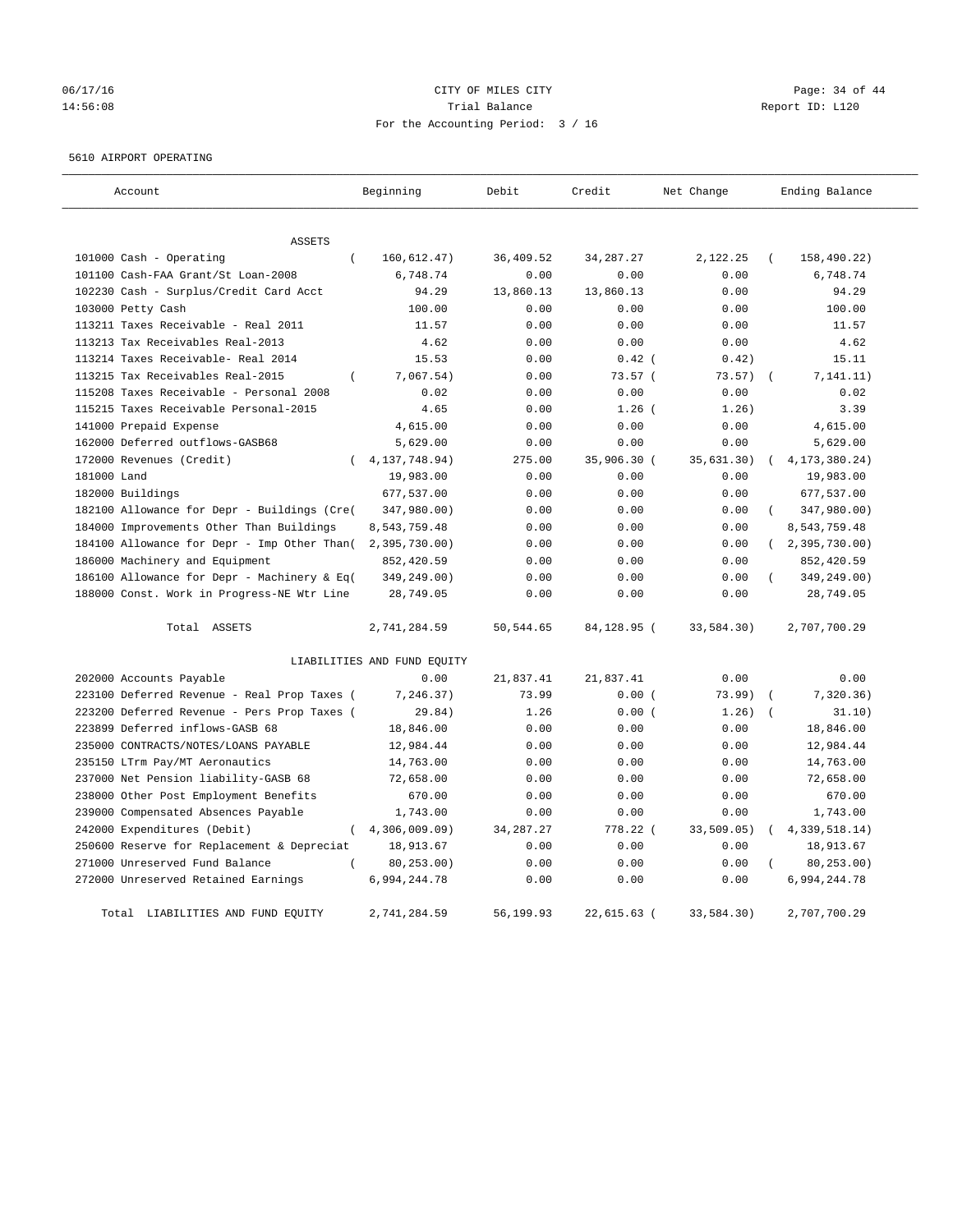## 06/17/16 Page: 34 of 44 14:56:08 Trial Balance Report ID: L120 For the Accounting Period: 3 / 16

#### 5610 AIRPORT OPERATING

| Account                                      | Beginning                   | Debit       | Credit        | Net Change | Ending Balance          |  |
|----------------------------------------------|-----------------------------|-------------|---------------|------------|-------------------------|--|
|                                              |                             |             |               |            |                         |  |
| ASSETS                                       |                             |             |               |            |                         |  |
| 101000 Cash - Operating<br>$\overline{(\ }$  | 160, 612.47)                | 36,409.52   | 34, 287. 27   | 2,122.25   | 158,490.22)<br>$\left($ |  |
| 101100 Cash-FAA Grant/St Loan-2008           | 6,748.74                    | 0.00        | 0.00          | 0.00       | 6,748.74                |  |
| 102230 Cash - Surplus/Credit Card Acct       | 94.29                       | 13,860.13   | 13,860.13     | 0.00       | 94.29                   |  |
| 103000 Petty Cash                            | 100.00                      | 0.00        | 0.00          | 0.00       | 100.00                  |  |
| 113211 Taxes Receivable - Real 2011          | 11.57                       | 0.00        | 0.00          | 0.00       | 11.57                   |  |
| 113213 Tax Receivables Real-2013             | 4.62                        | 0.00        | 0.00          | 0.00       | 4.62                    |  |
| 113214 Taxes Receivable- Real 2014           | 15.53                       | 0.00        | $0.42$ (      | 0.42)      | 15.11                   |  |
| 113215 Tax Receivables Real-2015<br>$\left($ | 7,067.54)                   | 0.00        | 73.57(        | 73.57)     | 7, 141.11)              |  |
| 115208 Taxes Receivable - Personal 2008      | 0.02                        | 0.00        | 0.00          | 0.00       | 0.02                    |  |
| 115215 Taxes Receivable Personal-2015        | 4.65                        | 0.00        | $1.26$ (      | 1.26)      | 3.39                    |  |
| 141000 Prepaid Expense                       | 4,615.00                    | 0.00        | 0.00          | 0.00       | 4,615.00                |  |
| 162000 Deferred outflows-GASB68              | 5,629.00                    | 0.00        | 0.00          | 0.00       | 5,629.00                |  |
| 172000 Revenues (Credit)                     | 4, 137, 748.94)             | 275.00      | 35,906.30 (   | 35,631.30) | 4, 173, 380. 24)        |  |
| 181000 Land                                  | 19,983.00                   | 0.00        | 0.00          | 0.00       | 19,983.00               |  |
| 182000 Buildings                             | 677,537.00                  | 0.00        | 0.00          | 0.00       | 677,537.00              |  |
| 182100 Allowance for Depr - Buildings (Cre(  | 347,980.00)                 | 0.00        | 0.00          | 0.00       | 347,980.00)             |  |
| 184000 Improvements Other Than Buildings     | 8,543,759.48                | 0.00        | 0.00          | 0.00       | 8,543,759.48            |  |
| 184100 Allowance for Depr - Imp Other Than(  | 2,395,730.00                | 0.00        | 0.00          | 0.00       | (2, 395, 730.00)        |  |
| 186000 Machinery and Equipment               | 852,420.59                  | 0.00        | 0.00          | 0.00       | 852,420.59              |  |
| 186100 Allowance for Depr - Machinery & Eq(  | 349,249.00)                 | 0.00        | 0.00          | 0.00       | 349,249.00)             |  |
| 188000 Const. Work in Progress-NE Wtr Line   | 28,749.05                   | 0.00        | 0.00          | 0.00       | 28,749.05               |  |
| Total ASSETS                                 | 2,741,284.59                | 50, 544.65  | 84,128.95 (   | 33,584.30) | 2,707,700.29            |  |
|                                              | LIABILITIES AND FUND EQUITY |             |               |            |                         |  |
| 202000 Accounts Payable                      | 0.00                        | 21,837.41   | 21,837.41     | 0.00       | 0.00                    |  |
| 223100 Deferred Revenue - Real Prop Taxes (  | 7, 246.37)                  | 73.99       | 0.00(         | 73.99)     | 7,320.36)               |  |
| 223200 Deferred Revenue - Pers Prop Taxes (  | 29.84)                      | 1.26        | 0.00(         | 1.26)      | 31.10)                  |  |
| 223899 Deferred inflows-GASB 68              | 18,846.00                   | 0.00        | 0.00          | 0.00       | 18,846.00               |  |
| 235000 CONTRACTS/NOTES/LOANS PAYABLE         | 12,984.44                   | 0.00        | 0.00          | 0.00       | 12,984.44               |  |
| 235150 LTrm Pay/MT Aeronautics               | 14,763.00                   | 0.00        | 0.00          | 0.00       | 14,763.00               |  |
| 237000 Net Pension liability-GASB 68         | 72,658.00                   | 0.00        | 0.00          | 0.00       | 72,658.00               |  |
| 238000 Other Post Employment Benefits        | 670.00                      | 0.00        | 0.00          | 0.00       | 670.00                  |  |
| 239000 Compensated Absences Payable          | 1,743.00                    | 0.00        | 0.00          | 0.00       | 1,743.00                |  |
| 242000 Expenditures (Debit)<br>$\left($      | 4,306,009.09                | 34, 287. 27 | 778.22 (      | 33,509.05) | 4, 339, 518.14)         |  |
| 250600 Reserve for Replacement & Depreciat   | 18,913.67                   | 0.00        | 0.00          | 0.00       | 18,913.67               |  |
| 271000 Unreserved Fund Balance               | 80, 253.00)                 | 0.00        | 0.00          | 0.00       | 80, 253.00)             |  |
| 272000 Unreserved Retained Earnings          | 6,994,244.78                | 0.00        | 0.00          | 0.00       | 6,994,244.78            |  |
| Total LIABILITIES AND FUND EQUITY            | 2,741,284.59                | 56,199.93   | $22,615.63$ ( | 33,584.30) | 2,707,700.29            |  |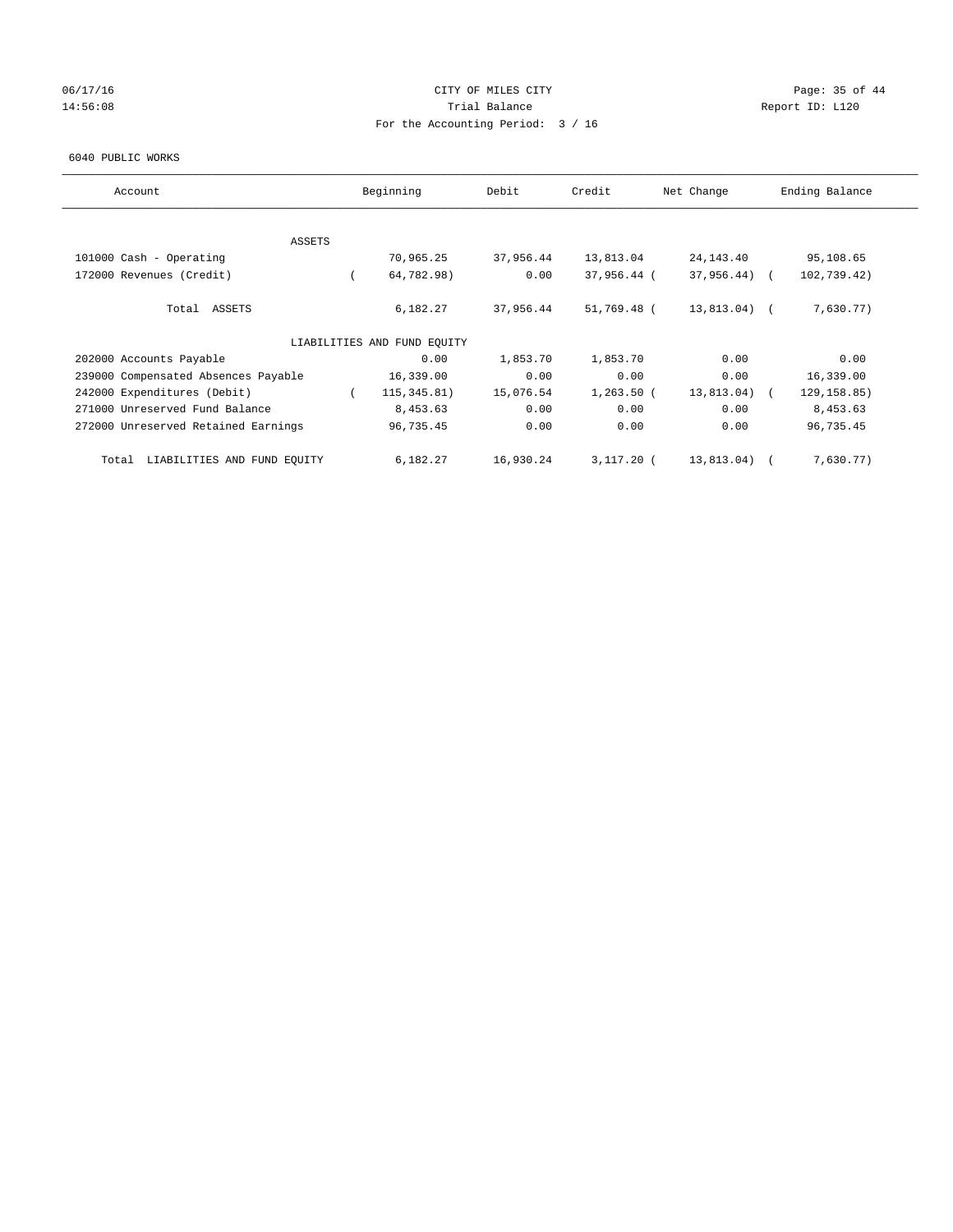## 06/17/16 Page: 35 of 44 14:56:08 Report ID: L120 For the Accounting Period: 3 / 16

#### 6040 PUBLIC WORKS

| Account                              | Beginning                   | Debit     | Credit       | Net Change      | Ending Balance |
|--------------------------------------|-----------------------------|-----------|--------------|-----------------|----------------|
|                                      |                             |           |              |                 |                |
| ASSETS                               |                             |           |              |                 |                |
| 101000 Cash - Operating              | 70,965.25                   | 37,956.44 | 13,813.04    | 24, 143. 40     | 95,108.65      |
| 172000 Revenues (Credit)             | 64,782.98)                  | 0.00      | 37,956.44 (  | $37,956.44$ ) ( | 102,739.42)    |
| Total ASSETS                         | 6,182.27                    | 37,956.44 | 51,769.48 (  | 13,813.04) (    | 7,630.77)      |
|                                      | LIABILITIES AND FUND EQUITY |           |              |                 |                |
| 202000 Accounts Payable              | 0.00                        | 1,853.70  | 1,853.70     | 0.00            | 0.00           |
| 239000 Compensated Absences Payable  | 16,339.00                   | 0.00      | 0.00         | 0.00            | 16,339.00      |
| 242000 Expenditures (Debit)          | 115, 345.81)                | 15,076.54 | $1,263.50$ ( | 13,813.04) (    | 129, 158.85)   |
| 271000 Unreserved Fund Balance       | 8,453.63                    | 0.00      | 0.00         | 0.00            | 8,453.63       |
| 272000 Unreserved Retained Earnings  | 96,735.45                   | 0.00      | 0.00         | 0.00            | 96,735.45      |
| LIABILITIES AND FUND EQUITY<br>Total | 6,182.27                    | 16,930.24 | $3,117.20$ ( | 13,813.04) (    | 7,630.77)      |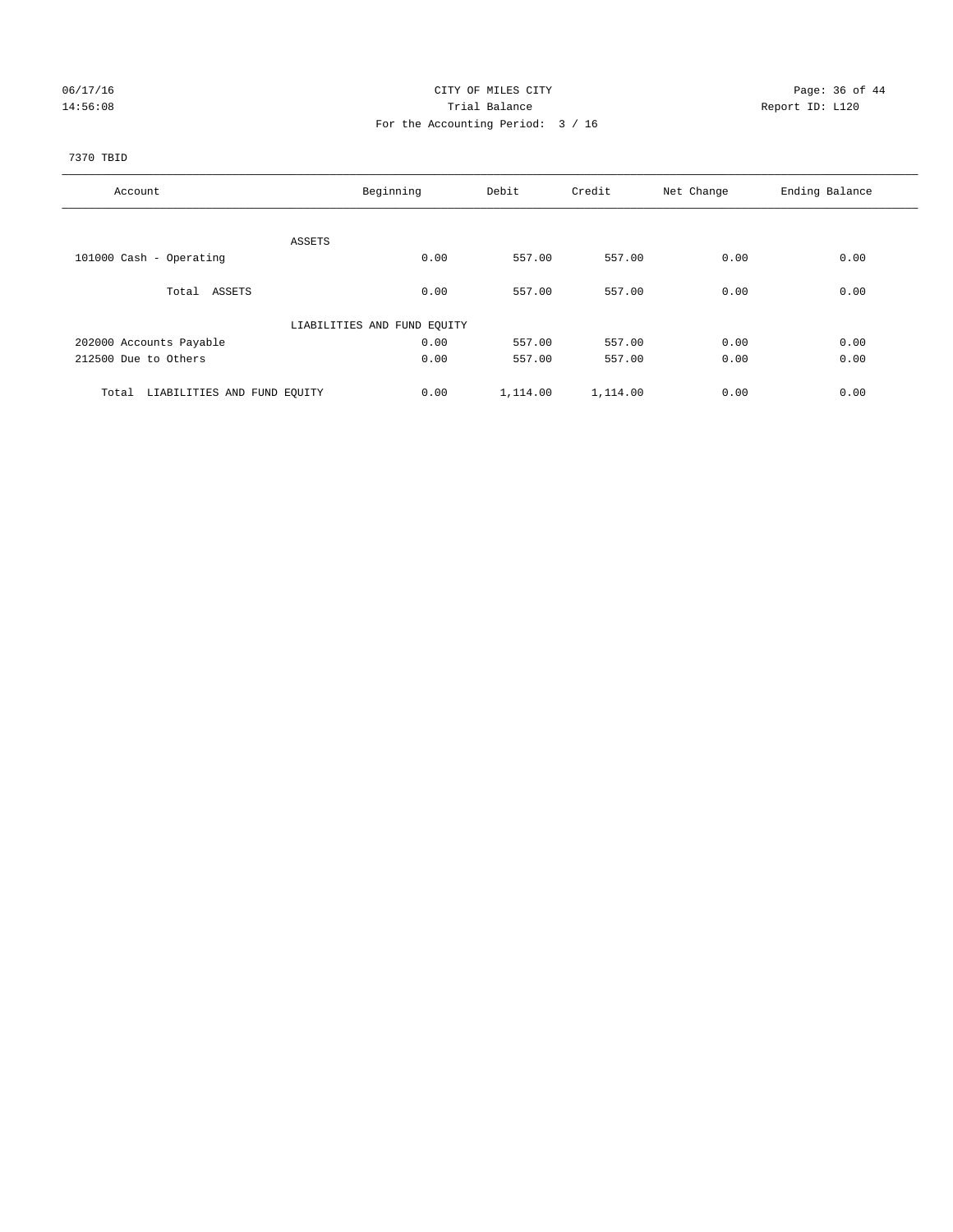## 06/17/16 Page: 36 of 44 14:56:08 Report ID: L120 For the Accounting Period: 3 / 16

## 7370 TBID

| Account                              | Beginning                   | Debit    | Credit   | Net Change | Ending Balance |
|--------------------------------------|-----------------------------|----------|----------|------------|----------------|
|                                      |                             |          |          |            |                |
|                                      | ASSETS                      |          |          |            |                |
| 101000 Cash - Operating              | 0.00                        | 557.00   | 557.00   | 0.00       | 0.00           |
| Total ASSETS                         | 0.00                        | 557.00   | 557.00   | 0.00       | 0.00           |
|                                      | LIABILITIES AND FUND EQUITY |          |          |            |                |
| 202000 Accounts Payable              | 0.00                        | 557.00   | 557.00   | 0.00       | 0.00           |
| 212500 Due to Others                 | 0.00                        | 557.00   | 557.00   | 0.00       | 0.00           |
| LIABILITIES AND FUND EQUITY<br>Total | 0.00                        | 1,114.00 | 1,114.00 | 0.00       | 0.00           |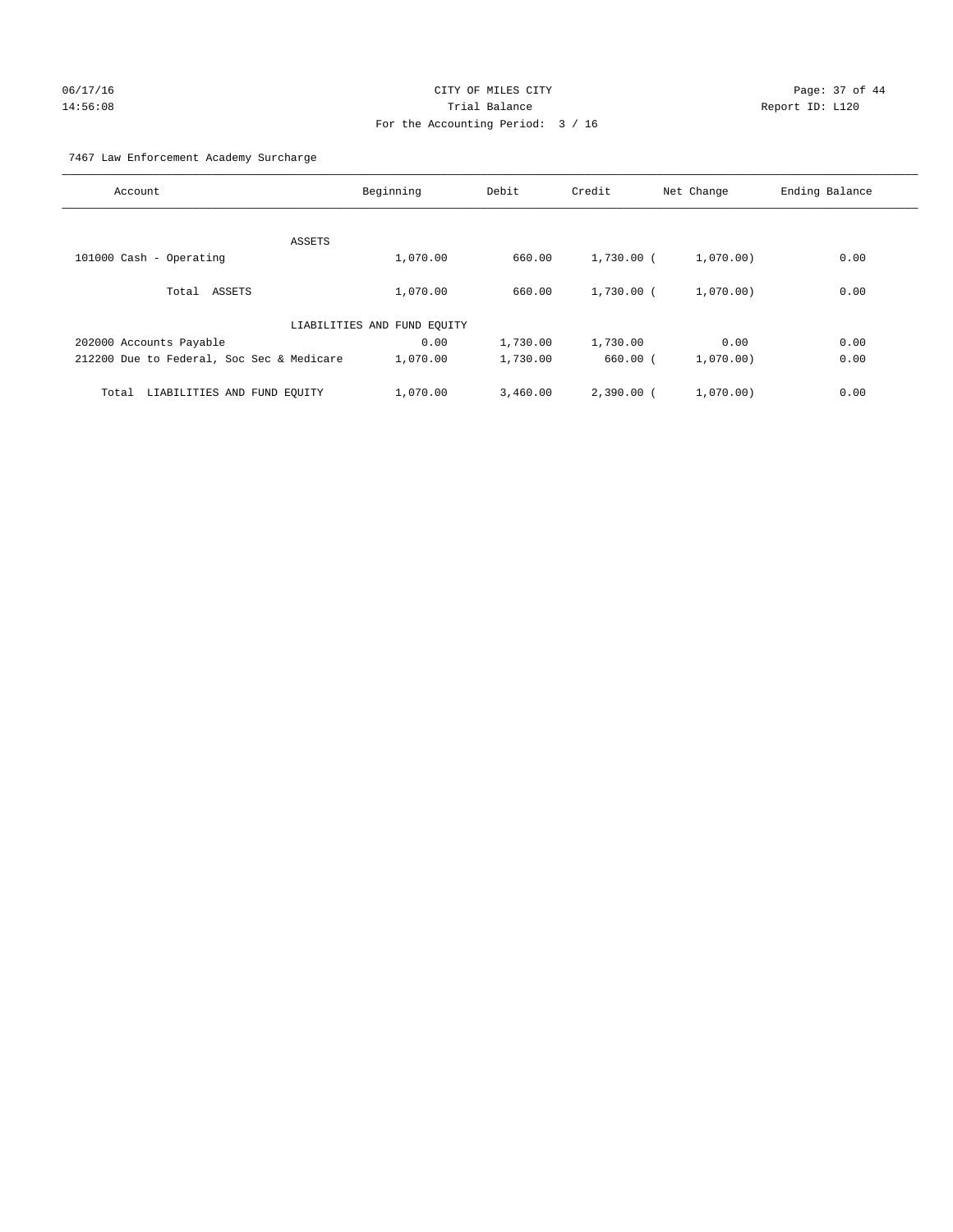## 06/17/16 Page: 37 of 44 14:56:08 Trial Balance Report ID: L120 For the Accounting Period: 3 / 16

7467 Law Enforcement Academy Surcharge

| Account                                   | Beginning                   | Debit    | Credit       | Net Change | Ending Balance |
|-------------------------------------------|-----------------------------|----------|--------------|------------|----------------|
|                                           |                             |          |              |            |                |
| ASSETS                                    |                             |          |              |            |                |
| 101000 Cash - Operating                   | 1,070.00                    | 660.00   | 1,730.00 (   | 1,070.00)  | 0.00           |
| Total ASSETS                              | 1,070.00                    | 660.00   | $1,730.00$ ( | 1.070.00   | 0.00           |
|                                           | LIABILITIES AND FUND EQUITY |          |              |            |                |
| 202000 Accounts Payable                   | 0.00                        | 1,730.00 | 1,730.00     | 0.00       | 0.00           |
| 212200 Due to Federal, Soc Sec & Medicare | 1,070.00                    | 1,730.00 | $660.00$ $($ | 1,070.00)  | 0.00           |
| LIABILITIES AND FUND EQUITY<br>Total      | 1,070.00                    | 3,460.00 | $2,390,00$ ( | 1,070.00   | 0.00           |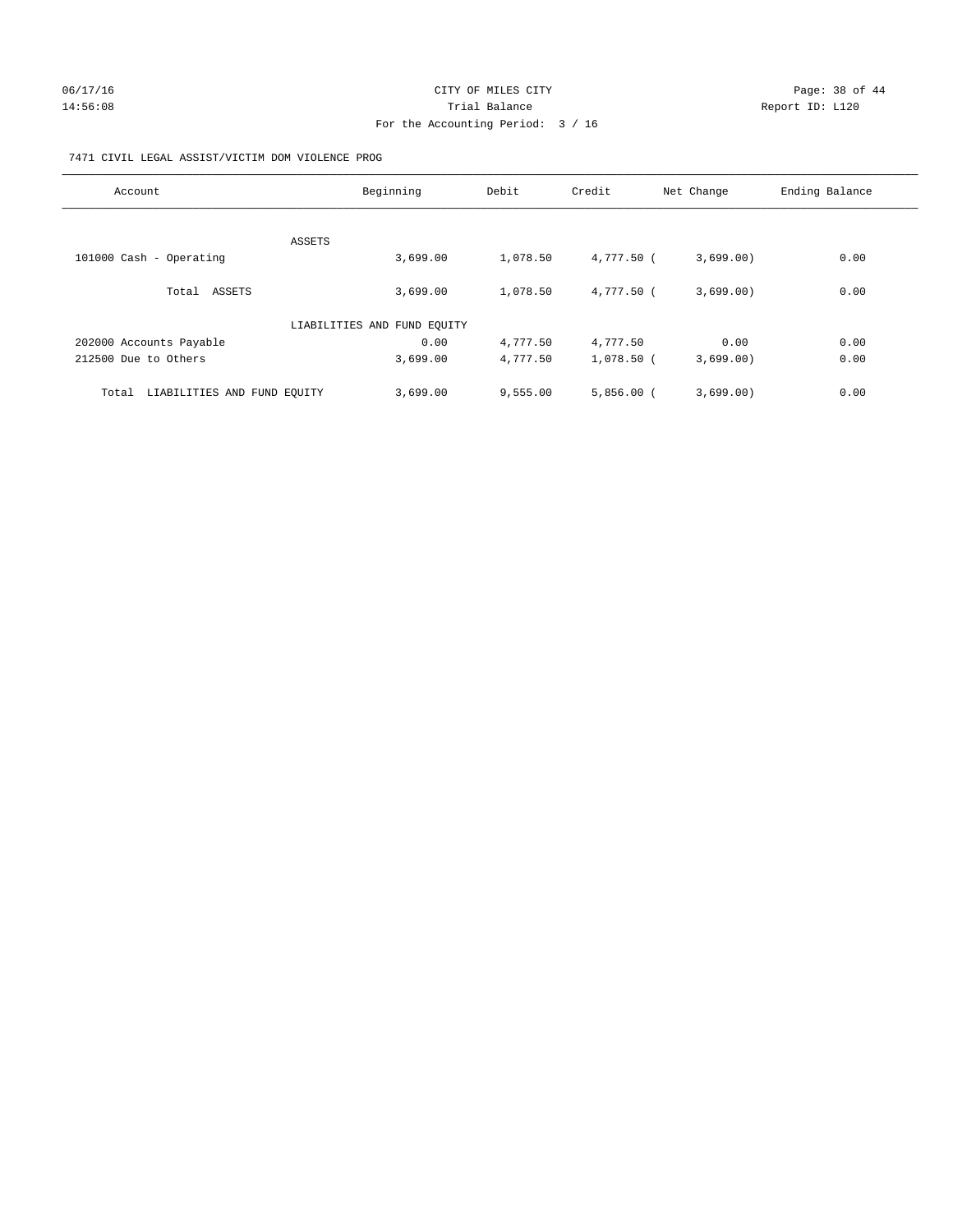## 06/17/16 Page: 38 of 44 14:56:08 Report ID: L120 For the Accounting Period: 3 / 16

## 7471 CIVIL LEGAL ASSIST/VICTIM DOM VIOLENCE PROG

| Account                              | Beginning                   | Debit    | Credit       | Net Change | Ending Balance |
|--------------------------------------|-----------------------------|----------|--------------|------------|----------------|
|                                      |                             |          |              |            |                |
|                                      | ASSETS                      |          |              |            |                |
| 101000 Cash - Operating              | 3,699.00                    | 1,078.50 | 4,777.50 (   | 3,699.00)  | 0.00           |
| Total ASSETS                         | 3,699.00                    | 1,078.50 | $4.777.50$ ( | 3,699.00)  | 0.00           |
|                                      | LIABILITIES AND FUND EQUITY |          |              |            |                |
| 202000 Accounts Payable              | 0.00                        | 4,777.50 | 4,777.50     | 0.00       | 0.00           |
| 212500 Due to Others                 | 3,699.00                    | 4,777.50 | 1,078.50 (   | 3,699.00)  | 0.00           |
| LIABILITIES AND FUND EQUITY<br>Total | 3,699.00                    | 9,555.00 | $5,856.00$ ( | 3,699.00)  | 0.00           |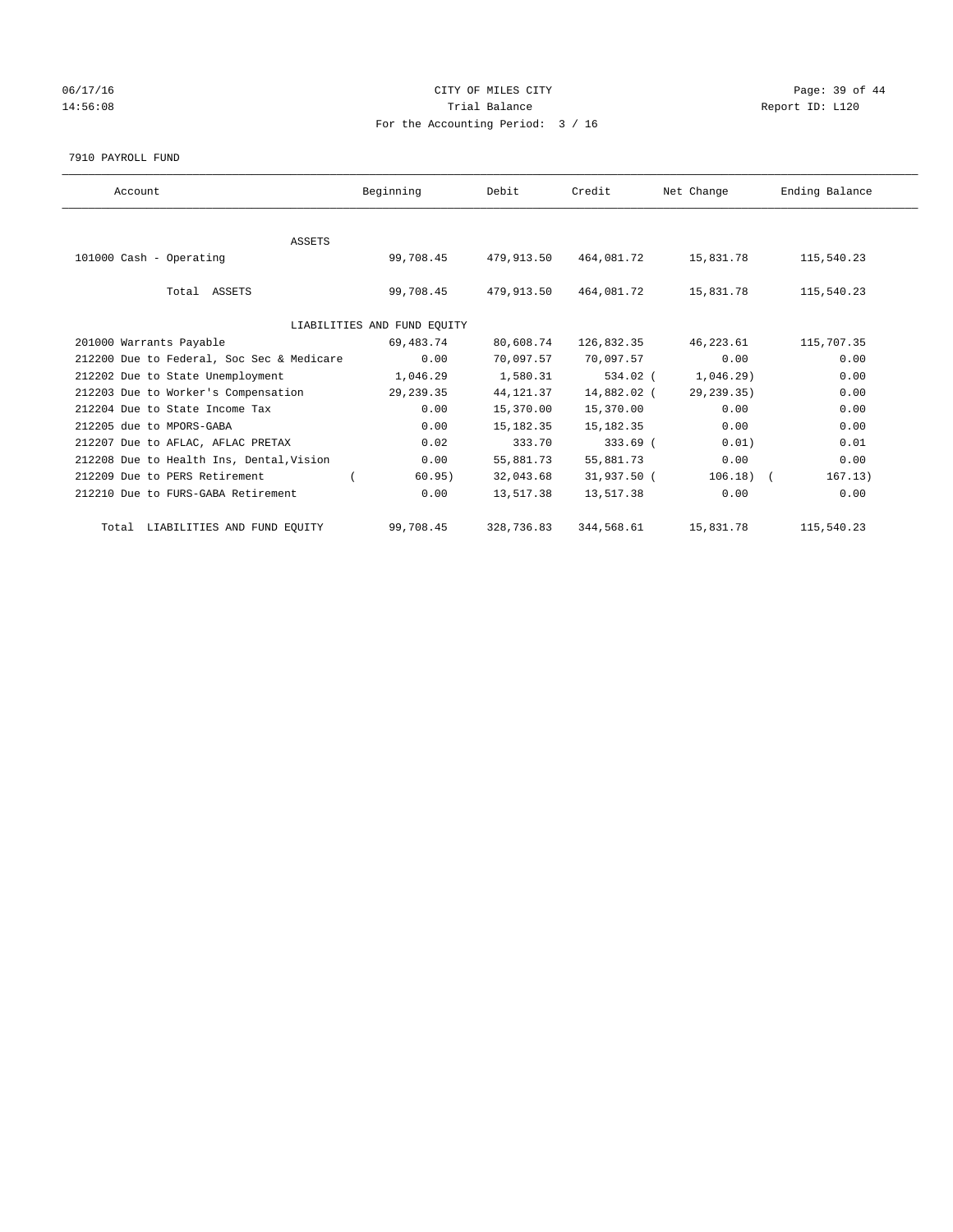## 06/17/16 Page: 39 of 44 14:56:08 Report ID: L120 For the Accounting Period: 3 / 16

#### 7910 PAYROLL FUND

| Account                                   | Beginning                   | Debit       | Credit      | Net Change   | Ending Balance |
|-------------------------------------------|-----------------------------|-------------|-------------|--------------|----------------|
|                                           |                             |             |             |              |                |
| ASSETS                                    |                             |             |             |              |                |
| 101000 Cash - Operating                   | 99,708.45                   | 479,913.50  | 464,081.72  | 15,831.78    | 115,540.23     |
|                                           |                             |             |             |              |                |
| Total ASSETS                              | 99,708.45                   | 479,913.50  | 464,081.72  | 15,831.78    | 115,540.23     |
|                                           |                             |             |             |              |                |
|                                           | LIABILITIES AND FUND EQUITY |             |             |              |                |
| 201000 Warrants Payable                   | 69,483.74                   | 80,608.74   | 126,832.35  | 46,223.61    | 115,707.35     |
| 212200 Due to Federal, Soc Sec & Medicare | 0.00                        | 70,097.57   | 70,097.57   | 0.00         | 0.00           |
| 212202 Due to State Unemployment          | 1,046.29                    | 1,580.31    | 534.02 (    | 1,046.29     | 0.00           |
| 212203 Due to Worker's Compensation       | 29, 239.35                  | 44, 121.37  | 14,882.02 ( | 29, 239. 35) | 0.00           |
| 212204 Due to State Income Tax            | 0.00                        | 15,370.00   | 15,370.00   | 0.00         | 0.00           |
| 212205 due to MPORS-GABA                  | 0.00                        | 15, 182. 35 | 15, 182. 35 | 0.00         | 0.00           |
| 212207 Due to AFLAC, AFLAC PRETAX         | 0.02                        | 333.70      | $333.69$ (  | 0.01)        | 0.01           |
| 212208 Due to Health Ins, Dental, Vision  | 0.00                        | 55,881.73   | 55,881.73   | 0.00         | 0.00           |
| 212209 Due to PERS Retirement             | 60.95)                      | 32,043.68   | 31,937.50 ( | $106.18)$ (  | 167.13)        |
| 212210 Due to FURS-GABA Retirement        | 0.00                        | 13,517.38   | 13,517.38   | 0.00         | 0.00           |
| Total LIABILITIES AND FUND EQUITY         | 99,708.45                   | 328,736.83  | 344,568.61  | 15,831.78    | 115,540.23     |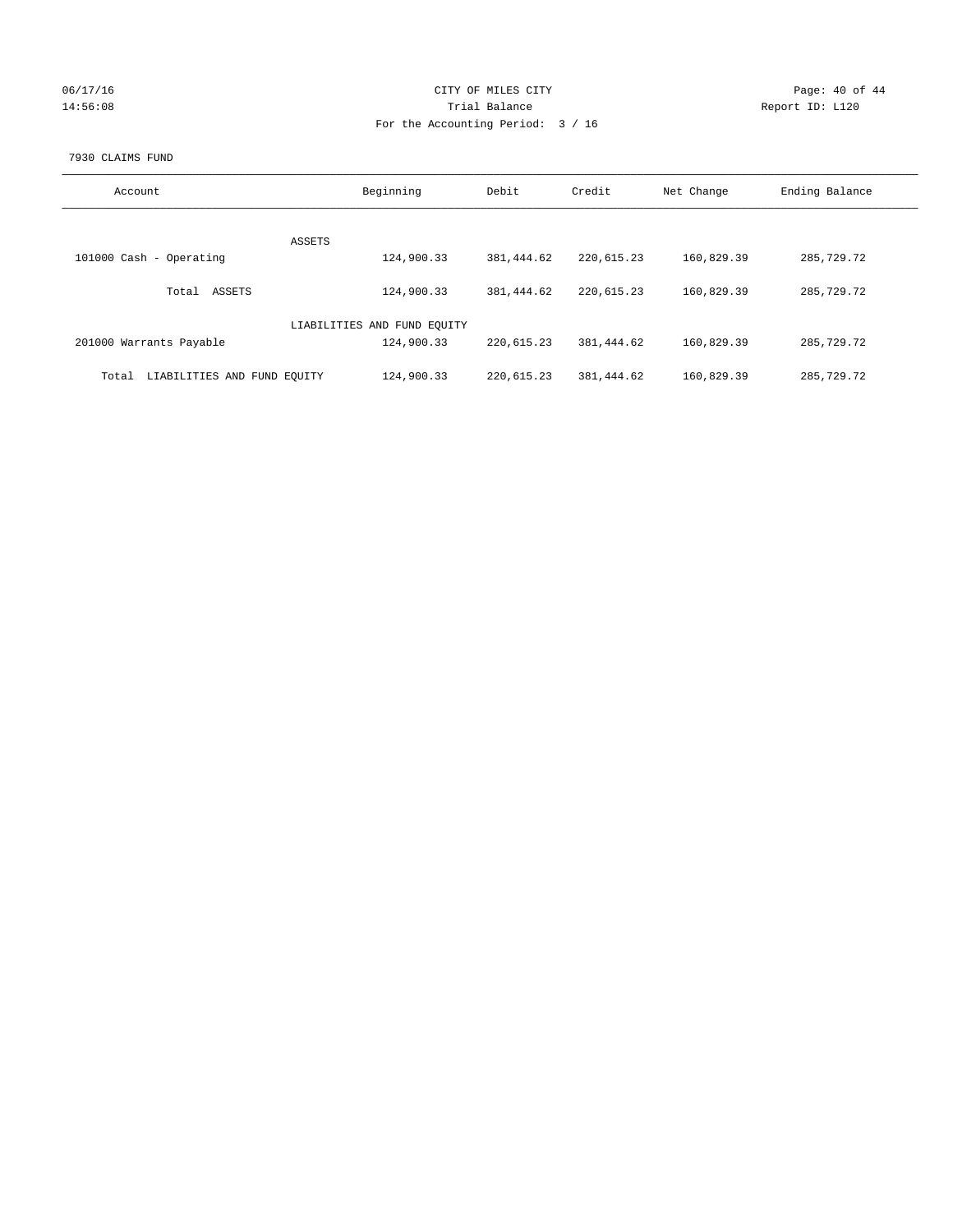| 06/17/16 |  |
|----------|--|
| 14:56:08 |  |

## CITY OF MILES CITY CONTROL CONTROL CONTROL CITY 14:56:08 Report ID: L120 For the Accounting Period: 3 / 16

#### 7930 CLAIMS FUND

| Account                              | Beginning                   | Debit      | Credit     | Net Change | Ending Balance |
|--------------------------------------|-----------------------------|------------|------------|------------|----------------|
|                                      | ASSETS                      |            |            |            |                |
| 101000 Cash - Operating              | 124,900.33                  | 381,444.62 | 220,615.23 | 160,829.39 | 285,729.72     |
| ASSETS<br>Total                      | 124,900.33                  | 381,444.62 | 220,615.23 | 160,829.39 | 285,729.72     |
|                                      | LIABILITIES AND FUND EQUITY |            |            |            |                |
| 201000 Warrants Payable              | 124,900.33                  | 220,615.23 | 381,444.62 | 160,829.39 | 285,729.72     |
| LIABILITIES AND FUND EQUITY<br>Total | 124,900.33                  | 220,615.23 | 381,444.62 | 160,829.39 | 285,729.72     |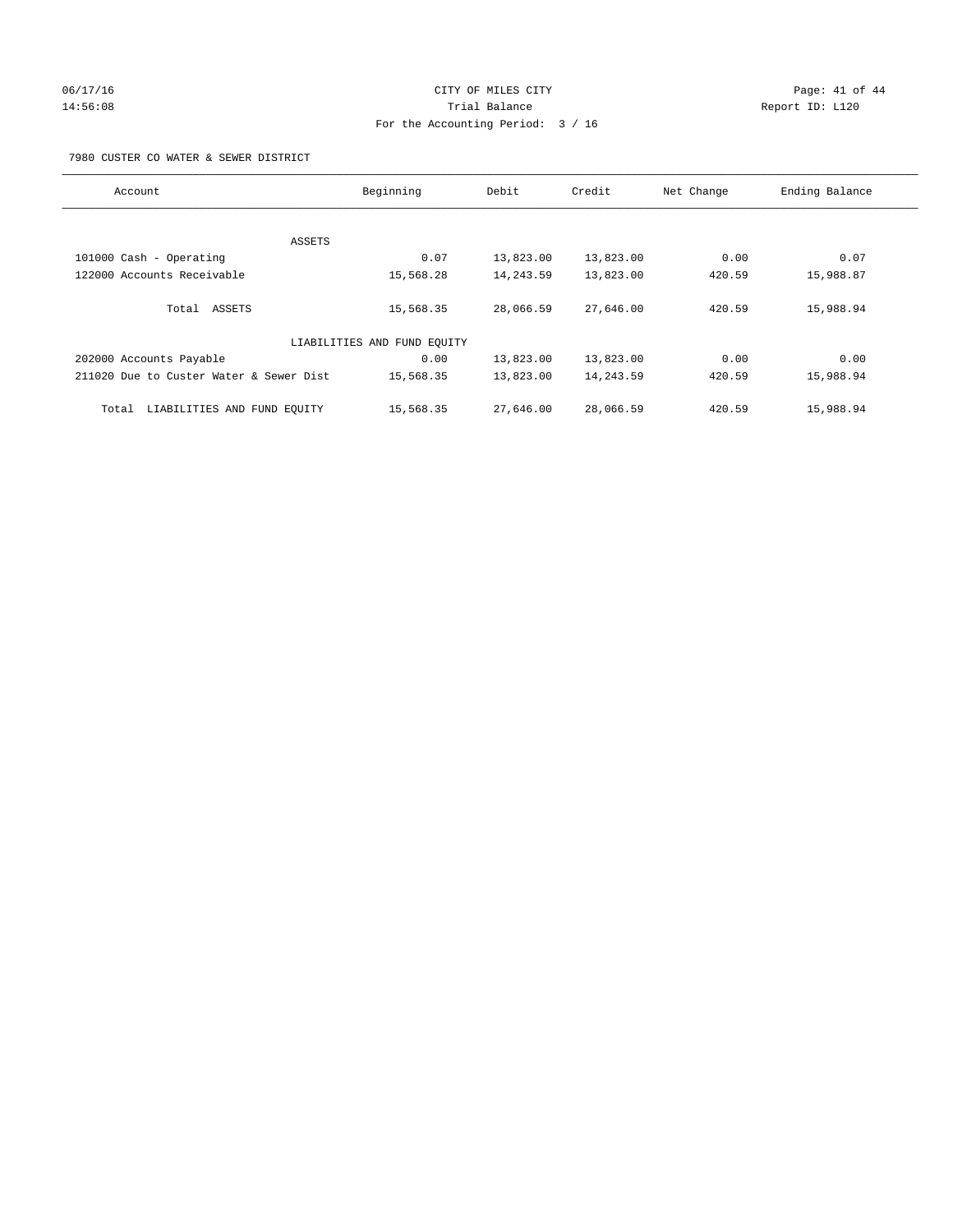## 06/17/16 Page: 41 of 44 14:56:08 Report ID: L120 For the Accounting Period: 3 / 16

7980 CUSTER CO WATER & SEWER DISTRICT

| Account                                 | Beginning                   | Debit     | Credit    | Net Change | Ending Balance |
|-----------------------------------------|-----------------------------|-----------|-----------|------------|----------------|
|                                         |                             |           |           |            |                |
|                                         |                             |           |           |            |                |
| ASSETS                                  |                             |           |           |            |                |
| 101000 Cash - Operating                 | 0.07                        | 13,823.00 | 13,823.00 | 0.00       | 0.07           |
| 122000 Accounts Receivable              | 15,568.28                   | 14,243.59 | 13,823.00 | 420.59     | 15,988.87      |
|                                         |                             |           |           |            |                |
| Total ASSETS                            | 15,568.35                   | 28,066.59 | 27,646.00 | 420.59     | 15,988.94      |
|                                         |                             |           |           |            |                |
|                                         | LIABILITIES AND FUND EQUITY |           |           |            |                |
| 202000 Accounts Payable                 | 0.00                        | 13,823.00 | 13,823.00 | 0.00       | 0.00           |
| 211020 Due to Custer Water & Sewer Dist | 15,568.35                   | 13,823.00 | 14,243.59 | 420.59     | 15,988.94      |
| LIABILITIES AND FUND EQUITY<br>Total    | 15,568.35                   | 27,646.00 | 28,066.59 | 420.59     | 15,988.94      |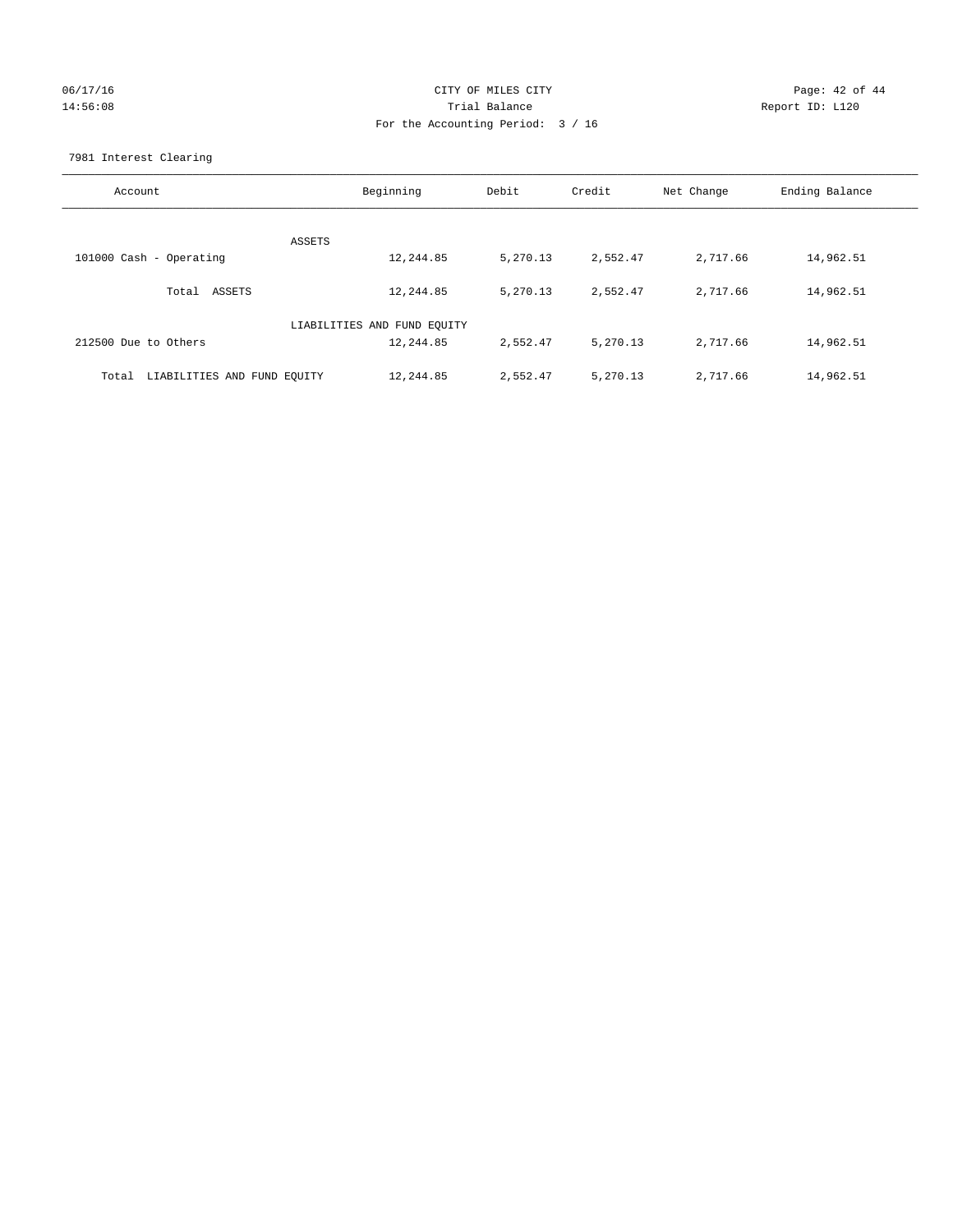# 06/17/16 Page: 42 of 44 14:56:08 Trial Balance Report ID: L120 For the Accounting Period: 3 / 16

7981 Interest Clearing

| Account                              | Beginning                   | Debit    | Credit   | Net Change | Ending Balance |
|--------------------------------------|-----------------------------|----------|----------|------------|----------------|
|                                      | ASSETS                      |          |          |            |                |
| 101000 Cash - Operating              | 12,244.85                   | 5,270.13 | 2,552.47 | 2,717.66   | 14,962.51      |
| Total ASSETS                         | 12,244.85                   | 5,270.13 | 2,552.47 | 2,717.66   | 14,962.51      |
|                                      | LIABILITIES AND FUND EQUITY |          |          |            |                |
| 212500 Due to Others                 | 12,244.85                   | 2,552.47 | 5,270.13 | 2,717.66   | 14,962.51      |
| LIABILITIES AND FUND EQUITY<br>Total | 12,244.85                   | 2,552.47 | 5,270.13 | 2,717.66   | 14,962.51      |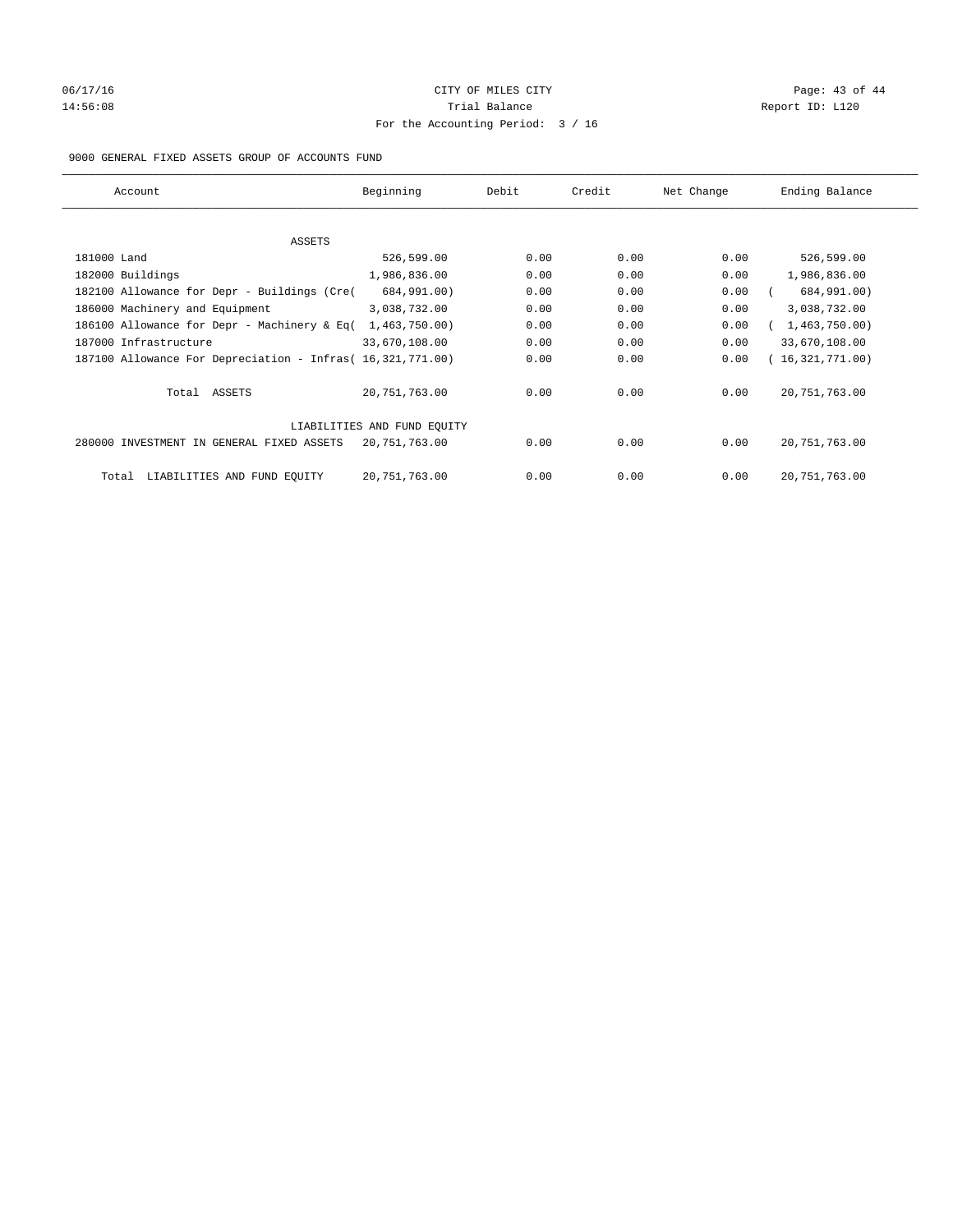# 06/17/16 Page: 43 of 44 14:56:08 Report ID: L120 For the Accounting Period: 3 / 16

## 9000 GENERAL FIXED ASSETS GROUP OF ACCOUNTS FUND

| Account                                                    | Beginning                   | Debit | Credit | Net Change | Ending Balance  |
|------------------------------------------------------------|-----------------------------|-------|--------|------------|-----------------|
| ASSETS                                                     |                             |       |        |            |                 |
| 181000 Land                                                | 526,599.00                  | 0.00  | 0.00   | 0.00       | 526,599.00      |
| 182000 Buildings                                           | 1,986,836.00                | 0.00  | 0.00   | 0.00       | 1,986,836.00    |
| 182100 Allowance for Depr - Buildings (Cre(                | 684,991.00)                 | 0.00  | 0.00   | 0.00       | 684,991.00)     |
| 186000 Machinery and Equipment                             | 3,038,732.00                | 0.00  | 0.00   | 0.00       | 3,038,732.00    |
| 186100 Allowance for Depr - Machinery & Eq(                | 1,463,750.00)               | 0.00  | 0.00   | 0.00       | 1,463,750.00)   |
| 187000 Infrastructure                                      | 33,670,108.00               | 0.00  | 0.00   | 0.00       | 33,670,108.00   |
| 187100 Allowance For Depreciation - Infras( 16,321,771.00) |                             | 0.00  | 0.00   | 0.00       | 16,321,771.00)  |
| Total ASSETS                                               | 20,751,763.00               | 0.00  | 0.00   | 0.00       | 20, 751, 763.00 |
|                                                            | LIABILITIES AND FUND EQUITY |       |        |            |                 |
| 280000 INVESTMENT IN GENERAL FIXED ASSETS                  | 20,751,763.00               | 0.00  | 0.00   | 0.00       | 20, 751, 763.00 |
| LIABILITIES AND FUND EQUITY<br>Total                       | 20, 751, 763.00             | 0.00  | 0.00   | 0.00       | 20, 751, 763.00 |